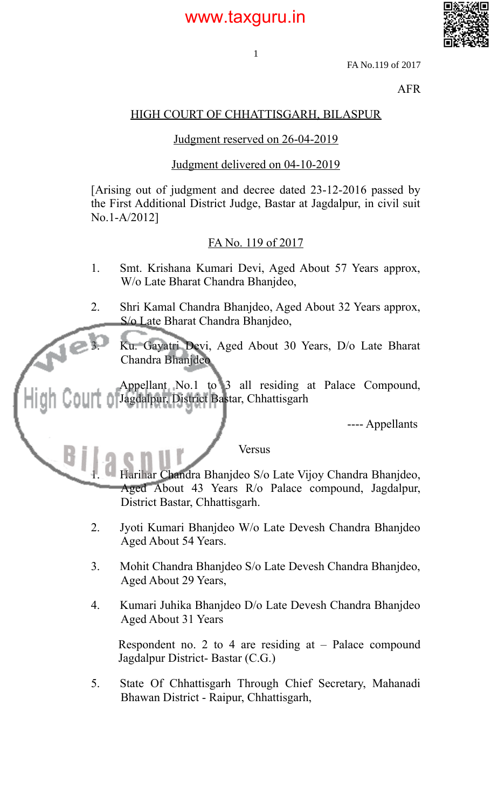

FA No.119 of 2017

AFR

#### HIGH COURT OF CHHATTISGARH, BILASPUR

1

#### Judgment reserved on 26-04-2019

#### Judgment delivered on 04-10-2019

[Arising out of judgment and decree dated 23-12-2016 passed by the First Additional District Judge, Bastar at Jagdalpur, in civil suit No.1-A/2012]

#### FA No. 119 of 2017

- 1. Smt. Krishana Kumari Devi, Aged About 57 Years approx, W/o Late Bharat Chandra Bhanjdeo,
- 2. Shri Kamal Chandra Bhanjdeo, Aged About 32 Years approx, S/o Late Bharat Chandra Bhanjdeo,

3. Ku. Gayatri Devi, Aged About 30 Years, D/o Late Bharat Chandra Bhanjdeo

Appellant No.1 to 3 all residing at Palace Compound, Jagdalpur, District Bastar, Chhattisgarh

в

---- Appellants

Versus

1. Harihar Chandra Bhanjdeo S/o Late Vijoy Chandra Bhanjdeo, Aged About 43 Years R/o Palace compound, Jagdalpur, District Bastar, Chhattisgarh.

- 2. Jyoti Kumari Bhanjdeo W/o Late Devesh Chandra Bhanjdeo Aged About 54 Years.
- 3. Mohit Chandra Bhanjdeo S/o Late Devesh Chandra Bhanjdeo, Aged About 29 Years,
- 4. Kumari Juhika Bhanjdeo D/o Late Devesh Chandra Bhanjdeo Aged About 31 Years

Respondent no. 2 to 4 are residing at  $-$  Palace compound Jagdalpur District- Bastar (C.G.)

5. State Of Chhattisgarh Through Chief Secretary, Mahanadi Bhawan District - Raipur, Chhattisgarh,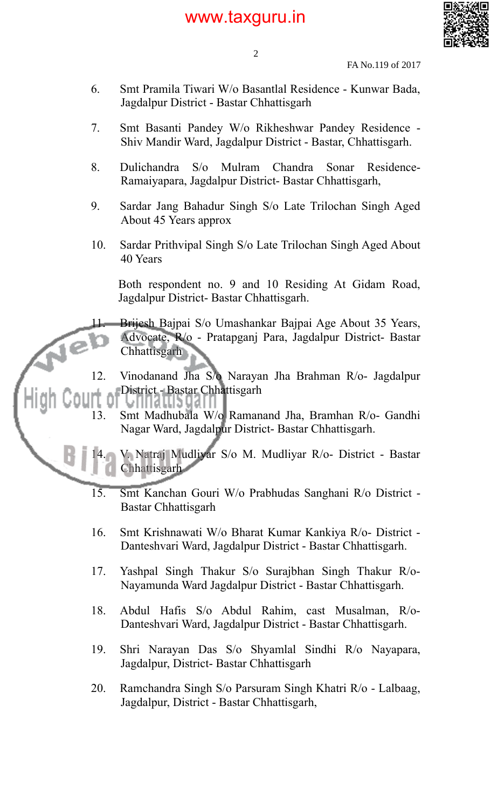

2

FA No.119 of 2017

- 6. Smt Pramila Tiwari W/o Basantlal Residence Kunwar Bada, Jagdalpur District - Bastar Chhattisgarh
- 7. Smt Basanti Pandey W/o Rikheshwar Pandey Residence Shiv Mandir Ward, Jagdalpur District - Bastar, Chhattisgarh.
- 8. Dulichandra S/o Mulram Chandra Sonar Residence-Ramaiyapara, Jagdalpur District- Bastar Chhattisgarh,
- 9. Sardar Jang Bahadur Singh S/o Late Trilochan Singh Aged About 45 Years approx
- 10. Sardar Prithvipal Singh S/o Late Trilochan Singh Aged About 40 Years

Both respondent no. 9 and 10 Residing At Gidam Road, Jagdalpur District- Bastar Chhattisgarh.

Brijesh Bajpai S/o Umashankar Bajpai Age About 35 Years, Advocate, R/o - Pratapganj Para, Jagdalpur District- Bastar **Chhattisgarh** 

12. Vinodanand Jha S/o Narayan Jha Brahman R/o- Jagdalpur District - Bastar Chhattisgarh

13. Smt Madhubala W/o Ramanand Jha, Bramhan R/o- Gandhi Nagar Ward, Jagdalpur District- Bastar Chhattisgarh.

14. V. Natraj Mudliyar S/o M. Mudliyar R/o- District - Bastar Chhattisgarh

- 15. Smt Kanchan Gouri W/o Prabhudas Sanghani R/o District Bastar Chhattisgarh
- 16. Smt Krishnawati W/o Bharat Kumar Kankiya R/o- District Danteshvari Ward, Jagdalpur District - Bastar Chhattisgarh.
- 17. Yashpal Singh Thakur S/o Surajbhan Singh Thakur R/o-Nayamunda Ward Jagdalpur District - Bastar Chhattisgarh.
- 18. Abdul Hafis S/o Abdul Rahim, cast Musalman, R/o-Danteshvari Ward, Jagdalpur District - Bastar Chhattisgarh.
- 19. Shri Narayan Das S/o Shyamlal Sindhi R/o Nayapara, Jagdalpur, District- Bastar Chhattisgarh
- 20. Ramchandra Singh S/o Parsuram Singh Khatri R/o Lalbaag, Jagdalpur, District - Bastar Chhattisgarh,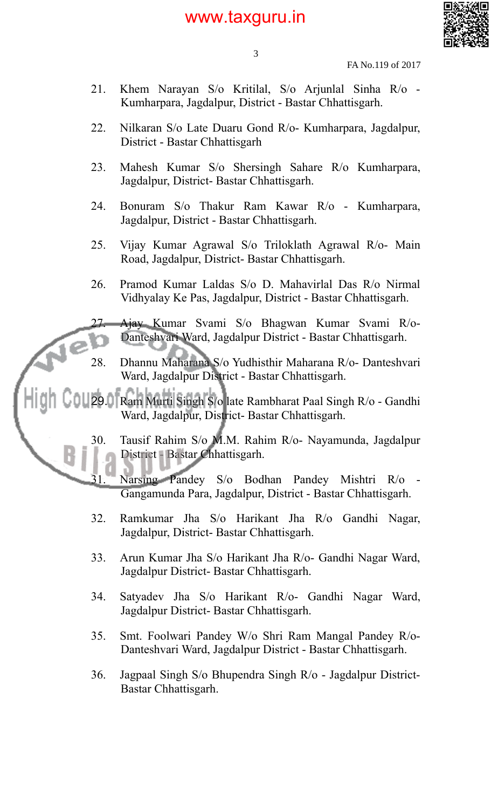

3

- FA No.119 of 2017
- 21. Khem Narayan S/o Kritilal, S/o Arjunlal Sinha R/o Kumharpara, Jagdalpur, District - Bastar Chhattisgarh.
- 22. Nilkaran S/o Late Duaru Gond R/o- Kumharpara, Jagdalpur, District - Bastar Chhattisgarh
- 23. Mahesh Kumar S/o Shersingh Sahare R/o Kumharpara, Jagdalpur, District- Bastar Chhattisgarh.
- 24. Bonuram S/o Thakur Ram Kawar R/o Kumharpara, Jagdalpur, District - Bastar Chhattisgarh.
- 25. Vijay Kumar Agrawal S/o Triloklath Agrawal R/o- Main Road, Jagdalpur, District- Bastar Chhattisgarh.
- 26. Pramod Kumar Laldas S/o D. Mahavirlal Das R/o Nirmal Vidhyalay Ke Pas, Jagdalpur, District - Bastar Chhattisgarh.

27. Ajay Kumar Svami S/o Bhagwan Kumar Svami R/o-Danteshvari Ward, Jagdalpur District - Bastar Chhattisgarh.

- 28. Dhannu Maharana S/o Yudhisthir Maharana R/o- Danteshvari Ward, Jagdalpur District - Bastar Chhattisgarh.
- 29. Ram Murti Singh S/o late Rambharat Paal Singh R/o Gandhi Ward, Jagdalpur, District- Bastar Chhattisgarh.
	- 30. Tausif Rahim S/o M.M. Rahim R/o- Nayamunda, Jagdalpur District - Bastar Chhattisgarh.

Narsing Pandey S/o Bodhan Pandey Mishtri R/o -Gangamunda Para, Jagdalpur, District - Bastar Chhattisgarh.

- 32. Ramkumar Jha S/o Harikant Jha R/o Gandhi Nagar, Jagdalpur, District- Bastar Chhattisgarh.
- 33. Arun Kumar Jha S/o Harikant Jha R/o- Gandhi Nagar Ward, Jagdalpur District- Bastar Chhattisgarh.
- 34. Satyadev Jha S/o Harikant R/o- Gandhi Nagar Ward, Jagdalpur District- Bastar Chhattisgarh.
- 35. Smt. Foolwari Pandey W/o Shri Ram Mangal Pandey R/o-Danteshvari Ward, Jagdalpur District - Bastar Chhattisgarh.
- 36. Jagpaal Singh S/o Bhupendra Singh R/o Jagdalpur District-Bastar Chhattisgarh.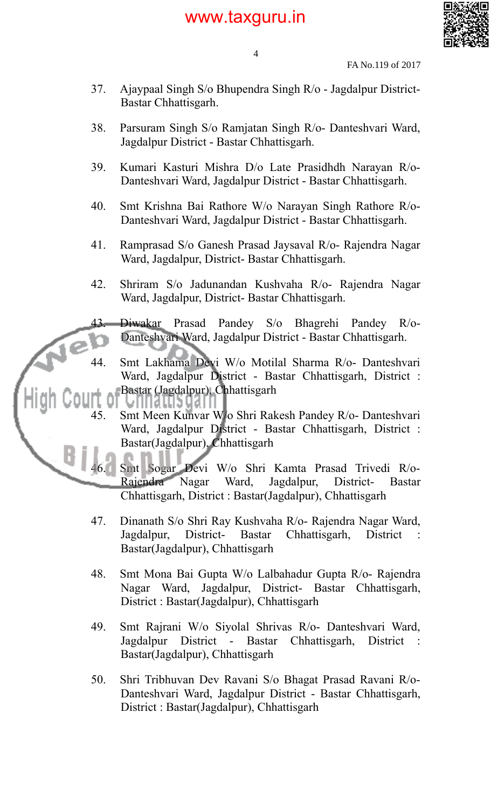

4

FA No.119 of 2017

- 37. Ajaypaal Singh S/o Bhupendra Singh R/o Jagdalpur District-Bastar Chhattisgarh.
- 38. Parsuram Singh S/o Ramjatan Singh R/o- Danteshvari Ward, Jagdalpur District - Bastar Chhattisgarh.
- 39. Kumari Kasturi Mishra D/o Late Prasidhdh Narayan R/o-Danteshvari Ward, Jagdalpur District - Bastar Chhattisgarh.
- 40. Smt Krishna Bai Rathore W/o Narayan Singh Rathore R/o-Danteshvari Ward, Jagdalpur District - Bastar Chhattisgarh.
- 41. Ramprasad S/o Ganesh Prasad Jaysaval R/o- Rajendra Nagar Ward, Jagdalpur, District- Bastar Chhattisgarh.
- 42. Shriram S/o Jadunandan Kushvaha R/o- Rajendra Nagar Ward, Jagdalpur, District- Bastar Chhattisgarh.

43. Diwakar Prasad Pandey S/o Bhagrehi Pandey R/o-Danteshvari Ward, Jagdalpur District - Bastar Chhattisgarh.

44. Smt Lakhama Devi W/o Motilal Sharma R/o- Danteshvari Ward, Jagdalpur District - Bastar Chhattisgarh, District : Bastar (Jagdalpur), Chhattisgarh

45. Smt Meen Kunvar W/o Shri Rakesh Pandey R/o- Danteshvari Ward, Jagdalpur District - Bastar Chhattisgarh, District : Bastar(Jagdalpur), Chhattisgarh

46. Smt Sogar Devi W/o Shri Kamta Prasad Trivedi R/o-Rajendra Nagar Ward, Jagdalpur, District- Bastar Chhattisgarh, District : Bastar(Jagdalpur), Chhattisgarh

- 47. Dinanath S/o Shri Ray Kushvaha R/o- Rajendra Nagar Ward, Jagdalpur, District- Bastar Chhattisgarh, District Bastar(Jagdalpur), Chhattisgarh
- 48. Smt Mona Bai Gupta W/o Lalbahadur Gupta R/o- Rajendra Nagar Ward, Jagdalpur, District- Bastar Chhattisgarh, District : Bastar(Jagdalpur), Chhattisgarh
- 49. Smt Rajrani W/o Siyolal Shrivas R/o- Danteshvari Ward, Jagdalpur District - Bastar Chhattisgarh, District : Bastar(Jagdalpur), Chhattisgarh
- 50. Shri Tribhuvan Dev Ravani S/o Bhagat Prasad Ravani R/o-Danteshvari Ward, Jagdalpur District - Bastar Chhattisgarh, District : Bastar(Jagdalpur), Chhattisgarh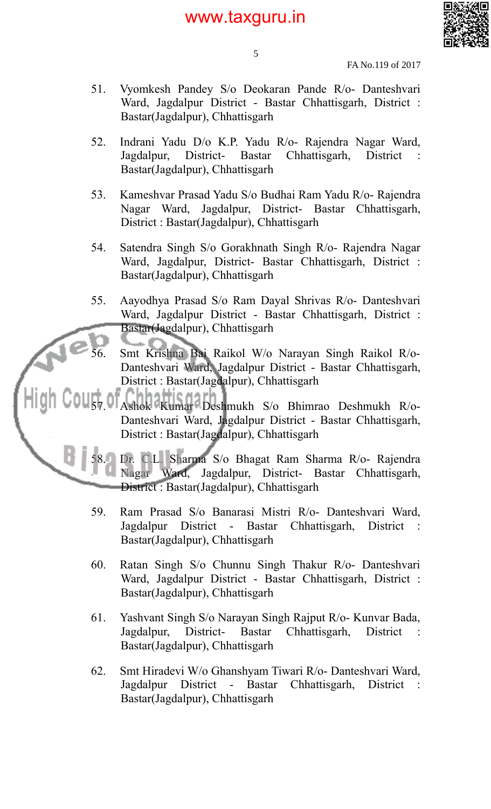

5

FA No.119 of 2017

- 51. Vyomkesh Pandey S/o Deokaran Pande R/o- Danteshvari Ward, Jagdalpur District - Bastar Chhattisgarh, District : Bastar(Jagdalpur), Chhattisgarh
- 52. Indrani Yadu D/o K.P. Yadu R/o- Rajendra Nagar Ward, Jagdalpur, District- Bastar Chhattisgarh, District Bastar(Jagdalpur), Chhattisgarh
- 53. Kameshvar Prasad Yadu S/o Budhai Ram Yadu R/o- Rajendra Nagar Ward, Jagdalpur, District- Bastar Chhattisgarh, District : Bastar(Jagdalpur), Chhattisgarh
- 54. Satendra Singh S/o Gorakhnath Singh R/o- Rajendra Nagar Ward, Jagdalpur, District- Bastar Chhattisgarh, District : Bastar(Jagdalpur), Chhattisgarh
- 55. Aayodhya Prasad S/o Ram Dayal Shrivas R/o- Danteshvari Ward, Jagdalpur District - Bastar Chhattisgarh, District : Bastar(Jagdalpur), Chhattisgarh
	- 56. Smt Krishna Bai Raikol W/o Narayan Singh Raikol R/o-Danteshvari Ward, Jagdalpur District - Bastar Chhattisgarh, District : Bastar(Jagdalpur), Chhattisgarh

57. Ashok Kumar Deshmukh S/o Bhimrao Deshmukh R/o-Danteshvari Ward, Jagdalpur District - Bastar Chhattisgarh, District : Bastar(Jagdalpur), Chhattisgarh

58. Dr. C.L. Sharma S/o Bhagat Ram Sharma R/o- Rajendra Nagar Ward, Jagdalpur, District- Bastar Chhattisgarh, District : Bastar(Jagdalpur), Chhattisgarh

- 59. Ram Prasad S/o Banarasi Mistri R/o- Danteshvari Ward, Jagdalpur District - Bastar Chhattisgarh, District : Bastar(Jagdalpur), Chhattisgarh
- 60. Ratan Singh S/o Chunnu Singh Thakur R/o- Danteshvari Ward, Jagdalpur District - Bastar Chhattisgarh, District : Bastar(Jagdalpur), Chhattisgarh
- 61. Yashvant Singh S/o Narayan Singh Rajput R/o- Kunvar Bada, Jagdalpur, District- Bastar Chhattisgarh, District : Bastar(Jagdalpur), Chhattisgarh
- 62. Smt Hiradevi W/o Ghanshyam Tiwari R/o- Danteshvari Ward, Jagdalpur District - Bastar Chhattisgarh, District : Bastar(Jagdalpur), Chhattisgarh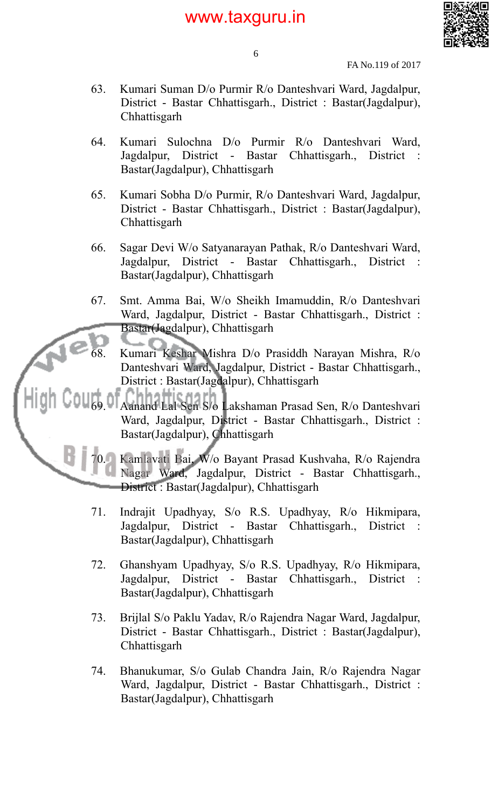

6

FA No.119 of 2017

- 63. Kumari Suman D/o Purmir R/o Danteshvari Ward, Jagdalpur, District - Bastar Chhattisgarh., District : Bastar(Jagdalpur), Chhattisgarh
- 64. Kumari Sulochna D/o Purmir R/o Danteshvari Ward, Jagdalpur, District - Bastar Chhattisgarh., District : Bastar(Jagdalpur), Chhattisgarh
- 65. Kumari Sobha D/o Purmir, R/o Danteshvari Ward, Jagdalpur, District - Bastar Chhattisgarh., District : Bastar(Jagdalpur), **Chhattisgarh**
- 66. Sagar Devi W/o Satyanarayan Pathak, R/o Danteshvari Ward, Jagdalpur, District - Bastar Chhattisgarh., District : Bastar(Jagdalpur), Chhattisgarh
- 67. Smt. Amma Bai, W/o Sheikh Imamuddin, R/o Danteshvari Ward, Jagdalpur, District - Bastar Chhattisgarh., District : Bastar(Jagdalpur), Chhattisgarh
	- 68. Kumari Keshar Mishra D/o Prasiddh Narayan Mishra, R/o Danteshvari Ward, Jagdalpur, District - Bastar Chhattisgarh., District : Bastar(Jagdalpur), Chhattisgarh
- 69. Aanand Lal Sen S/o Lakshaman Prasad Sen, R/o Danteshvari Ward, Jagdalpur, District - Bastar Chhattisgarh., District : Bastar(Jagdalpur), Chhattisgarh

70. Kamlavati Bai, W/o Bayant Prasad Kushvaha, R/o Rajendra Nagar Ward, Jagdalpur, District - Bastar Chhattisgarh., District : Bastar(Jagdalpur), Chhattisgarh

- 71. Indrajit Upadhyay, S/o R.S. Upadhyay, R/o Hikmipara, Jagdalpur, District - Bastar Chhattisgarh., District : Bastar(Jagdalpur), Chhattisgarh
- 72. Ghanshyam Upadhyay, S/o R.S. Upadhyay, R/o Hikmipara, Jagdalpur, District - Bastar Chhattisgarh., District : Bastar(Jagdalpur), Chhattisgarh
- 73. Brijlal S/o Paklu Yadav, R/o Rajendra Nagar Ward, Jagdalpur, District - Bastar Chhattisgarh., District : Bastar(Jagdalpur), **Chhattisgarh**
- 74. Bhanukumar, S/o Gulab Chandra Jain, R/o Rajendra Nagar Ward, Jagdalpur, District - Bastar Chhattisgarh., District : Bastar(Jagdalpur), Chhattisgarh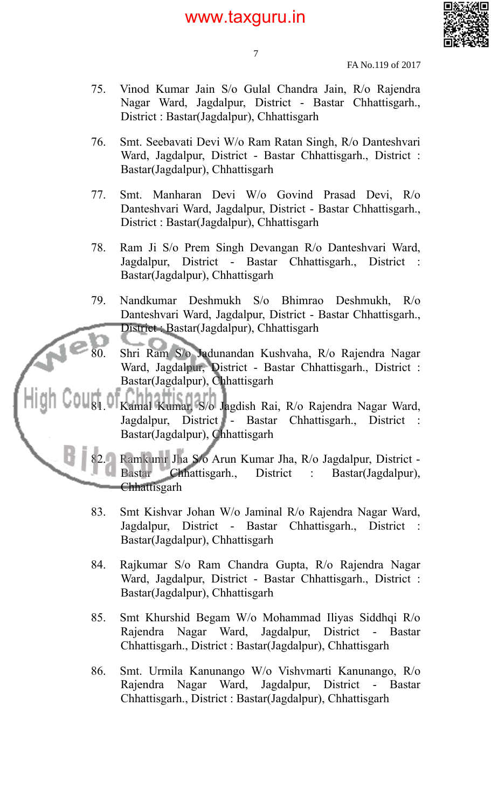

7

FA No.119 of 2017

- 75. Vinod Kumar Jain S/o Gulal Chandra Jain, R/o Rajendra Nagar Ward, Jagdalpur, District - Bastar Chhattisgarh., District : Bastar(Jagdalpur), Chhattisgarh
- 76. Smt. Seebavati Devi W/o Ram Ratan Singh, R/o Danteshvari Ward, Jagdalpur, District - Bastar Chhattisgarh., District : Bastar(Jagdalpur), Chhattisgarh
- 77. Smt. Manharan Devi W/o Govind Prasad Devi, R/o Danteshvari Ward, Jagdalpur, District - Bastar Chhattisgarh., District : Bastar(Jagdalpur), Chhattisgarh
- 78. Ram Ji S/o Prem Singh Devangan R/o Danteshvari Ward, Jagdalpur, District - Bastar Chhattisgarh., District : Bastar(Jagdalpur), Chhattisgarh
- 79. Nandkumar Deshmukh S/o Bhimrao Deshmukh, R/o Danteshvari Ward, Jagdalpur, District - Bastar Chhattisgarh., District : Bastar(Jagdalpur), Chhattisgarh
	- 80. Shri Ram S/o Jadunandan Kushvaha, R/o Rajendra Nagar Ward, Jagdalpur, District - Bastar Chhattisgarh., District : Bastar(Jagdalpur), Chhattisgarh
- 81. Kamal Kumar, S/o Jagdish Rai, R/o Rajendra Nagar Ward, Jagdalpur, District - Bastar Chhattisgarh., District Bastar(Jagdalpur), Chhattisgarh

82. Ramkumr Jha S/o Arun Kumar Jha, R/o Jagdalpur, District - Bastar Chhattisgarh., District : Bastar(Jagdalpur), Chhattisgarh

- 83. Smt Kishvar Johan W/o Jaminal R/o Rajendra Nagar Ward, Jagdalpur, District - Bastar Chhattisgarh., District : Bastar(Jagdalpur), Chhattisgarh
- 84. Rajkumar S/o Ram Chandra Gupta, R/o Rajendra Nagar Ward, Jagdalpur, District - Bastar Chhattisgarh., District : Bastar(Jagdalpur), Chhattisgarh
- 85. Smt Khurshid Begam W/o Mohammad Iliyas Siddhqi R/o Rajendra Nagar Ward, Jagdalpur, District - Bastar Chhattisgarh., District : Bastar(Jagdalpur), Chhattisgarh
- 86. Smt. Urmila Kanunango W/o Vishvmarti Kanunango, R/o Rajendra Nagar Ward, Jagdalpur, District - Bastar Chhattisgarh., District : Bastar(Jagdalpur), Chhattisgarh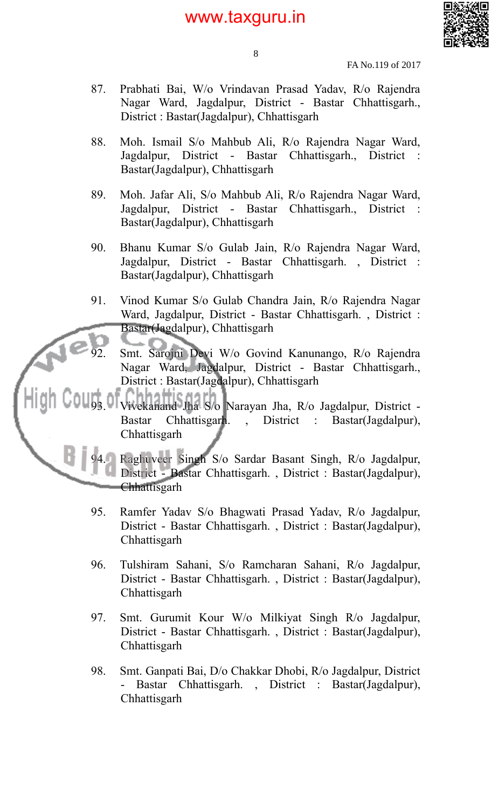

- FA No.119 of 2017
- 87. Prabhati Bai, W/o Vrindavan Prasad Yadav, R/o Rajendra Nagar Ward, Jagdalpur, District - Bastar Chhattisgarh., District : Bastar(Jagdalpur), Chhattisgarh

8

- 88. Moh. Ismail S/o Mahbub Ali, R/o Rajendra Nagar Ward, Jagdalpur, District - Bastar Chhattisgarh., District : Bastar(Jagdalpur), Chhattisgarh
- 89. Moh. Jafar Ali, S/o Mahbub Ali, R/o Rajendra Nagar Ward, Jagdalpur, District - Bastar Chhattisgarh., District : Bastar(Jagdalpur), Chhattisgarh
- 90. Bhanu Kumar S/o Gulab Jain, R/o Rajendra Nagar Ward, Jagdalpur, District - Bastar Chhattisgarh. , District : Bastar(Jagdalpur), Chhattisgarh
- 91. Vinod Kumar S/o Gulab Chandra Jain, R/o Rajendra Nagar Ward, Jagdalpur, District - Bastar Chhattisgarh. , District : Bastar(Jagdalpur), Chhattisgarh
	- Smt. Sarojni Devi W/o Govind Kanunango, R/o Rajendra Nagar Ward, Jagdalpur, District - Bastar Chhattisgarh., District : Bastar(Jagdalpur), Chhattisgarh

93. Vivekanand Jha S/o Narayan Jha, R/o Jagdalpur, District - Bastar Chhattisgarh. , District : Bastar(Jagdalpur), **Chhattisgarh** 

> 94. Raghuveer Singh S/o Sardar Basant Singh, R/o Jagdalpur, District - Bastar Chhattisgarh. , District : Bastar(Jagdalpur), Chhattisgarh

- 95. Ramfer Yadav S/o Bhagwati Prasad Yadav, R/o Jagdalpur, District - Bastar Chhattisgarh. , District : Bastar(Jagdalpur), **Chhattisgarh**
- 96. Tulshiram Sahani, S/o Ramcharan Sahani, R/o Jagdalpur, District - Bastar Chhattisgarh. , District : Bastar(Jagdalpur), **Chhattisgarh**
- 97. Smt. Gurumit Kour W/o Milkiyat Singh R/o Jagdalpur, District - Bastar Chhattisgarh. , District : Bastar(Jagdalpur), **Chhattisgarh**
- 98. Smt. Ganpati Bai, D/o Chakkar Dhobi, R/o Jagdalpur, District - Bastar Chhattisgarh. , District : Bastar(Jagdalpur), **Chhattisgarh**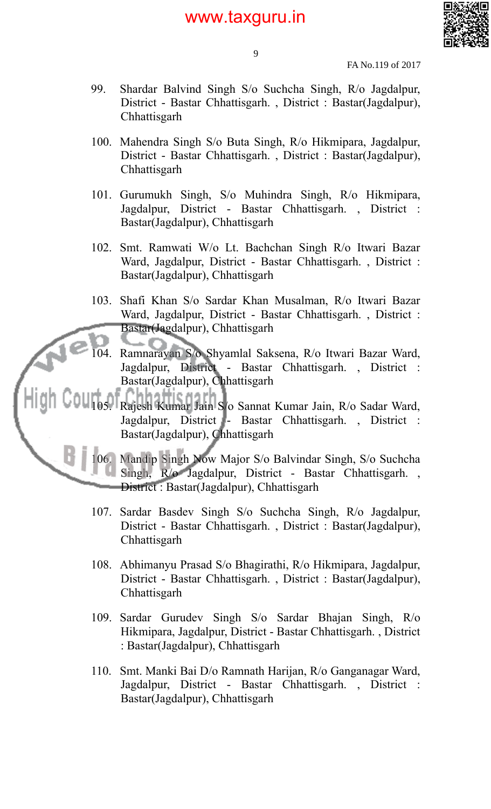

9

FA No.119 of 2017

- 99. Shardar Balvind Singh S/o Suchcha Singh, R/o Jagdalpur, District - Bastar Chhattisgarh. , District : Bastar(Jagdalpur), **Chhattisgarh**
- 100. Mahendra Singh S/o Buta Singh, R/o Hikmipara, Jagdalpur, District - Bastar Chhattisgarh. , District : Bastar(Jagdalpur), **Chhattisgarh**
- 101. Gurumukh Singh, S/o Muhindra Singh, R/o Hikmipara, Jagdalpur, District - Bastar Chhattisgarh. , District : Bastar(Jagdalpur), Chhattisgarh
- 102. Smt. Ramwati W/o Lt. Bachchan Singh R/o Itwari Bazar Ward, Jagdalpur, District - Bastar Chhattisgarh. , District : Bastar(Jagdalpur), Chhattisgarh
- 103. Shafi Khan S/o Sardar Khan Musalman, R/o Itwari Bazar Ward, Jagdalpur, District - Bastar Chhattisgarh. , District : Bastar(Jagdalpur), Chhattisgarh
	- 104. Ramnarayan S/o Shyamlal Saksena, R/o Itwari Bazar Ward, Jagdalpur, District - Bastar Chhattisgarh. , District : Bastar(Jagdalpur), Chhattisgarh
- 105. Rajesh Kumar Jain S/o Sannat Kumar Jain, R/o Sadar Ward, Jagdalpur, District - Bastar Chhattisgarh. , District : Bastar(Jagdalpur), Chhattisgarh

106. Mandip Singh Now Major S/o Balvindar Singh, S/o Suchcha Singh, R/o Jagdalpur, District - Bastar Chhattisgarh. , District : Bastar(Jagdalpur), Chhattisgarh

- 107. Sardar Basdev Singh S/o Suchcha Singh, R/o Jagdalpur, District - Bastar Chhattisgarh. , District : Bastar(Jagdalpur), Chhattisgarh
- 108. Abhimanyu Prasad S/o Bhagirathi, R/o Hikmipara, Jagdalpur, District - Bastar Chhattisgarh. , District : Bastar(Jagdalpur), **Chhattisgarh**
- 109. Sardar Gurudev Singh S/o Sardar Bhajan Singh, R/o Hikmipara, Jagdalpur, District - Bastar Chhattisgarh. , District : Bastar(Jagdalpur), Chhattisgarh
- 110. Smt. Manki Bai D/o Ramnath Harijan, R/o Ganganagar Ward, Jagdalpur, District - Bastar Chhattisgarh. , District : Bastar(Jagdalpur), Chhattisgarh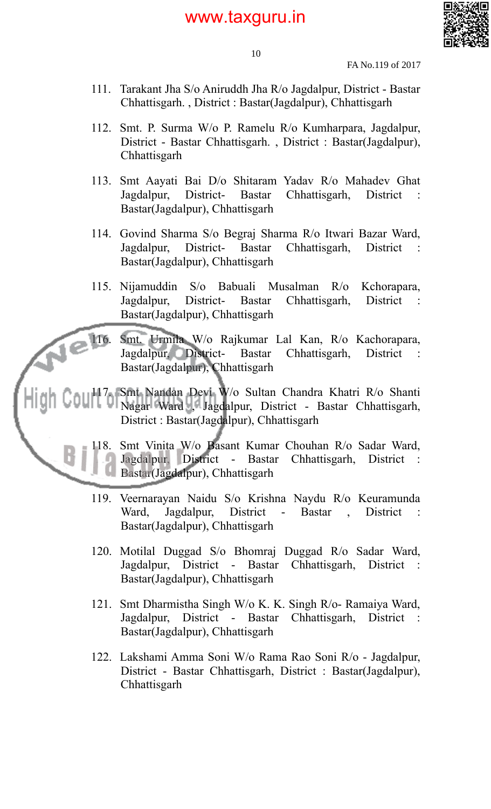

FA No.119 of 2017

- 111. Tarakant Jha S/o Aniruddh Jha R/o Jagdalpur, District Bastar Chhattisgarh. , District : Bastar(Jagdalpur), Chhattisgarh
- 112. Smt. P. Surma W/o P. Ramelu R/o Kumharpara, Jagdalpur, District - Bastar Chhattisgarh. , District : Bastar(Jagdalpur), Chhattisgarh
- 113. Smt Aayati Bai D/o Shitaram Yadav R/o Mahadev Ghat Jagdalpur, District- Bastar Chhattisgarh, District Bastar(Jagdalpur), Chhattisgarh
- 114. Govind Sharma S/o Begraj Sharma R/o Itwari Bazar Ward, Jagdalpur, District- Bastar Chhattisgarh, District : Bastar(Jagdalpur), Chhattisgarh
- 115. Nijamuddin S/o Babuali Musalman R/o Kchorapara, Jagdalpur, District- Bastar Chhattisgarh, District : Bastar(Jagdalpur), Chhattisgarh

116. Smt. Urmila W/o Rajkumar Lal Kan, R/o Kachorapara, Jagdalpur, District- Bastar Chhattisgarh, District : Bastar(Jagdalpur), Chhattisgarh

117. Smt Nandan Devi W/o Sultan Chandra Khatri R/o Shanti Nagar Ward , Jagdalpur, District - Bastar Chhattisgarh, District : Bastar(Jagdalpur), Chhattisgarh

 $\epsilon$ 

118. Smt Vinita W/o Basant Kumar Chouhan R/o Sadar Ward, Jagdalpur, District - Bastar Chhattisgarh, District : Bastar(Jagdalpur), Chhattisgarh

- 119. Veernarayan Naidu S/o Krishna Naydu R/o Keuramunda Ward, Jagdalpur, District - Bastar , District Bastar(Jagdalpur), Chhattisgarh
- 120. Motilal Duggad S/o Bhomraj Duggad R/o Sadar Ward, Jagdalpur, District - Bastar Chhattisgarh, District : Bastar(Jagdalpur), Chhattisgarh
- 121. Smt Dharmistha Singh W/o K. K. Singh R/o- Ramaiya Ward, Jagdalpur, District - Bastar Chhattisgarh, District : Bastar(Jagdalpur), Chhattisgarh
- 122. Lakshami Amma Soni W/o Rama Rao Soni R/o Jagdalpur, District - Bastar Chhattisgarh, District : Bastar(Jagdalpur), **Chhattisgarh**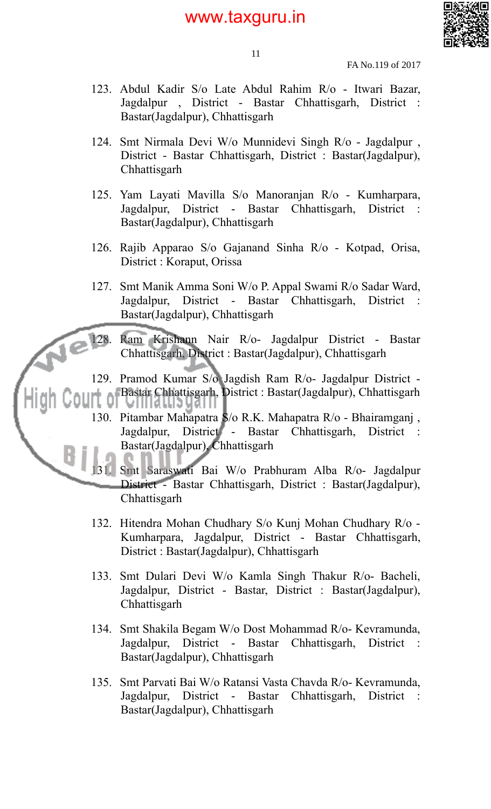

11

FA No.119 of 2017

- 123. Abdul Kadir S/o Late Abdul Rahim R/o Itwari Bazar, Jagdalpur , District - Bastar Chhattisgarh, District : Bastar(Jagdalpur), Chhattisgarh
- 124. Smt Nirmala Devi W/o Munnidevi Singh R/o Jagdalpur , District - Bastar Chhattisgarh, District : Bastar(Jagdalpur), **Chhattisgarh**
- 125. Yam Layati Mavilla S/o Manoranjan R/o Kumharpara, Jagdalpur, District - Bastar Chhattisgarh, District : Bastar(Jagdalpur), Chhattisgarh
- 126. Rajib Apparao S/o Gajanand Sinha R/o Kotpad, Orisa, District : Koraput, Orissa
- 127. Smt Manik Amma Soni W/o P. Appal Swami R/o Sadar Ward, Jagdalpur, District - Bastar Chhattisgarh, District Bastar(Jagdalpur), Chhattisgarh
- 128. Ram Krishann Nair R/o- Jagdalpur District Bastar Chhattisgarh, District : Bastar(Jagdalpur), Chhattisgarh
- 129. Pramod Kumar S/o Jagdish Ram R/o- Jagdalpur District Bastar Chhattisgarh, District : Bastar(Jagdalpur), Chhattisgarh
	- 130. Pitambar Mahapatra S/o R.K. Mahapatra R/o Bhairamganj , Jagdalpur, District - Bastar Chhattisgarh, District : Bastar(Jagdalpur), Chhattisgarh

131. Smt Saraswati Bai W/o Prabhuram Alba R/o- Jagdalpur District - Bastar Chhattisgarh, District : Bastar(Jagdalpur), **Chhattisgarh** 

- 132. Hitendra Mohan Chudhary S/o Kunj Mohan Chudhary R/o Kumharpara, Jagdalpur, District - Bastar Chhattisgarh, District : Bastar(Jagdalpur), Chhattisgarh
- 133. Smt Dulari Devi W/o Kamla Singh Thakur R/o- Bacheli, Jagdalpur, District - Bastar, District : Bastar(Jagdalpur), **Chhattisgarh**
- 134. Smt Shakila Begam W/o Dost Mohammad R/o- Kevramunda, Jagdalpur, District - Bastar Chhattisgarh, District : Bastar(Jagdalpur), Chhattisgarh
- 135. Smt Parvati Bai W/o Ratansi Vasta Chavda R/o- Kevramunda, Jagdalpur, District - Bastar Chhattisgarh, District : Bastar(Jagdalpur), Chhattisgarh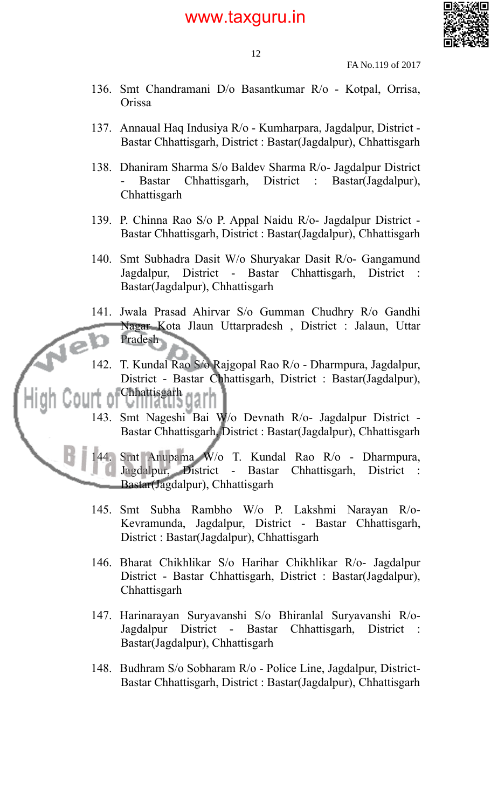

12

- 136. Smt Chandramani D/o Basantkumar R/o Kotpal, Orrisa, Orissa
- 137. Annaual Haq Indusiya R/o Kumharpara, Jagdalpur, District Bastar Chhattisgarh, District : Bastar(Jagdalpur), Chhattisgarh
- 138. Dhaniram Sharma S/o Baldev Sharma R/o- Jagdalpur District - Bastar Chhattisgarh, District : Bastar(Jagdalpur), **Chhattisgarh**
- 139. P. Chinna Rao S/o P. Appal Naidu R/o- Jagdalpur District Bastar Chhattisgarh, District : Bastar(Jagdalpur), Chhattisgarh
- 140. Smt Subhadra Dasit W/o Shuryakar Dasit R/o- Gangamund Jagdalpur, District - Bastar Chhattisgarh, District : Bastar(Jagdalpur), Chhattisgarh
- 141. Jwala Prasad Ahirvar S/o Gumman Chudhry R/o Gandhi Nagar Kota Jlaun Uttarpradesh , District : Jalaun, Uttar Pradesh
- 142. T. Kundal Rao S/o Rajgopal Rao R/o Dharmpura, Jagdalpur, District - Bastar Chhattisgarh, District : Bastar(Jagdalpur), Chhattisgarh garh
- 143. Smt Nageshi Bai W/o Devnath R/o- Jagdalpur District Bastar Chhattisgarh, District : Bastar(Jagdalpur), Chhattisgarh

144. Smt Anupama W/o T. Kundal Rao R/o - Dharmpura, Jagdalpur, District - Bastar Chhattisgarh, District : Bastar(Jagdalpur), Chhattisgarh

- 145. Smt Subha Rambho W/o P. Lakshmi Narayan R/o-Kevramunda, Jagdalpur, District - Bastar Chhattisgarh, District : Bastar(Jagdalpur), Chhattisgarh
- 146. Bharat Chikhlikar S/o Harihar Chikhlikar R/o- Jagdalpur District - Bastar Chhattisgarh, District : Bastar(Jagdalpur), **Chhattisgarh**
- 147. Harinarayan Suryavanshi S/o Bhiranlal Suryavanshi R/o-Jagdalpur District - Bastar Chhattisgarh, District : Bastar(Jagdalpur), Chhattisgarh
- 148. Budhram S/o Sobharam R/o Police Line, Jagdalpur, District-Bastar Chhattisgarh, District : Bastar(Jagdalpur), Chhattisgarh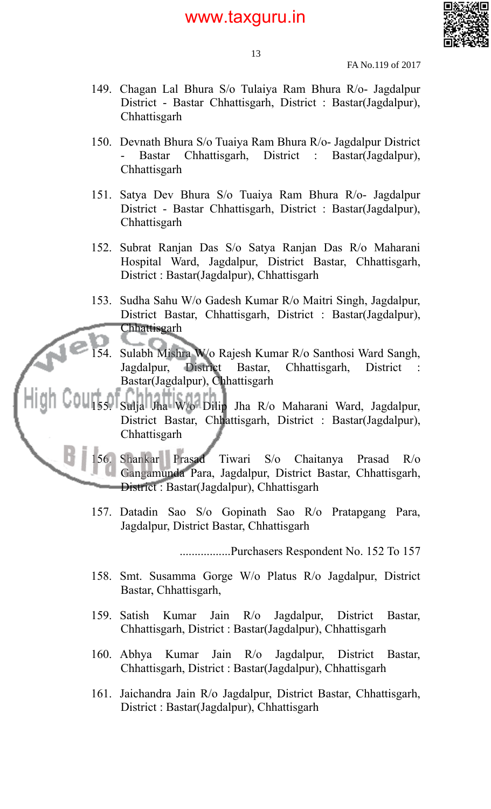

13

FA No.119 of 2017

- 149. Chagan Lal Bhura S/o Tulaiya Ram Bhura R/o- Jagdalpur District - Bastar Chhattisgarh, District : Bastar(Jagdalpur), **Chhattisgarh**
- 150. Devnath Bhura S/o Tuaiya Ram Bhura R/o- Jagdalpur District - Bastar Chhattisgarh, District : Bastar(Jagdalpur), **Chhattisgarh**
- 151. Satya Dev Bhura S/o Tuaiya Ram Bhura R/o- Jagdalpur District - Bastar Chhattisgarh, District : Bastar(Jagdalpur), Chhattisgarh
- 152. Subrat Ranjan Das S/o Satya Ranjan Das R/o Maharani Hospital Ward, Jagdalpur, District Bastar, Chhattisgarh, District : Bastar(Jagdalpur), Chhattisgarh
- 153. Sudha Sahu W/o Gadesh Kumar R/o Maitri Singh, Jagdalpur, District Bastar, Chhattisgarh, District : Bastar(Jagdalpur), Chhattisgarh
- 154. Sulabh Mishra W/o Rajesh Kumar R/o Santhosi Ward Sangh, Jagdalpur, District Bastar, Chhattisgarh, District Bastar(Jagdalpur), Chhattisgarh
- 155. Sulja Jha W/o Dilip Jha R/o Maharani Ward, Jagdalpur, District Bastar, Chhattisgarh, District : Bastar(Jagdalpur), Chhattisgarh

156. Shankar Prasad Tiwari S/o Chaitanya Prasad R/o Gangamunda Para, Jagdalpur, District Bastar, Chhattisgarh, District : Bastar(Jagdalpur), Chhattisgarh

157. Datadin Sao S/o Gopinath Sao R/o Pratapgang Para, Jagdalpur, District Bastar, Chhattisgarh

.................Purchasers Respondent No. 152 To 157

- 158. Smt. Susamma Gorge W/o Platus R/o Jagdalpur, District Bastar, Chhattisgarh,
- 159. Satish Kumar Jain R/o Jagdalpur, District Bastar, Chhattisgarh, District : Bastar(Jagdalpur), Chhattisgarh
- 160. Abhya Kumar Jain R/o Jagdalpur, District Bastar, Chhattisgarh, District : Bastar(Jagdalpur), Chhattisgarh
- 161. Jaichandra Jain R/o Jagdalpur, District Bastar, Chhattisgarh, District : Bastar(Jagdalpur), Chhattisgarh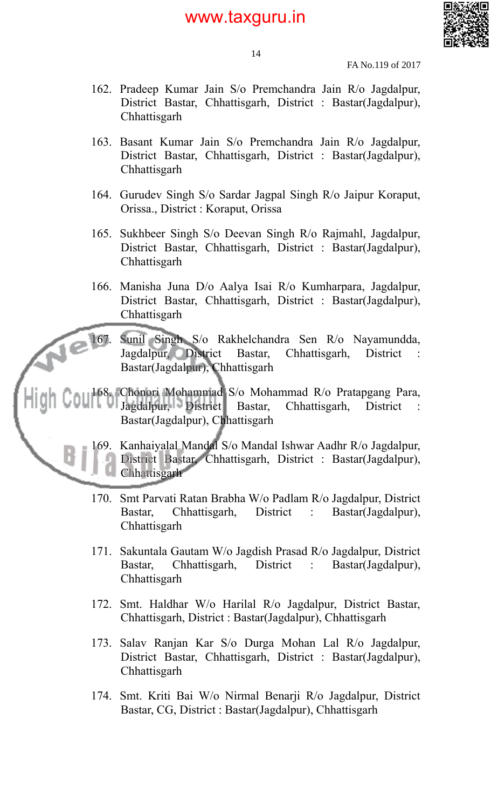

14

FA No.119 of 2017

- 162. Pradeep Kumar Jain S/o Premchandra Jain R/o Jagdalpur, District Bastar, Chhattisgarh, District : Bastar(Jagdalpur), **Chhattisgarh**
- 163. Basant Kumar Jain S/o Premchandra Jain R/o Jagdalpur, District Bastar, Chhattisgarh, District : Bastar(Jagdalpur), **Chhattisgarh**
- 164. Gurudev Singh S/o Sardar Jagpal Singh R/o Jaipur Koraput, Orissa., District : Koraput, Orissa
- 165. Sukhbeer Singh S/o Deevan Singh R/o Rajmahl, Jagdalpur, District Bastar, Chhattisgarh, District : Bastar(Jagdalpur), **Chhattisgarh**
- 166. Manisha Juna D/o Aalya Isai R/o Kumharpara, Jagdalpur, District Bastar, Chhattisgarh, District : Bastar(Jagdalpur), **Chhattisgarh**

167. Sunil Singh S/o Rakhelchandra Sen R/o Nayamundda, Jagdalpur, District Bastar, Chhattisgarh, District : Bastar(Jagdalpur), Chhattisgarh

168. Chonori Mohammad S/o Mohammad R/o Pratapgang Para, Jagdalpur, District Bastar, Chhattisgarh, District Bastar(Jagdalpur), Chhattisgarh

> 169. Kanhaiyalal Mandal S/o Mandal Ishwar Aadhr R/o Jagdalpur, District Bastar, Chhattisgarh, District : Bastar(Jagdalpur), Chhattisgarh

- 170. Smt Parvati Ratan Brabha W/o Padlam R/o Jagdalpur, District Bastar, Chhattisgarh, District : Bastar(Jagdalpur), **Chhattisgarh**
- 171. Sakuntala Gautam W/o Jagdish Prasad R/o Jagdalpur, District Bastar, Chhattisgarh, District : Bastar(Jagdalpur), Chhattisgarh
- 172. Smt. Haldhar W/o Harilal R/o Jagdalpur, District Bastar, Chhattisgarh, District : Bastar(Jagdalpur), Chhattisgarh
- 173. Salav Ranjan Kar S/o Durga Mohan Lal R/o Jagdalpur, District Bastar, Chhattisgarh, District : Bastar(Jagdalpur), Chhattisgarh
- 174. Smt. Kriti Bai W/o Nirmal Benarji R/o Jagdalpur, District Bastar, CG, District : Bastar(Jagdalpur), Chhattisgarh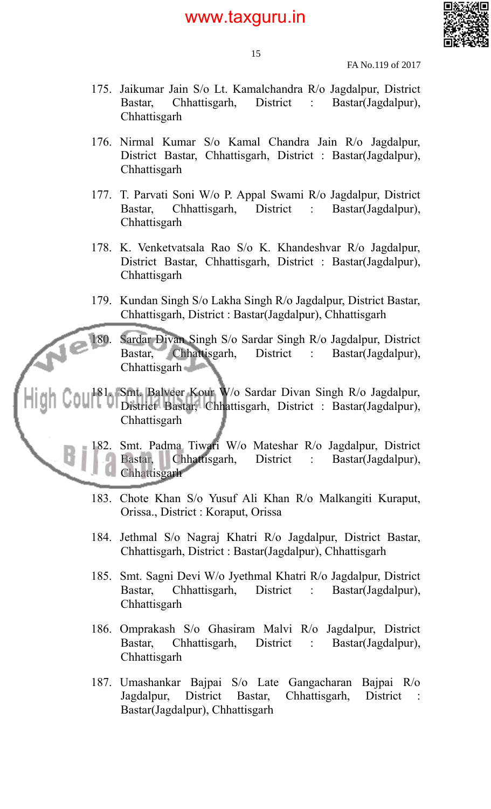

15

FA No.119 of 2017

- 175. Jaikumar Jain S/o Lt. Kamalchandra R/o Jagdalpur, District Bastar, Chhattisgarh, District : Bastar(Jagdalpur), **Chhattisgarh**
- 176. Nirmal Kumar S/o Kamal Chandra Jain R/o Jagdalpur, District Bastar, Chhattisgarh, District : Bastar(Jagdalpur), **Chhattisgarh**
- 177. T. Parvati Soni W/o P. Appal Swami R/o Jagdalpur, District Bastar, Chhattisgarh, District : Bastar(Jagdalpur), Chhattisgarh
- 178. K. Venketvatsala Rao S/o K. Khandeshvar R/o Jagdalpur, District Bastar, Chhattisgarh, District : Bastar(Jagdalpur), **Chhattisgarh**
- 179. Kundan Singh S/o Lakha Singh R/o Jagdalpur, District Bastar, Chhattisgarh, District : Bastar(Jagdalpur), Chhattisgarh

180. Sardar Divan Singh S/o Sardar Singh R/o Jagdalpur, District Bastar, Chhattisgarh, District : Bastar(Jagdalpur), Chhattisgarh

181. Smt. Balveer Kour W/o Sardar Divan Singh R/o Jagdalpur, District Bastar, Chhattisgarh, District : Bastar(Jagdalpur), **Chhattisgarh** 

182. Smt. Padma Tiwari W/o Mateshar R/o Jagdalpur, District Bastar, Chhattisgarh, District : Bastar(Jagdalpur), **Chhattisgarh** 

- 183. Chote Khan S/o Yusuf Ali Khan R/o Malkangiti Kuraput, Orissa., District : Koraput, Orissa
- 184. Jethmal S/o Nagraj Khatri R/o Jagdalpur, District Bastar, Chhattisgarh, District : Bastar(Jagdalpur), Chhattisgarh
- 185. Smt. Sagni Devi W/o Jyethmal Khatri R/o Jagdalpur, District Bastar, Chhattisgarh, District : Bastar(Jagdalpur), **Chhattisgarh**
- 186. Omprakash S/o Ghasiram Malvi R/o Jagdalpur, District Bastar, Chhattisgarh, District : Bastar(Jagdalpur), **Chhattisgarh**
- 187. Umashankar Bajpai S/o Late Gangacharan Bajpai R/o Jagdalpur, District Bastar, Chhattisgarh, District : Bastar(Jagdalpur), Chhattisgarh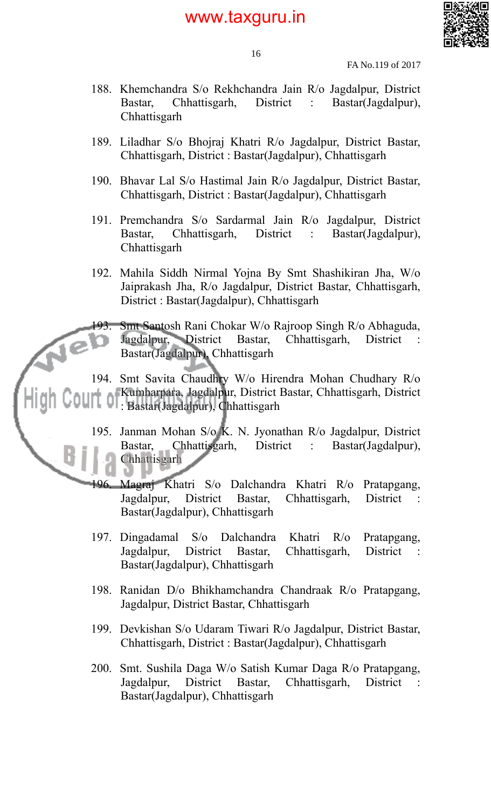

16

FA No.119 of 2017

- 188. Khemchandra S/o Rekhchandra Jain R/o Jagdalpur, District Bastar, Chhattisgarh, District : Bastar(Jagdalpur), **Chhattisgarh**
- 189. Liladhar S/o Bhojraj Khatri R/o Jagdalpur, District Bastar, Chhattisgarh, District : Bastar(Jagdalpur), Chhattisgarh
- 190. Bhavar Lal S/o Hastimal Jain R/o Jagdalpur, District Bastar, Chhattisgarh, District : Bastar(Jagdalpur), Chhattisgarh
- 191. Premchandra S/o Sardarmal Jain R/o Jagdalpur, District Bastar, Chhattisgarh, District : Bastar(Jagdalpur), Chhattisgarh
- 192. Mahila Siddh Nirmal Yojna By Smt Shashikiran Jha, W/o Jaiprakash Jha, R/o Jagdalpur, District Bastar, Chhattisgarh, District : Bastar(Jagdalpur), Chhattisgarh

Smt Santosh Rani Chokar W/o Rajroop Singh R/o Abhaguda, Jagdalpur, District Bastar, Chhattisgarh, District : Bastar, Chhattisgarh, District Bastar(Jagdalpur), Chhattisgarh

194. Smt Savita Chaudhry W/o Hirendra Mohan Chudhary R/o Kumharpara, Jagdalpur, District Bastar, Chhattisgarh, District : Bastar(Jagdalpur), Chhattisgarh

195. Janman Mohan S/o K. N. Jyonathan R/o Jagdalpur, District Bastar, Chhattisgarh, District : Bastar(Jagdalpur), Chhattisgarh

- 196. Magraj Khatri S/o Dalchandra Khatri R/o Pratapgang, Jagdalpur, District Bastar, Chhattisgarh, District : Bastar(Jagdalpur), Chhattisgarh
- 197. Dingadamal S/o Dalchandra Khatri R/o Pratapgang, Jagdalpur, District Bastar, Chhattisgarh, District Bastar(Jagdalpur), Chhattisgarh
- 198. Ranidan D/o Bhikhamchandra Chandraak R/o Pratapgang, Jagdalpur, District Bastar, Chhattisgarh
- 199. Devkishan S/o Udaram Tiwari R/o Jagdalpur, District Bastar, Chhattisgarh, District : Bastar(Jagdalpur), Chhattisgarh
- 200. Smt. Sushila Daga W/o Satish Kumar Daga R/o Pratapgang, Jagdalpur, District Bastar, Chhattisgarh, District : Bastar(Jagdalpur), Chhattisgarh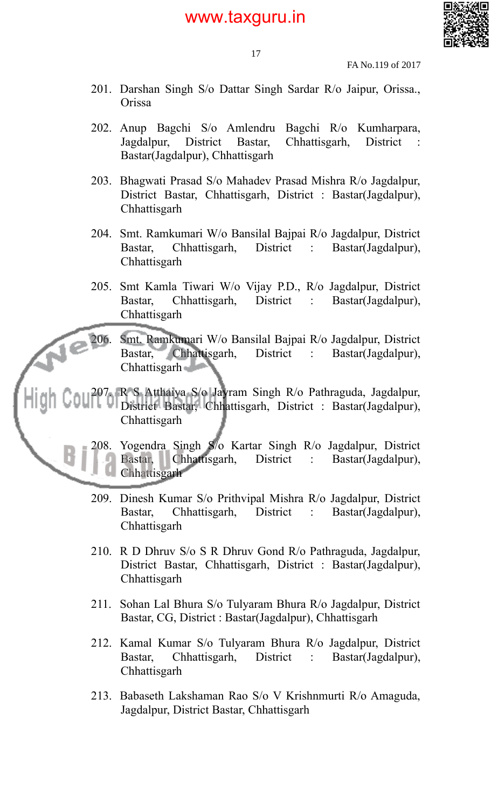

FA No.119 of 2017

- 201. Darshan Singh S/o Dattar Singh Sardar R/o Jaipur, Orissa., Orissa
- 202. Anup Bagchi S/o Amlendru Bagchi R/o Kumharpara, Jagdalpur, District Bastar, Chhattisgarh, District : Bastar(Jagdalpur), Chhattisgarh
- 203. Bhagwati Prasad S/o Mahadev Prasad Mishra R/o Jagdalpur, District Bastar, Chhattisgarh, District : Bastar(Jagdalpur), **Chhattisgarh**
- 204. Smt. Ramkumari W/o Bansilal Bajpai R/o Jagdalpur, District Bastar, Chhattisgarh, District : Bastar(Jagdalpur), Chhattisgarh
- 205. Smt Kamla Tiwari W/o Vijay P.D., R/o Jagdalpur, District Bastar, Chhattisgarh, District : Bastar(Jagdalpur), **Chhattisgarh**

206. Smt. Ramkumari W/o Bansilal Bajpai R/o Jagdalpur, District Bastar, Chhattisgarh, District : Bastar(Jagdalpur), Chhattisgarh **Charles** 

207. R S Atthaiya S/o Jayram Singh R/o Pathraguda, Jagdalpur, District Bastar, Chhattisgarh, District : Bastar(Jagdalpur), **Chhattisgarh** 



208. Yogendra Singh S/o Kartar Singh R/o Jagdalpur, District Bastar, Chhattisgarh, District : Bastar(Jagdalpur), **Chhattisgarh** 

- 209. Dinesh Kumar S/o Prithvipal Mishra R/o Jagdalpur, District Bastar, Chhattisgarh, District : Bastar(Jagdalpur), **Chhattisgarh**
- 210. R D Dhruv S/o S R Dhruv Gond R/o Pathraguda, Jagdalpur, District Bastar, Chhattisgarh, District : Bastar(Jagdalpur), Chhattisgarh
- 211. Sohan Lal Bhura S/o Tulyaram Bhura R/o Jagdalpur, District Bastar, CG, District : Bastar(Jagdalpur), Chhattisgarh
- 212. Kamal Kumar S/o Tulyaram Bhura R/o Jagdalpur, District Bastar, Chhattisgarh, District : Bastar(Jagdalpur), Chhattisgarh
- 213. Babaseth Lakshaman Rao S/o V Krishnmurti R/o Amaguda, Jagdalpur, District Bastar, Chhattisgarh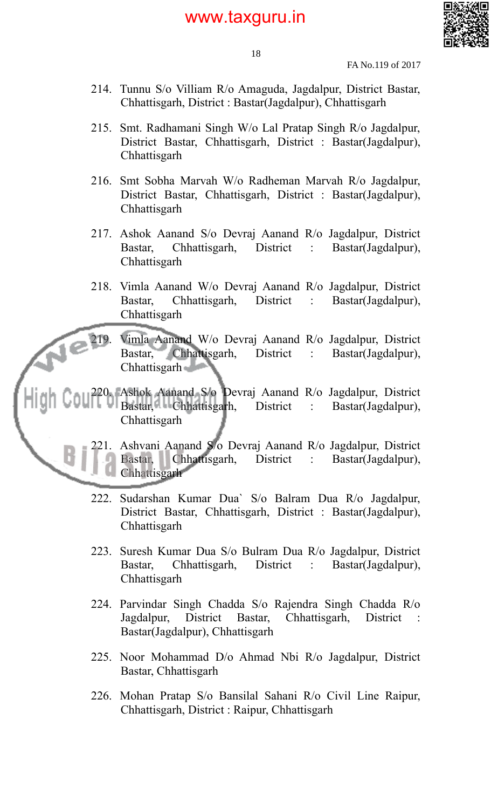

FA No.119 of 2017

- 214. Tunnu S/o Villiam R/o Amaguda, Jagdalpur, District Bastar, Chhattisgarh, District : Bastar(Jagdalpur), Chhattisgarh
- 215. Smt. Radhamani Singh W/o Lal Pratap Singh R/o Jagdalpur, District Bastar, Chhattisgarh, District : Bastar(Jagdalpur), **Chhattisgarh**
- 216. Smt Sobha Marvah W/o Radheman Marvah R/o Jagdalpur, District Bastar, Chhattisgarh, District : Bastar(Jagdalpur), **Chhattisgarh**
- 217. Ashok Aanand S/o Devraj Aanand R/o Jagdalpur, District Bastar, Chhattisgarh, District : Bastar(Jagdalpur), **Chhattisgarh**
- 218. Vimla Aanand W/o Devraj Aanand R/o Jagdalpur, District Bastar, Chhattisgarh, District : Bastar(Jagdalpur), **Chhattisgarh**
- 219. Vimla Aanand W/o Devraj Aanand R/o Jagdalpur, District Bastar, Chhattisgarh, District : Bastar(Jagdalpur), Chhattisgarh

220. Ashok Aanand S/o Devraj Aanand R/o Jagdalpur, District Bastar, Chhattisgarh, District : Bastar(Jagdalpur), **Chhattisgarh** 



- 221. Ashvani Aanand S/o Devraj Aanand R/o Jagdalpur, District Bastar, Chhattisgarh, District : Bastar(Jagdalpur), **Chhattisgarh**
- 222. Sudarshan Kumar Dua` S/o Balram Dua R/o Jagdalpur, District Bastar, Chhattisgarh, District : Bastar(Jagdalpur), **Chhattisgarh**
- 223. Suresh Kumar Dua S/o Bulram Dua R/o Jagdalpur, District Bastar, Chhattisgarh, District : Bastar(Jagdalpur), Chhattisgarh
- 224. Parvindar Singh Chadda S/o Rajendra Singh Chadda R/o Jagdalpur, District Bastar, Chhattisgarh, District : Bastar(Jagdalpur), Chhattisgarh
- 225. Noor Mohammad D/o Ahmad Nbi R/o Jagdalpur, District Bastar, Chhattisgarh
- 226. Mohan Pratap S/o Bansilal Sahani R/o Civil Line Raipur, Chhattisgarh, District : Raipur, Chhattisgarh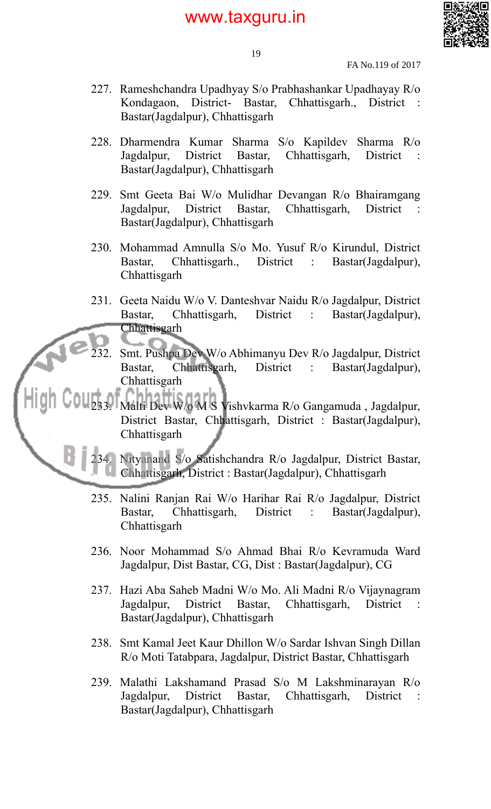

19

FA No.119 of 2017

- 227. Rameshchandra Upadhyay S/o Prabhashankar Upadhayay R/o Kondagaon, District- Bastar, Chhattisgarh., District : Bastar(Jagdalpur), Chhattisgarh
- 228. Dharmendra Kumar Sharma S/o Kapildev Sharma R/o Jagdalpur, District Bastar, Chhattisgarh, District : Bastar(Jagdalpur), Chhattisgarh
- 229. Smt Geeta Bai W/o Mulidhar Devangan R/o Bhairamgang Jagdalpur, District Bastar, Chhattisgarh, District : Bastar(Jagdalpur), Chhattisgarh
- 230. Mohammad Amnulla S/o Mo. Yusuf R/o Kirundul, District Bastar, Chhattisgarh., District : Bastar(Jagdalpur), Chhattisgarh
- 231. Geeta Naidu W/o V. Danteshvar Naidu R/o Jagdalpur, District Bastar, Chhattisgarh, District : Bastar(Jagdalpur), Chhattisgarh
	- 232. Smt. Pushpa Dev W/o Abhimanyu Dev R/o Jagdalpur, District Bastar, Chhattisgarh, District : Bastar(Jagdalpur), Chhattisgarh
- 233. Malti Dev W/o M S Vishvkarma R/o Gangamuda , Jagdalpur, District Bastar, Chhattisgarh, District : Bastar(Jagdalpur), Chhattisgarh
	- 234. Nityanand S/o Satishchandra R/o Jagdalpur, District Bastar, Chhattisgarh, District : Bastar(Jagdalpur), Chhattisgarh
	- 235. Nalini Ranjan Rai W/o Harihar Rai R/o Jagdalpur, District Bastar, Chhattisgarh, District : Bastar(Jagdalpur), **Chhattisgarh**
	- 236. Noor Mohammad S/o Ahmad Bhai R/o Kevramuda Ward Jagdalpur, Dist Bastar, CG, Dist : Bastar(Jagdalpur), CG
	- 237. Hazi Aba Saheb Madni W/o Mo. Ali Madni R/o Vijaynagram Jagdalpur, District Bastar, Chhattisgarh, District : Bastar(Jagdalpur), Chhattisgarh
	- 238. Smt Kamal Jeet Kaur Dhillon W/o Sardar Ishvan Singh Dillan R/o Moti Tatabpara, Jagdalpur, District Bastar, Chhattisgarh
	- 239. Malathi Lakshamand Prasad S/o M Lakshminarayan R/o Jagdalpur, District Bastar, Chhattisgarh, District : Bastar(Jagdalpur), Chhattisgarh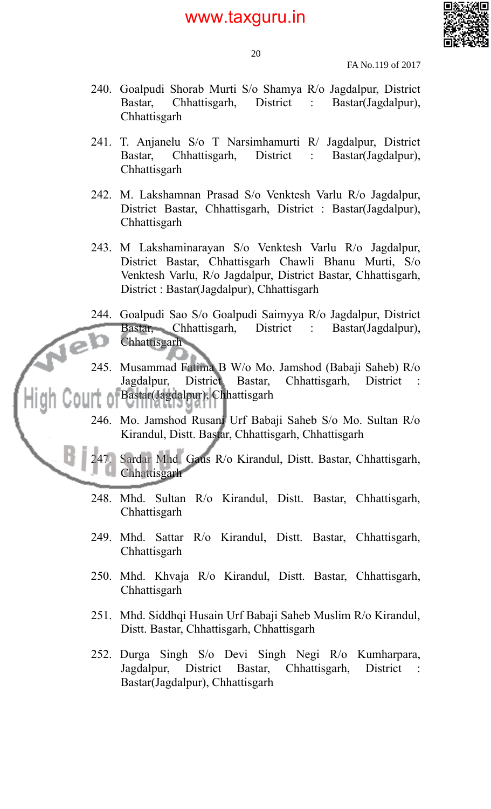

20

FA No.119 of 2017

- 240. Goalpudi Shorab Murti S/o Shamya R/o Jagdalpur, District Bastar, Chhattisgarh, District : Bastar(Jagdalpur), **Chhattisgarh**
- 241. T. Anjanelu S/o T Narsimhamurti R/ Jagdalpur, District Bastar, Chhattisgarh, District : Bastar(Jagdalpur), **Chhattisgarh**
- 242. M. Lakshamnan Prasad S/o Venktesh Varlu R/o Jagdalpur, District Bastar, Chhattisgarh, District : Bastar(Jagdalpur), Chhattisgarh
- 243. M Lakshaminarayan S/o Venktesh Varlu R/o Jagdalpur, District Bastar, Chhattisgarh Chawli Bhanu Murti, S/o Venktesh Varlu, R/o Jagdalpur, District Bastar, Chhattisgarh, District : Bastar(Jagdalpur), Chhattisgarh
- 244. Goalpudi Sao S/o Goalpudi Saimyya R/o Jagdalpur, District Bastar, Chhattisgarh, District : Bastar(Jagdalpur), Chhattisgarh
- 245. Musammad Fatima B W/o Mo. Jamshod (Babaji Saheb) R/o Jagdalpur, District Bastar, Chhattisgarh, District Bastar(Jagdalpur), Chhattisgarh
- 246. Mo. Jamshod Rusani Urf Babaji Saheb S/o Mo. Sultan R/o Kirandul, Distt. Bastar, Chhattisgarh, Chhattisgarh

247. Sardar Mhd. Gaus R/o Kirandul, Distt. Bastar, Chhattisgarh, Chhattisgarh

- 248. Mhd. Sultan R/o Kirandul, Distt. Bastar, Chhattisgarh, **Chhattisgarh**
- 249. Mhd. Sattar R/o Kirandul, Distt. Bastar, Chhattisgarh, **Chhattisgarh**
- 250. Mhd. Khvaja R/o Kirandul, Distt. Bastar, Chhattisgarh, **Chhattisgarh**
- 251. Mhd. Siddhqi Husain Urf Babaji Saheb Muslim R/o Kirandul, Distt. Bastar, Chhattisgarh, Chhattisgarh
- 252. Durga Singh S/o Devi Singh Negi R/o Kumharpara, Jagdalpur, District Bastar, Chhattisgarh, District : Bastar(Jagdalpur), Chhattisgarh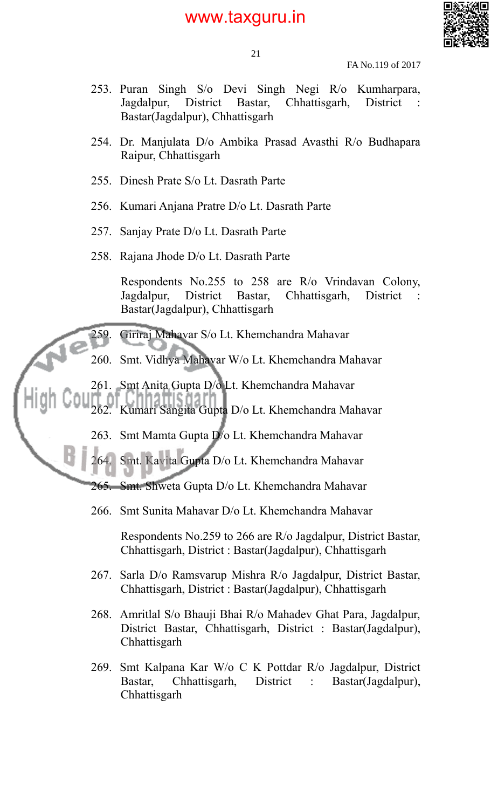

21

FA No.119 of 2017

- 253. Puran Singh S/o Devi Singh Negi R/o Kumharpara, Jagdalpur, District Bastar, Chhattisgarh, District : Bastar(Jagdalpur), Chhattisgarh
- 254. Dr. Manjulata D/o Ambika Prasad Avasthi R/o Budhapara Raipur, Chhattisgarh
- 255. Dinesh Prate S/o Lt. Dasrath Parte
- 256. Kumari Anjana Pratre D/o Lt. Dasrath Parte
- 257. Sanjay Prate D/o Lt. Dasrath Parte
- 258. Rajana Jhode D/o Lt. Dasrath Parte

Respondents No.255 to 258 are R/o Vrindavan Colony, Jagdalpur, District Bastar, Chhattisgarh, District : Bastar(Jagdalpur), Chhattisgarh

259. Giriraj Mahavar S/o Lt. Khemchandra Mahavar

- 260. Smt. Vidhya Mahavar W/o Lt. Khemchandra Mahavar
- 261. Smt Anita Gupta D/o Lt. Khemchandra Mahavar
	- 262. Kumari Sangita Gupta D/o Lt. Khemchandra Mahavar
		- 263. Smt Mamta Gupta D/o Lt. Khemchandra Mahavar

264. Smt. Kavita Gupta D/o Lt. Khemchandra Mahavar

265. Smt. Shweta Gupta D/o Lt. Khemchandra Mahavar

266. Smt Sunita Mahavar D/o Lt. Khemchandra Mahavar

Respondents No.259 to 266 are R/o Jagdalpur, District Bastar, Chhattisgarh, District : Bastar(Jagdalpur), Chhattisgarh

- 267. Sarla D/o Ramsvarup Mishra R/o Jagdalpur, District Bastar, Chhattisgarh, District : Bastar(Jagdalpur), Chhattisgarh
- 268. Amritlal S/o Bhauji Bhai R/o Mahadev Ghat Para, Jagdalpur, District Bastar, Chhattisgarh, District : Bastar(Jagdalpur), Chhattisgarh
- 269. Smt Kalpana Kar W/o C K Pottdar R/o Jagdalpur, District Bastar, Chhattisgarh, District : Bastar(Jagdalpur), **Chhattisgarh**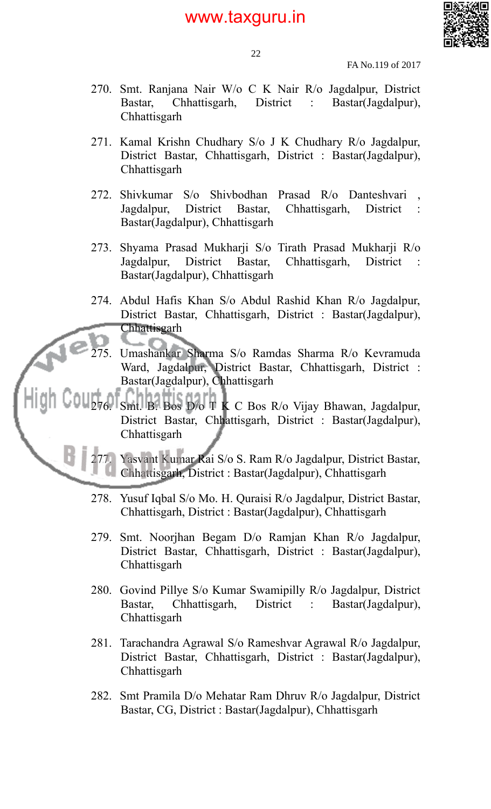

22

FA No.119 of 2017

- 270. Smt. Ranjana Nair W/o C K Nair R/o Jagdalpur, District Bastar, Chhattisgarh, District : Bastar(Jagdalpur), **Chhattisgarh**
- 271. Kamal Krishn Chudhary S/o J K Chudhary R/o Jagdalpur, District Bastar, Chhattisgarh, District : Bastar(Jagdalpur), **Chhattisgarh**
- 272. Shivkumar S/o Shivbodhan Prasad R/o Danteshvari , Jagdalpur, District Bastar, Chhattisgarh, District : Bastar(Jagdalpur), Chhattisgarh
- 273. Shyama Prasad Mukharji S/o Tirath Prasad Mukharji R/o Jagdalpur, District Bastar, Chhattisgarh, District : Bastar(Jagdalpur), Chhattisgarh
- 274. Abdul Hafis Khan S/o Abdul Rashid Khan R/o Jagdalpur, District Bastar, Chhattisgarh, District : Bastar(Jagdalpur), Chhattisgarh
	- 275. Umashankar Sharma S/o Ramdas Sharma R/o Kevramuda Ward, Jagdalpur, District Bastar, Chhattisgarh, District : Bastar(Jagdalpur), Chhattisgarh

276. Smt. B. Bos D/o T K C Bos R/o Vijay Bhawan, Jagdalpur, District Bastar, Chhattisgarh, District : Bastar(Jagdalpur), Chhattisgarh

Yasvant Kumar Rai S/o S. Ram R/o Jagdalpur, District Bastar, Chhattisgarh, District : Bastar(Jagdalpur), Chhattisgarh

- 278. Yusuf Iqbal S/o Mo. H. Quraisi R/o Jagdalpur, District Bastar, Chhattisgarh, District : Bastar(Jagdalpur), Chhattisgarh
- 279. Smt. Noorjhan Begam D/o Ramjan Khan R/o Jagdalpur, District Bastar, Chhattisgarh, District : Bastar(Jagdalpur), **Chhattisgarh**
- 280. Govind Pillye S/o Kumar Swamipilly R/o Jagdalpur, District Bastar, Chhattisgarh, District : Bastar(Jagdalpur), Chhattisgarh
- 281. Tarachandra Agrawal S/o Rameshvar Agrawal R/o Jagdalpur, District Bastar, Chhattisgarh, District : Bastar(Jagdalpur), **Chhattisgarh**
- 282. Smt Pramila D/o Mehatar Ram Dhruv R/o Jagdalpur, District Bastar, CG, District : Bastar(Jagdalpur), Chhattisgarh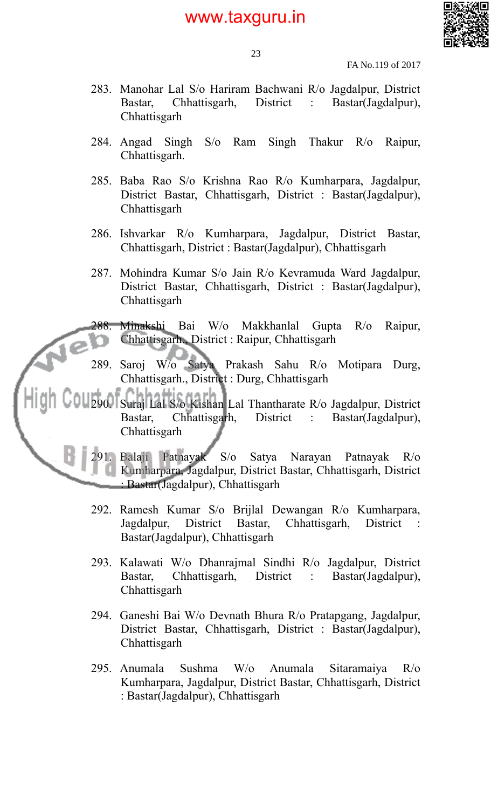

FA No.119 of 2017

- 283. Manohar Lal S/o Hariram Bachwani R/o Jagdalpur, District Bastar, Chhattisgarh, District : Bastar(Jagdalpur), **Chhattisgarh**
- 284. Angad Singh S/o Ram Singh Thakur R/o Raipur, Chhattisgarh.
- 285. Baba Rao S/o Krishna Rao R/o Kumharpara, Jagdalpur, District Bastar, Chhattisgarh, District : Bastar(Jagdalpur), **Chhattisgarh**
- 286. Ishvarkar R/o Kumharpara, Jagdalpur, District Bastar, Chhattisgarh, District : Bastar(Jagdalpur), Chhattisgarh
- 287. Mohindra Kumar S/o Jain R/o Kevramuda Ward Jagdalpur, District Bastar, Chhattisgarh, District : Bastar(Jagdalpur), **Chhattisgarh**

288. Minakshi Bai W/o Makkhanlal Gupta R/o Raipur, Chhattisgarh., District : Raipur, Chhattisgarh

289. Saroj W/o Satya Prakash Sahu R/o Motipara Durg, Chhattisgarh., District : Durg, Chhattisgarh

290. Suraj Lal S/o Kishan Lal Thantharate R/o Jagdalpur, District Bastar, Chhattisgarh, District : Bastar(Jagdalpur), **Chhattisgarh** 

291. Balaji Patnayak S/o Satya Narayan Patnayak R/o Kumharpara, Jagdalpur, District Bastar, Chhattisgarh, District : Bastar(Jagdalpur), Chhattisgarh

- 292. Ramesh Kumar S/o Brijlal Dewangan R/o Kumharpara, Jagdalpur, District Bastar, Chhattisgarh, District : Bastar(Jagdalpur), Chhattisgarh
- 293. Kalawati W/o Dhanrajmal Sindhi R/o Jagdalpur, District Bastar, Chhattisgarh, District : Bastar(Jagdalpur), **Chhattisgarh**
- 294. Ganeshi Bai W/o Devnath Bhura R/o Pratapgang, Jagdalpur, District Bastar, Chhattisgarh, District : Bastar(Jagdalpur), Chhattisgarh
- 295. Anumala Sushma W/o Anumala Sitaramaiya R/o Kumharpara, Jagdalpur, District Bastar, Chhattisgarh, District : Bastar(Jagdalpur), Chhattisgarh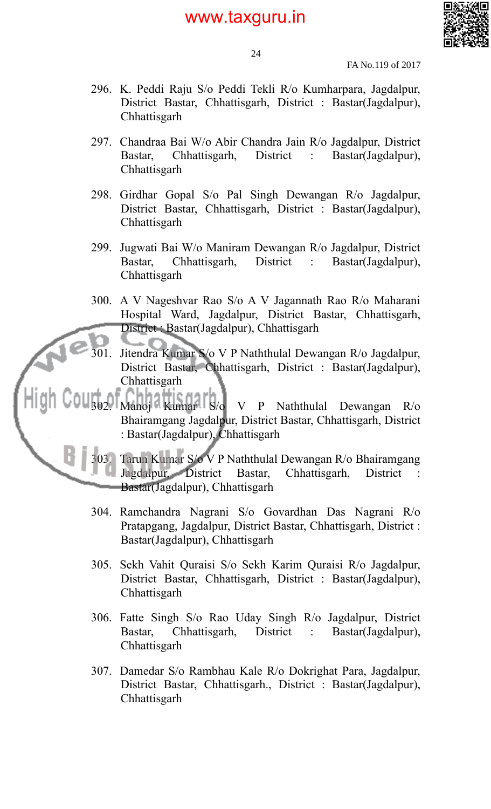

24

FA No.119 of 2017

- 296. K. Peddi Raju S/o Peddi Tekli R/o Kumharpara, Jagdalpur, District Bastar, Chhattisgarh, District : Bastar(Jagdalpur), **Chhattisgarh**
- 297. Chandraa Bai W/o Abir Chandra Jain R/o Jagdalpur, District Bastar, Chhattisgarh, District : Bastar(Jagdalpur), **Chhattisgarh**
- 298. Girdhar Gopal S/o Pal Singh Dewangan R/o Jagdalpur, District Bastar, Chhattisgarh, District : Bastar(Jagdalpur), **Chhattisgarh**
- 299. Jugwati Bai W/o Maniram Dewangan R/o Jagdalpur, District Bastar, Chhattisgarh, District : Bastar(Jagdalpur), **Chhattisgarh**
- 300. A V Nageshvar Rao S/o A V Jagannath Rao R/o Maharani Hospital Ward, Jagdalpur, District Bastar, Chhattisgarh, District : Bastar(Jagdalpur), Chhattisgarh
- 301. Jitendra Kumar S/o V P Naththulal Dewangan R/o Jagdalpur, District Bastar, Chhattisgarh, District : Bastar(Jagdalpur), Chhattisgarh
- 302. Manoj Kumar S/o V P Naththulal Dewangan R/o Bhairamgang Jagdalpur, District Bastar, Chhattisgarh, District : Bastar(Jagdalpur), Chhattisgarh

303. Tarun Kumar S/o V P Naththulal Dewangan R/o Bhairamgang Jagdalpur, District Bastar, Chhattisgarh, District : Bastar(Jagdalpur), Chhattisgarh

- 304. Ramchandra Nagrani S/o Govardhan Das Nagrani R/o Pratapgang, Jagdalpur, District Bastar, Chhattisgarh, District : Bastar(Jagdalpur), Chhattisgarh
- 305. Sekh Vahit Quraisi S/o Sekh Karim Quraisi R/o Jagdalpur, District Bastar, Chhattisgarh, District : Bastar(Jagdalpur), **Chhattisgarh**
- 306. Fatte Singh S/o Rao Uday Singh R/o Jagdalpur, District Bastar, Chhattisgarh, District : Bastar(Jagdalpur), **Chhattisgarh**
- 307. Damedar S/o Rambhau Kale R/o Dokrighat Para, Jagdalpur, District Bastar, Chhattisgarh., District : Bastar(Jagdalpur), **Chhattisgarh**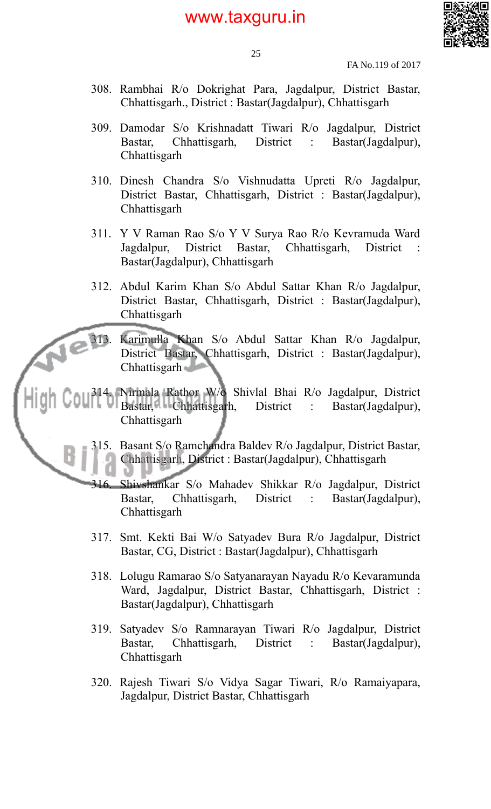

25

FA No.119 of 2017

- 308. Rambhai R/o Dokrighat Para, Jagdalpur, District Bastar, Chhattisgarh., District : Bastar(Jagdalpur), Chhattisgarh
- 309. Damodar S/o Krishnadatt Tiwari R/o Jagdalpur, District Bastar, Chhattisgarh, District : Bastar(Jagdalpur), **Chhattisgarh**
- 310. Dinesh Chandra S/o Vishnudatta Upreti R/o Jagdalpur, District Bastar, Chhattisgarh, District : Bastar(Jagdalpur), **Chhattisgarh**
- 311. Y V Raman Rao S/o Y V Surya Rao R/o Kevramuda Ward Jagdalpur, District Bastar, Chhattisgarh, District : Bastar(Jagdalpur), Chhattisgarh
- 312. Abdul Karim Khan S/o Abdul Sattar Khan R/o Jagdalpur, District Bastar, Chhattisgarh, District : Bastar(Jagdalpur), **Chhattisgarh**

313. Karimulla Khan S/o Abdul Sattar Khan R/o Jagdalpur, District Bastar, Chhattisgarh, District : Bastar(Jagdalpur), Chhattisgarh

314. Nirmala Rathor W/o Shivlal Bhai R/o Jagdalpur, District Bastar, Chhattisgarh, District : Bastar(Jagdalpur), **Chhattisgarh** 

> 315. Basant S/o Ramchandra Baldev R/o Jagdalpur, District Bastar, Chhattisgarh, District : Bastar(Jagdalpur), Chhattisgarh

- 316. Shivshankar S/o Mahadev Shikkar R/o Jagdalpur, District Bastar, Chhattisgarh, District : Bastar(Jagdalpur), Chhattisgarh
- 317. Smt. Kekti Bai W/o Satyadev Bura R/o Jagdalpur, District Bastar, CG, District : Bastar(Jagdalpur), Chhattisgarh
- 318. Lolugu Ramarao S/o Satyanarayan Nayadu R/o Kevaramunda Ward, Jagdalpur, District Bastar, Chhattisgarh, District : Bastar(Jagdalpur), Chhattisgarh
- 319. Satyadev S/o Ramnarayan Tiwari R/o Jagdalpur, District Bastar, Chhattisgarh, District : Bastar(Jagdalpur), **Chhattisgarh**
- 320. Rajesh Tiwari S/o Vidya Sagar Tiwari, R/o Ramaiyapara, Jagdalpur, District Bastar, Chhattisgarh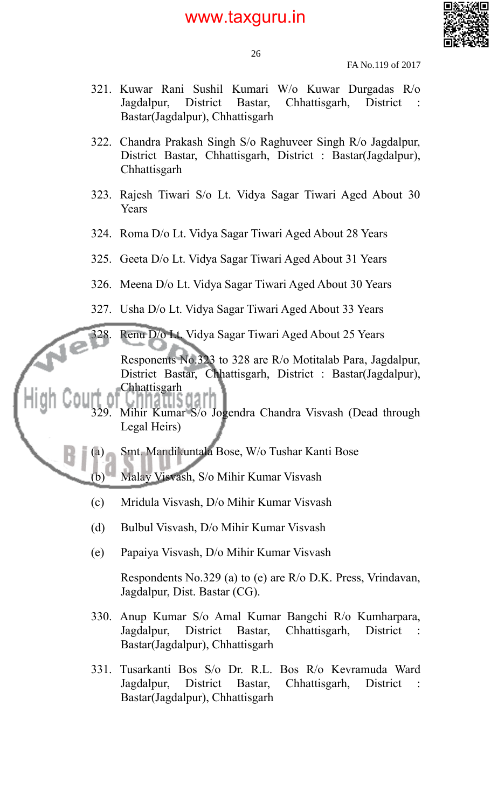

26

FA No.119 of 2017

- 321. Kuwar Rani Sushil Kumari W/o Kuwar Durgadas R/o Jagdalpur, District Bastar, Chhattisgarh, District : Bastar(Jagdalpur), Chhattisgarh
- 322. Chandra Prakash Singh S/o Raghuveer Singh R/o Jagdalpur, District Bastar, Chhattisgarh, District : Bastar(Jagdalpur), **Chhattisgarh**
- 323. Rajesh Tiwari S/o Lt. Vidya Sagar Tiwari Aged About 30 **Years**
- 324. Roma D/o Lt. Vidya Sagar Tiwari Aged About 28 Years
- 325. Geeta D/o Lt. Vidya Sagar Tiwari Aged About 31 Years
- 326. Meena D/o Lt. Vidya Sagar Tiwari Aged About 30 Years
- 327. Usha D/o Lt. Vidya Sagar Tiwari Aged About 33 Years
- 328. Renu D/o Lt. Vidya Sagar Tiwari Aged About 25 Years

Responents No.323 to 328 are R/o Motitalab Para, Jagdalpur, District Bastar, Chhattisgarh, District : Bastar(Jagdalpur), **Chhattisgarh** 

- , nnatus oarr Mihir Kumar S/o Jogendra Chandra Visvash (Dead through Legal Heirs)
- Smt. Mandikuntala Bose, W/o Tushar Kanti Bose
	- (b) Malay Visvash, S/o Mihir Kumar Visvash
	- (c) Mridula Visvash, D/o Mihir Kumar Visvash
	- (d) Bulbul Visvash, D/o Mihir Kumar Visvash
	- (e) Papaiya Visvash, D/o Mihir Kumar Visvash

Respondents No.329 (a) to (e) are R/o D.K. Press, Vrindavan, Jagdalpur, Dist. Bastar (CG).

- 330. Anup Kumar S/o Amal Kumar Bangchi R/o Kumharpara, Jagdalpur, District Bastar, Chhattisgarh, District : Bastar(Jagdalpur), Chhattisgarh
- 331. Tusarkanti Bos S/o Dr. R.L. Bos R/o Kevramuda Ward Jagdalpur, District Bastar, Chhattisgarh, District : Bastar(Jagdalpur), Chhattisgarh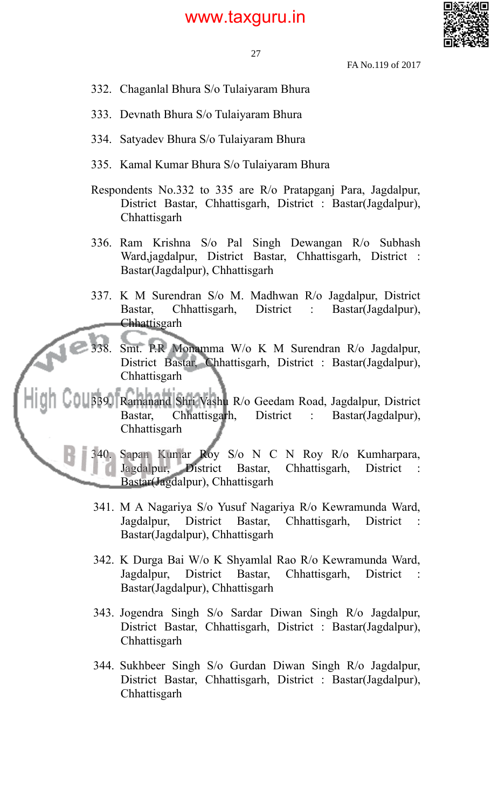

- 332. Chaganlal Bhura S/o Tulaiyaram Bhura
- 333. Devnath Bhura S/o Tulaiyaram Bhura
- 334. Satyadev Bhura S/o Tulaiyaram Bhura
- 335. Kamal Kumar Bhura S/o Tulaiyaram Bhura
- Respondents No.332 to 335 are R/o Pratapganj Para, Jagdalpur, District Bastar, Chhattisgarh, District : Bastar(Jagdalpur), Chhattisgarh
- 336. Ram Krishna S/o Pal Singh Dewangan R/o Subhash Ward,jagdalpur, District Bastar, Chhattisgarh, District : Bastar(Jagdalpur), Chhattisgarh
- 337. K M Surendran S/o M. Madhwan R/o Jagdalpur, District Bastar, Chhattisgarh, District : Bastar(Jagdalpur), Chhattisgarh
- 338. Smt. P.R Monamma W/o K M Surendran R/o Jagdalpur, District Bastar, Chhattisgarh, District : Bastar(Jagdalpur), **Chhattisgarh**

339. Ramanand Shri Vashu R/o Geedam Road, Jagdalpur, District Bastar, Chhattisgarh, District : Bastar(Jagdalpur), **Chhattisgarh** 

> 340. Sapan Kumar Roy S/o N C N Roy R/o Kumharpara, Jagdalpur, District Bastar, Chhattisgarh, District : Bastar(Jagdalpur), Chhattisgarh

- 341. M A Nagariya S/o Yusuf Nagariya R/o Kewramunda Ward, Jagdalpur, District Bastar, Chhattisgarh, District : Bastar(Jagdalpur), Chhattisgarh
- 342. K Durga Bai W/o K Shyamlal Rao R/o Kewramunda Ward, Jagdalpur, District Bastar, Chhattisgarh, District : Bastar(Jagdalpur), Chhattisgarh
- 343. Jogendra Singh S/o Sardar Diwan Singh R/o Jagdalpur, District Bastar, Chhattisgarh, District : Bastar(Jagdalpur), **Chhattisgarh**
- 344. Sukhbeer Singh S/o Gurdan Diwan Singh R/o Jagdalpur, District Bastar, Chhattisgarh, District : Bastar(Jagdalpur), Chhattisgarh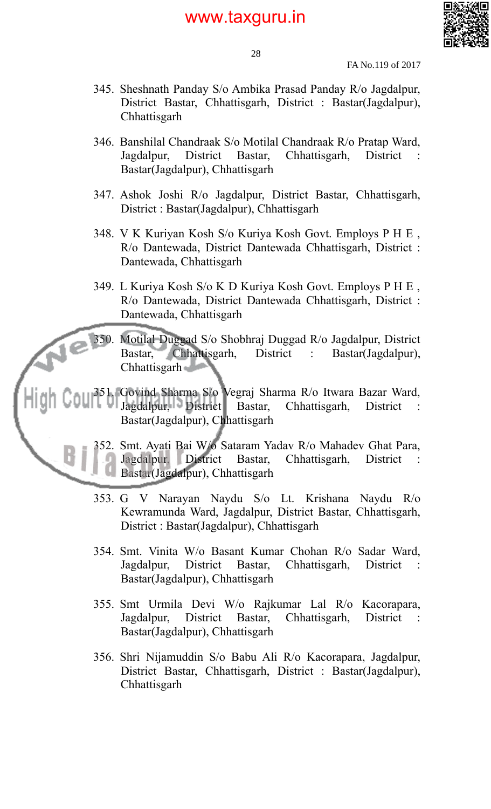

28

FA No.119 of 2017

- 345. Sheshnath Panday S/o Ambika Prasad Panday R/o Jagdalpur, District Bastar, Chhattisgarh, District : Bastar(Jagdalpur), **Chhattisgarh**
- 346. Banshilal Chandraak S/o Motilal Chandraak R/o Pratap Ward, Jagdalpur, District Bastar, Chhattisgarh, District : Bastar(Jagdalpur), Chhattisgarh
- 347. Ashok Joshi R/o Jagdalpur, District Bastar, Chhattisgarh, District : Bastar(Jagdalpur), Chhattisgarh
- 348. V K Kuriyan Kosh S/o Kuriya Kosh Govt. Employs P H E , R/o Dantewada, District Dantewada Chhattisgarh, District : Dantewada, Chhattisgarh
- 349. L Kuriya Kosh S/o K D Kuriya Kosh Govt. Employs P H E , R/o Dantewada, District Dantewada Chhattisgarh, District : Dantewada, Chhattisgarh
- 350. Motilal Duggad S/o Shobhraj Duggad R/o Jagdalpur, District Bastar, Chhattisgarh, District : Bastar(Jagdalpur), Chhattisgarh
- 351. Govind Sharma S/o Vegraj Sharma R/o Itwara Bazar Ward, Jagdalpur, District Bastar, Chhattisgarh, District Bastar(Jagdalpur), Chhattisgarh
	- 352. Smt. Ayati Bai W/o Sataram Yadav R/o Mahadev Ghat Para, Jagdalpur, District Bastar, Chhattisgarh, District Bastar(Jagdalpur), Chhattisgarh
	- 353. G V Narayan Naydu S/o Lt. Krishana Naydu R/o Kewramunda Ward, Jagdalpur, District Bastar, Chhattisgarh, District : Bastar(Jagdalpur), Chhattisgarh
	- 354. Smt. Vinita W/o Basant Kumar Chohan R/o Sadar Ward, Jagdalpur, District Bastar, Chhattisgarh, District : Bastar(Jagdalpur), Chhattisgarh
	- 355. Smt Urmila Devi W/o Rajkumar Lal R/o Kacorapara, Jagdalpur, District Bastar, Chhattisgarh, District : Bastar(Jagdalpur), Chhattisgarh
	- 356. Shri Nijamuddin S/o Babu Ali R/o Kacorapara, Jagdalpur, District Bastar, Chhattisgarh, District : Bastar(Jagdalpur), Chhattisgarh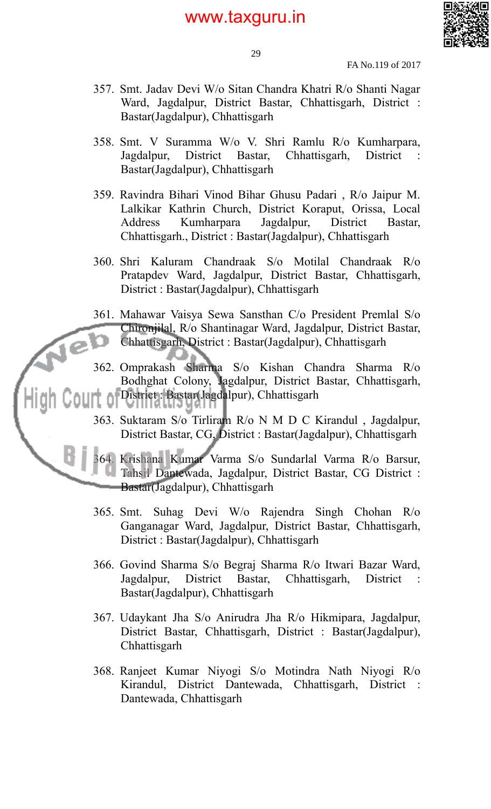

29

FA No.119 of 2017

- 357. Smt. Jadav Devi W/o Sitan Chandra Khatri R/o Shanti Nagar Ward, Jagdalpur, District Bastar, Chhattisgarh, District : Bastar(Jagdalpur), Chhattisgarh
- 358. Smt. V Suramma W/o V. Shri Ramlu R/o Kumharpara, Jagdalpur, District Bastar, Chhattisgarh, District Bastar(Jagdalpur), Chhattisgarh
- 359. Ravindra Bihari Vinod Bihar Ghusu Padari , R/o Jaipur M. Lalkikar Kathrin Church, District Koraput, Orissa, Local Address Kumharpara Jagdalpur, District Bastar, Chhattisgarh., District : Bastar(Jagdalpur), Chhattisgarh
- 360. Shri Kaluram Chandraak S/o Motilal Chandraak R/o Pratapdev Ward, Jagdalpur, District Bastar, Chhattisgarh, District : Bastar(Jagdalpur), Chhattisgarh
- 361. Mahawar Vaisya Sewa Sansthan C/o President Premlal S/o Chironjilal, R/o Shantinagar Ward, Jagdalpur, District Bastar, Chhattisgarh, District : Bastar(Jagdalpur), Chhattisgarh

 $\epsilon$ 

B j

- 362. Omprakash Sharma S/o Kishan Chandra Sharma R/o Bodhghat Colony, Jagdalpur, District Bastar, Chhattisgarh, District : Bastar(Jagdalpur), Chhattisgarh
	- 363. Suktaram S/o Tirliram R/o N M D C Kirandul , Jagdalpur, District Bastar, CG, District : Bastar(Jagdalpur), Chhattisgarh
	- 364. Krishana Kumar Varma S/o Sundarlal Varma R/o Barsur, Tahsil Dantewada, Jagdalpur, District Bastar, CG District : Bastar(Jagdalpur), Chhattisgarh
		- 365. Smt. Suhag Devi W/o Rajendra Singh Chohan R/o Ganganagar Ward, Jagdalpur, District Bastar, Chhattisgarh, District : Bastar(Jagdalpur), Chhattisgarh
		- 366. Govind Sharma S/o Begraj Sharma R/o Itwari Bazar Ward, Jagdalpur, District Bastar, Chhattisgarh, District : Bastar(Jagdalpur), Chhattisgarh
		- 367. Udaykant Jha S/o Anirudra Jha R/o Hikmipara, Jagdalpur, District Bastar, Chhattisgarh, District : Bastar(Jagdalpur), **Chhattisgarh**
		- 368. Ranjeet Kumar Niyogi S/o Motindra Nath Niyogi R/o Kirandul, District Dantewada, Chhattisgarh, District : Dantewada, Chhattisgarh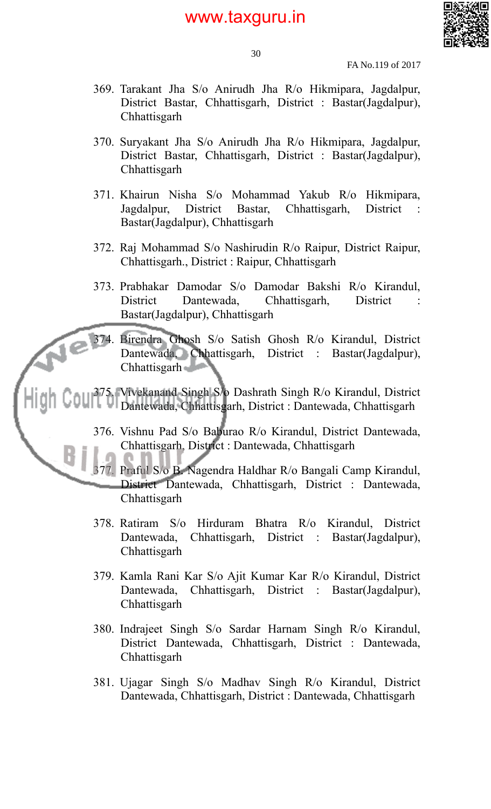

30

FA No.119 of 2017

- 369. Tarakant Jha S/o Anirudh Jha R/o Hikmipara, Jagdalpur, District Bastar, Chhattisgarh, District : Bastar(Jagdalpur), **Chhattisgarh**
- 370. Suryakant Jha S/o Anirudh Jha R/o Hikmipara, Jagdalpur, District Bastar, Chhattisgarh, District : Bastar(Jagdalpur), **Chhattisgarh**
- 371. Khairun Nisha S/o Mohammad Yakub R/o Hikmipara, Jagdalpur, District Bastar, Chhattisgarh, District : Bastar(Jagdalpur), Chhattisgarh
- 372. Raj Mohammad S/o Nashirudin R/o Raipur, District Raipur, Chhattisgarh., District : Raipur, Chhattisgarh
- 373. Prabhakar Damodar S/o Damodar Bakshi R/o Kirandul, District Dantewada, Chhattisgarh, District Bastar(Jagdalpur), Chhattisgarh

374. Birendra Ghosh S/o Satish Ghosh R/o Kirandul, District Dantewada, Chhattisgarh, District : Bastar(Jagdalpur), Chhattisgarh

375. Vivekanand Singh S/o Dashrath Singh R/o Kirandul, District Dantewada, Chhattisgarh, District : Dantewada, Chhattisgarh

> 376. Vishnu Pad S/o Baburao R/o Kirandul, District Dantewada, Chhattisgarh, District : Dantewada, Chhattisgarh

> 377. Praful S/o B. Nagendra Haldhar R/o Bangali Camp Kirandul, District Dantewada, Chhattisgarh, District : Dantewada, **Chhattisgarh**

- 378. Ratiram S/o Hirduram Bhatra R/o Kirandul, District Dantewada, Chhattisgarh, District : Bastar(Jagdalpur), **Chhattisgarh**
- 379. Kamla Rani Kar S/o Ajit Kumar Kar R/o Kirandul, District Dantewada, Chhattisgarh, District : Bastar(Jagdalpur), **Chhattisgarh**
- 380. Indrajeet Singh S/o Sardar Harnam Singh R/o Kirandul, District Dantewada, Chhattisgarh, District : Dantewada, Chhattisgarh
- 381. Ujagar Singh S/o Madhav Singh R/o Kirandul, District Dantewada, Chhattisgarh, District : Dantewada, Chhattisgarh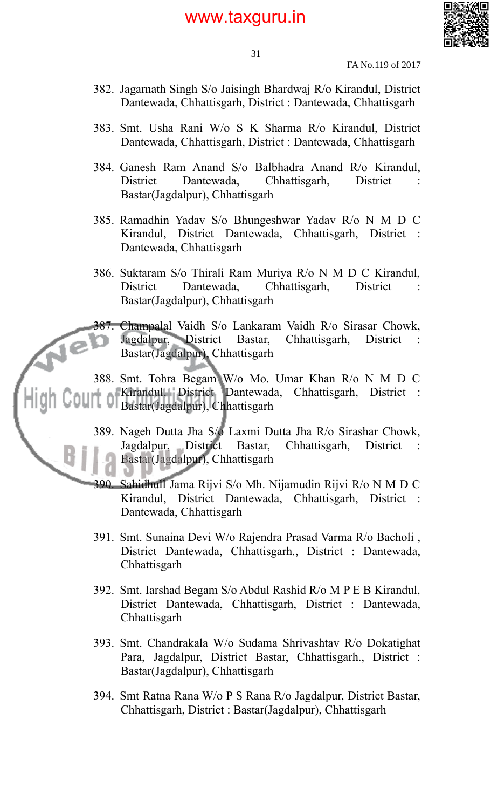

31

FA No.119 of 2017

- 382. Jagarnath Singh S/o Jaisingh Bhardwaj R/o Kirandul, District Dantewada, Chhattisgarh, District : Dantewada, Chhattisgarh
- 383. Smt. Usha Rani W/o S K Sharma R/o Kirandul, District Dantewada, Chhattisgarh, District : Dantewada, Chhattisgarh
- 384. Ganesh Ram Anand S/o Balbhadra Anand R/o Kirandul, District Dantewada, Chhattisgarh, District Bastar(Jagdalpur), Chhattisgarh
- 385. Ramadhin Yadav S/o Bhungeshwar Yadav R/o N M D C Kirandul, District Dantewada, Chhattisgarh, District : Dantewada, Chhattisgarh
- 386. Suktaram S/o Thirali Ram Muriya R/o N M D C Kirandul, District Dantewada, Chhattisgarh, District Bastar(Jagdalpur), Chhattisgarh

387. Champalal Vaidh S/o Lankaram Vaidh R/o Sirasar Chowk, Jagdalpur, District Bastar, Chhattisgarh, District Bastar(Jagdalpur), Chhattisgarh

388. Smt. Tohra Begam W/o Mo. Umar Khan R/o N M D C Kirandul, District Dantewada, Chhattisgarh, District : Bastar(Jagdalpur), Chhattisgarh

- 389. Nageh Dutta Jha S/o Laxmi Dutta Jha R/o Sirashar Chowk, Jagdalpur, District Bastar, Chhattisgarh, District : Bastar(Jagdalpur), Chhattisgarh
- 390. Sahidhull Jama Rijvi S/o Mh. Nijamudin Rijvi R/o N M D C Kirandul, District Dantewada, Chhattisgarh, District : Dantewada, Chhattisgarh
- 391. Smt. Sunaina Devi W/o Rajendra Prasad Varma R/o Bacholi , District Dantewada, Chhattisgarh., District : Dantewada, Chhattisgarh
- 392. Smt. Iarshad Begam S/o Abdul Rashid R/o M P E B Kirandul, District Dantewada, Chhattisgarh, District : Dantewada, Chhattisgarh
- 393. Smt. Chandrakala W/o Sudama Shrivashtav R/o Dokatighat Para, Jagdalpur, District Bastar, Chhattisgarh., District : Bastar(Jagdalpur), Chhattisgarh
- 394. Smt Ratna Rana W/o P S Rana R/o Jagdalpur, District Bastar, Chhattisgarh, District : Bastar(Jagdalpur), Chhattisgarh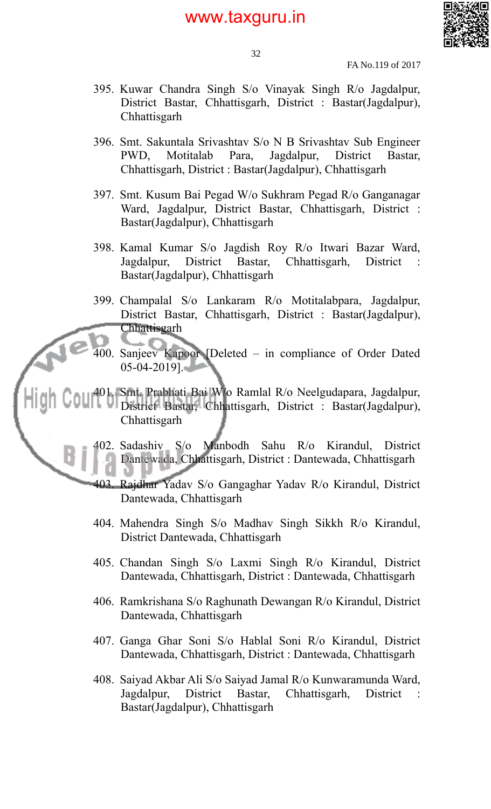

32

FA No.119 of 2017

- 395. Kuwar Chandra Singh S/o Vinayak Singh R/o Jagdalpur, District Bastar, Chhattisgarh, District : Bastar(Jagdalpur), **Chhattisgarh**
- 396. Smt. Sakuntala Srivashtav S/o N B Srivashtav Sub Engineer PWD, Motitalab Para, Jagdalpur, District Bastar, Chhattisgarh, District : Bastar(Jagdalpur), Chhattisgarh
- 397. Smt. Kusum Bai Pegad W/o Sukhram Pegad R/o Ganganagar Ward, Jagdalpur, District Bastar, Chhattisgarh, District : Bastar(Jagdalpur), Chhattisgarh
- 398. Kamal Kumar S/o Jagdish Roy R/o Itwari Bazar Ward, Jagdalpur, District Bastar, Chhattisgarh, District : Bastar(Jagdalpur), Chhattisgarh
- 399. Champalal S/o Lankaram R/o Motitalabpara, Jagdalpur, District Bastar, Chhattisgarh, District : Bastar(Jagdalpur), Chhattisgarh
- 400. Sanjeev Kapoor [Deleted in compliance of Order Dated 05-04-2019].

401. Smt. Prabhati Bai W/o Ramlal R/o Neelgudapara, Jagdalpur, District Bastar, Chhattisgarh, District : Bastar(Jagdalpur), **Chhattisgarh** 

> 402. Sadashiv S/o Manbodh Sahu R/o Kirandul, District Dantewada, Chhattisgarh, District : Dantewada, Chhattisgarh

> 403. Rajdhar Yadav S/o Gangaghar Yadav R/o Kirandul, District Dantewada, Chhattisgarh

- 404. Mahendra Singh S/o Madhav Singh Sikkh R/o Kirandul, District Dantewada, Chhattisgarh
- 405. Chandan Singh S/o Laxmi Singh R/o Kirandul, District Dantewada, Chhattisgarh, District : Dantewada, Chhattisgarh
- 406. Ramkrishana S/o Raghunath Dewangan R/o Kirandul, District Dantewada, Chhattisgarh
- 407. Ganga Ghar Soni S/o Hablal Soni R/o Kirandul, District Dantewada, Chhattisgarh, District : Dantewada, Chhattisgarh
- 408. Saiyad Akbar Ali S/o Saiyad Jamal R/o Kunwaramunda Ward, Jagdalpur, District Bastar, Chhattisgarh, District : Bastar(Jagdalpur), Chhattisgarh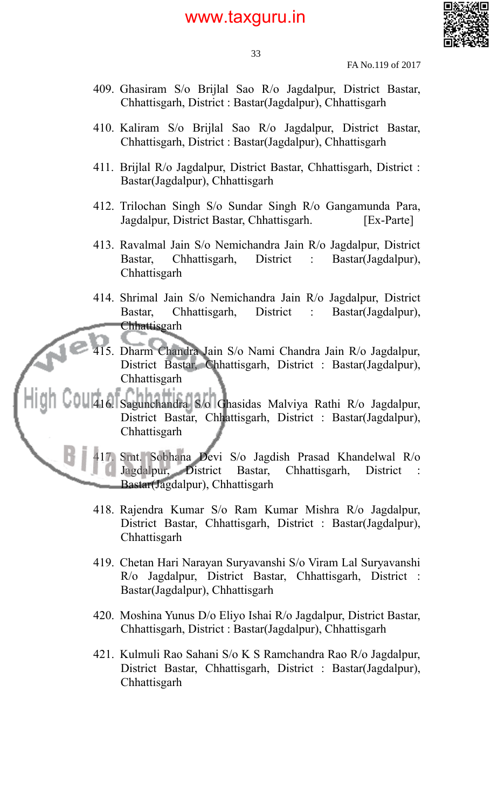

33

FA No.119 of 2017

- 409. Ghasiram S/o Brijlal Sao R/o Jagdalpur, District Bastar, Chhattisgarh, District : Bastar(Jagdalpur), Chhattisgarh
- 410. Kaliram S/o Brijlal Sao R/o Jagdalpur, District Bastar, Chhattisgarh, District : Bastar(Jagdalpur), Chhattisgarh
- 411. Brijlal R/o Jagdalpur, District Bastar, Chhattisgarh, District : Bastar(Jagdalpur), Chhattisgarh
- 412. Trilochan Singh S/o Sundar Singh R/o Gangamunda Para, Jagdalpur, District Bastar, Chhattisgarh. [Ex-Parte]
- 413. Ravalmal Jain S/o Nemichandra Jain R/o Jagdalpur, District Bastar, Chhattisgarh, District : Bastar(Jagdalpur), Chhattisgarh
- 414. Shrimal Jain S/o Nemichandra Jain R/o Jagdalpur, District Bastar, Chhattisgarh, District : Bastar(Jagdalpur), **Chhattisgarh** 
	- 415. Dharm Chandra Jain S/o Nami Chandra Jain R/o Jagdalpur, District Bastar, Chhattisgarh, District : Bastar(Jagdalpur), **Chhattisgarh**

416. Sagunchandra S/o Ghasidas Malviya Rathi R/o Jagdalpur, District Bastar, Chhattisgarh, District : Bastar(Jagdalpur), **Chhattisgarh** 

417. Smt. Sobhana Devi S/o Jagdish Prasad Khandelwal R/o Jagdalpur, District Bastar, Chhattisgarh, District : Bastar(Jagdalpur), Chhattisgarh

- 418. Rajendra Kumar S/o Ram Kumar Mishra R/o Jagdalpur, District Bastar, Chhattisgarh, District : Bastar(Jagdalpur), **Chhattisgarh**
- 419. Chetan Hari Narayan Suryavanshi S/o Viram Lal Suryavanshi R/o Jagdalpur, District Bastar, Chhattisgarh, District : Bastar(Jagdalpur), Chhattisgarh
- 420. Moshina Yunus D/o Eliyo Ishai R/o Jagdalpur, District Bastar, Chhattisgarh, District : Bastar(Jagdalpur), Chhattisgarh
- 421. Kulmuli Rao Sahani S/o K S Ramchandra Rao R/o Jagdalpur, District Bastar, Chhattisgarh, District : Bastar(Jagdalpur), **Chhattisgarh**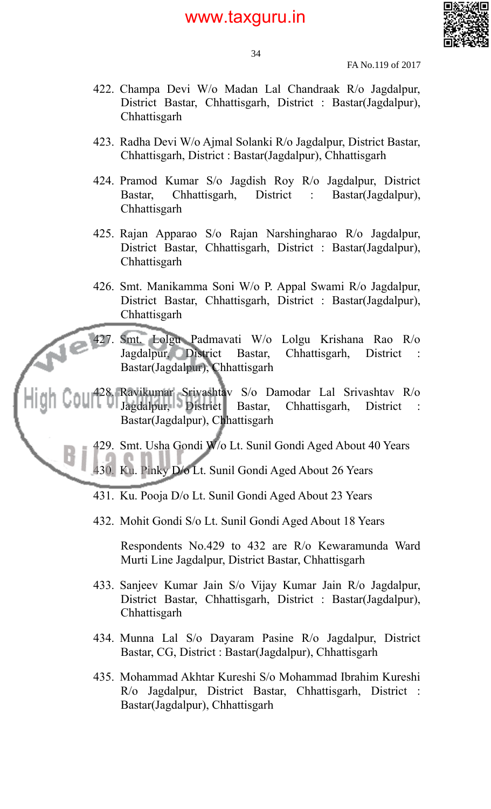

34

FA No.119 of 2017

- 422. Champa Devi W/o Madan Lal Chandraak R/o Jagdalpur, District Bastar, Chhattisgarh, District : Bastar(Jagdalpur), **Chhattisgarh**
- 423. Radha Devi W/o Ajmal Solanki R/o Jagdalpur, District Bastar, Chhattisgarh, District : Bastar(Jagdalpur), Chhattisgarh
- 424. Pramod Kumar S/o Jagdish Roy R/o Jagdalpur, District Bastar, Chhattisgarh, District : Bastar(Jagdalpur), **Chhattisgarh**
- 425. Rajan Apparao S/o Rajan Narshingharao R/o Jagdalpur, District Bastar, Chhattisgarh, District : Bastar(Jagdalpur), **Chhattisgarh**
- 426. Smt. Manikamma Soni W/o P. Appal Swami R/o Jagdalpur, District Bastar, Chhattisgarh, District : Bastar(Jagdalpur), **Chhattisgarh**

427. Smt. Lolgu Padmavati W/o Lolgu Krishana Rao R/o Jagdalpur, District Bastar, Chhattisgarh, District : Bastar(Jagdalpur), Chhattisgarh

428. Ravikumar Srivashtav S/o Damodar Lal Srivashtav R/o Jagdalpur, District Bastar, Chhattisgarh, District : Bastar(Jagdalpur), Chhattisgarh

429. Smt. Usha Gondi W/o Lt. Sunil Gondi Aged About 40 Years

430. Ku. Pinky D/o Lt. Sunil Gondi Aged About 26 Years

- 431. Ku. Pooja D/o Lt. Sunil Gondi Aged About 23 Years
- 432. Mohit Gondi S/o Lt. Sunil Gondi Aged About 18 Years

Respondents No.429 to 432 are R/o Kewaramunda Ward Murti Line Jagdalpur, District Bastar, Chhattisgarh

- 433. Sanjeev Kumar Jain S/o Vijay Kumar Jain R/o Jagdalpur, District Bastar, Chhattisgarh, District : Bastar(Jagdalpur), **Chhattisgarh**
- 434. Munna Lal S/o Dayaram Pasine R/o Jagdalpur, District Bastar, CG, District : Bastar(Jagdalpur), Chhattisgarh
- 435. Mohammad Akhtar Kureshi S/o Mohammad Ibrahim Kureshi R/o Jagdalpur, District Bastar, Chhattisgarh, District : Bastar(Jagdalpur), Chhattisgarh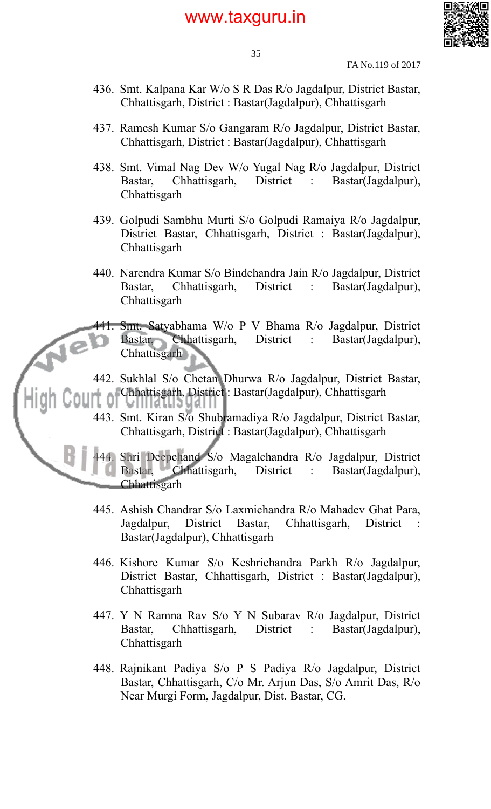

35

FA No.119 of 2017

- 436. Smt. Kalpana Kar W/o S R Das R/o Jagdalpur, District Bastar, Chhattisgarh, District : Bastar(Jagdalpur), Chhattisgarh
- 437. Ramesh Kumar S/o Gangaram R/o Jagdalpur, District Bastar, Chhattisgarh, District : Bastar(Jagdalpur), Chhattisgarh
- 438. Smt. Vimal Nag Dev W/o Yugal Nag R/o Jagdalpur, District Bastar, Chhattisgarh, District : Bastar(Jagdalpur), **Chhattisgarh**
- 439. Golpudi Sambhu Murti S/o Golpudi Ramaiya R/o Jagdalpur, District Bastar, Chhattisgarh, District : Bastar(Jagdalpur), **Chhattisgarh**
- 440. Narendra Kumar S/o Bindchandra Jain R/o Jagdalpur, District Bastar, Chhattisgarh, District : Bastar(Jagdalpur), **Chhattisgarh**

441. Smt. Satyabhama W/o P V Bhama R/o Jagdalpur, District Bastar, Chhattisgarh, District : Bastar(Jagdalpur), **Chhattisgarh** 

- 442. Sukhlal S/o Chetan Dhurwa R/o Jagdalpur, District Bastar, Chhattisgarh, District : Bastar(Jagdalpur), Chhattisgarh Ü
- 443. Smt. Kiran S/o Shubramadiya R/o Jagdalpur, District Bastar, Chhattisgarh, District : Bastar(Jagdalpur), Chhattisgarh

44. Shri Deepchand S/o Magalchandra R/o Jagdalpur, District Bastar, Chhattisgarh, District : Bastar(Jagdalpur), Chhattisgarh

- 445. Ashish Chandrar S/o Laxmichandra R/o Mahadev Ghat Para, Jagdalpur, District Bastar, Chhattisgarh, District : Bastar(Jagdalpur), Chhattisgarh
- 446. Kishore Kumar S/o Keshrichandra Parkh R/o Jagdalpur, District Bastar, Chhattisgarh, District : Bastar(Jagdalpur), **Chhattisgarh**
- 447. Y N Ramna Rav S/o Y N Subarav R/o Jagdalpur, District Bastar, Chhattisgarh, District : Bastar(Jagdalpur), **Chhattisgarh**
- 448. Rajnikant Padiya S/o P S Padiya R/o Jagdalpur, District Bastar, Chhattisgarh, C/o Mr. Arjun Das, S/o Amrit Das, R/o Near Murgi Form, Jagdalpur, Dist. Bastar, CG.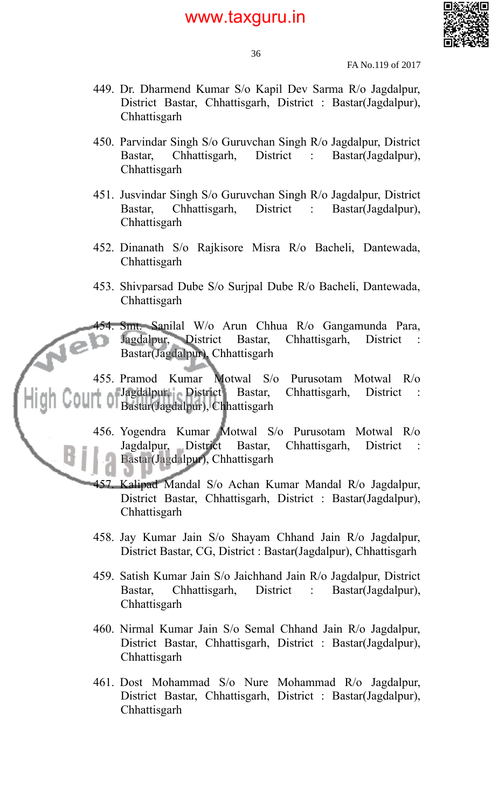

36

FA No.119 of 2017

- 449. Dr. Dharmend Kumar S/o Kapil Dev Sarma R/o Jagdalpur, District Bastar, Chhattisgarh, District : Bastar(Jagdalpur), **Chhattisgarh**
- 450. Parvindar Singh S/o Guruvchan Singh R/o Jagdalpur, District Bastar, Chhattisgarh, District : Bastar(Jagdalpur), **Chhattisgarh**
- 451. Jusvindar Singh S/o Guruvchan Singh R/o Jagdalpur, District Bastar, Chhattisgarh, District : Bastar(Jagdalpur), Chhattisgarh
- 452. Dinanath S/o Rajkisore Misra R/o Bacheli, Dantewada, **Chhattisgarh**
- 453. Shivparsad Dube S/o Surjpal Dube R/o Bacheli, Dantewada, **Chhattisgarh**

454. Smt. Sanilal W/o Arun Chhua R/o Gangamunda Para, Jagdalpur, District Bastar, Chhattisgarh, District Bastar(Jagdalpur), Chhattisgarh

455. Pramod Kumar Motwal S/o Purusotam Motwal R/o Jagdalpur, District Bastar, Chhattisgarh, District Bastar Chhattisgarh, District Bastar(Jagdalpur), Chhattisgarh

- 456. Yogendra Kumar Motwal S/o Purusotam Motwal R/o Jagdalpur, District Bastar, Chhattisgarh, District : Bastar(Jagdalpur), Chhattisgarh
- 457. Kalipad Mandal S/o Achan Kumar Mandal R/o Jagdalpur, District Bastar, Chhattisgarh, District : Bastar(Jagdalpur), **Chhattisgarh**
- 458. Jay Kumar Jain S/o Shayam Chhand Jain R/o Jagdalpur, District Bastar, CG, District : Bastar(Jagdalpur), Chhattisgarh
- 459. Satish Kumar Jain S/o Jaichhand Jain R/o Jagdalpur, District Bastar, Chhattisgarh, District : Bastar(Jagdalpur), **Chhattisgarh**
- 460. Nirmal Kumar Jain S/o Semal Chhand Jain R/o Jagdalpur, District Bastar, Chhattisgarh, District : Bastar(Jagdalpur), **Chhattisgarh**
- 461. Dost Mohammad S/o Nure Mohammad R/o Jagdalpur, District Bastar, Chhattisgarh, District : Bastar(Jagdalpur), **Chhattisgarh**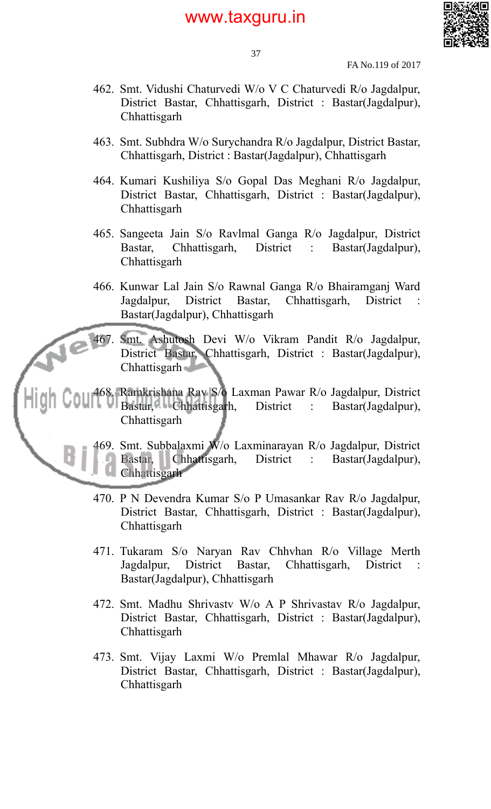

37

FA No.119 of 2017

- 462. Smt. Vidushi Chaturvedi W/o V C Chaturvedi R/o Jagdalpur, District Bastar, Chhattisgarh, District : Bastar(Jagdalpur), **Chhattisgarh**
- 463. Smt. Subhdra W/o Surychandra R/o Jagdalpur, District Bastar, Chhattisgarh, District : Bastar(Jagdalpur), Chhattisgarh
- 464. Kumari Kushiliya S/o Gopal Das Meghani R/o Jagdalpur, District Bastar, Chhattisgarh, District : Bastar(Jagdalpur), **Chhattisgarh**
- 465. Sangeeta Jain S/o Ravlmal Ganga R/o Jagdalpur, District Bastar, Chhattisgarh, District : Bastar(Jagdalpur), Chhattisgarh
- 466. Kunwar Lal Jain S/o Rawnal Ganga R/o Bhairamganj Ward Jagdalpur, District Bastar, Chhattisgarh, District Bastar(Jagdalpur), Chhattisgarh

467. Smt. Ashutosh Devi W/o Vikram Pandit R/o Jagdalpur, District Bastar, Chhattisgarh, District : Bastar(Jagdalpur), Chhattisgarh and

468. Ramkrishana Rav S/o Laxman Pawar R/o Jagdalpur, District Bastar, Chhattisgarh, District : Bastar(Jagdalpur), **Chhattisgarh** 

> 469. Smt. Subbalaxmi W/o Laxminarayan R/o Jagdalpur, District Bastar, Chhattisgarh, District : Bastar(Jagdalpur), **Chhattisgarh**

- 470. P N Devendra Kumar S/o P Umasankar Rav R/o Jagdalpur, District Bastar, Chhattisgarh, District : Bastar(Jagdalpur), **Chhattisgarh**
- 471. Tukaram S/o Naryan Rav Chhvhan R/o Village Merth Jagdalpur, District Bastar, Chhattisgarh, District Bastar(Jagdalpur), Chhattisgarh
- 472. Smt. Madhu Shrivastv W/o A P Shrivastav R/o Jagdalpur, District Bastar, Chhattisgarh, District : Bastar(Jagdalpur), **Chhattisgarh**
- 473. Smt. Vijay Laxmi W/o Premlal Mhawar R/o Jagdalpur, District Bastar, Chhattisgarh, District : Bastar(Jagdalpur), Chhattisgarh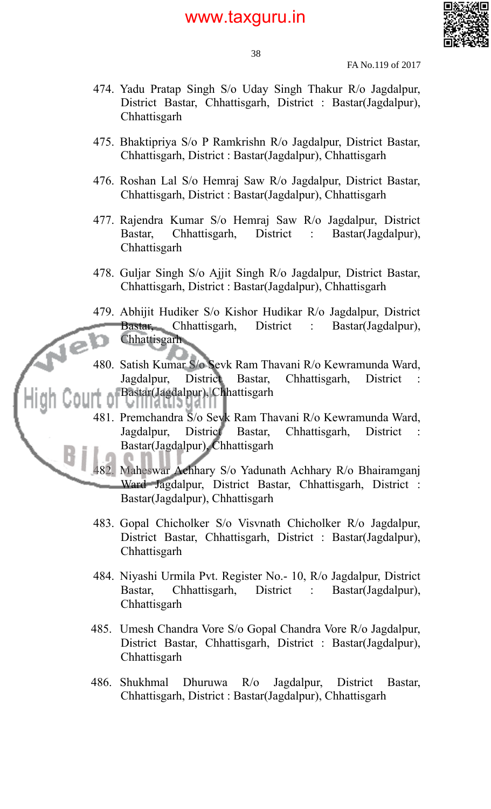

38

FA No.119 of 2017

- 474. Yadu Pratap Singh S/o Uday Singh Thakur R/o Jagdalpur, District Bastar, Chhattisgarh, District : Bastar(Jagdalpur), **Chhattisgarh**
- 475. Bhaktipriya S/o P Ramkrishn R/o Jagdalpur, District Bastar, Chhattisgarh, District : Bastar(Jagdalpur), Chhattisgarh
- 476. Roshan Lal S/o Hemraj Saw R/o Jagdalpur, District Bastar, Chhattisgarh, District : Bastar(Jagdalpur), Chhattisgarh
- 477. Rajendra Kumar S/o Hemraj Saw R/o Jagdalpur, District Bastar, Chhattisgarh, District : Bastar(Jagdalpur), **Chhattisgarh**
- 478. Guljar Singh S/o Ajjit Singh R/o Jagdalpur, District Bastar, Chhattisgarh, District : Bastar(Jagdalpur), Chhattisgarh
- 479. Abhijit Hudiker S/o Kishor Hudikar R/o Jagdalpur, District Bastar, Chhattisgarh, District : Bastar(Jagdalpur), **Chhattisgarh**
- 480. Satish Kumar S/o Sevk Ram Thavani R/o Kewramunda Ward, Jagdalpur, District Bastar, Chhattisgarh, District Bastar(Jagdalpur), Chhattisgarh ।।। समाउ प्रथा ।।
- 481. Premchandra S/o Sevk Ram Thavani R/o Kewramunda Ward, Jagdalpur, District Bastar, Chhattisgarh, District : Bastar(Jagdalpur), Chhattisgarh

482. Maheswar Achhary S/o Yadunath Achhary R/o Bhairamganj Ward Jagdalpur, District Bastar, Chhattisgarh, District : Bastar(Jagdalpur), Chhattisgarh

- 483. Gopal Chicholker S/o Visvnath Chicholker R/o Jagdalpur, District Bastar, Chhattisgarh, District : Bastar(Jagdalpur), **Chhattisgarh**
- 484. Niyashi Urmila Pvt. Register No.- 10, R/o Jagdalpur, District Bastar, Chhattisgarh, District : Bastar(Jagdalpur), **Chhattisgarh**
- 485. Umesh Chandra Vore S/o Gopal Chandra Vore R/o Jagdalpur, District Bastar, Chhattisgarh, District : Bastar(Jagdalpur), Chhattisgarh
- 486. Shukhmal Dhuruwa R/o Jagdalpur, District Bastar, Chhattisgarh, District : Bastar(Jagdalpur), Chhattisgarh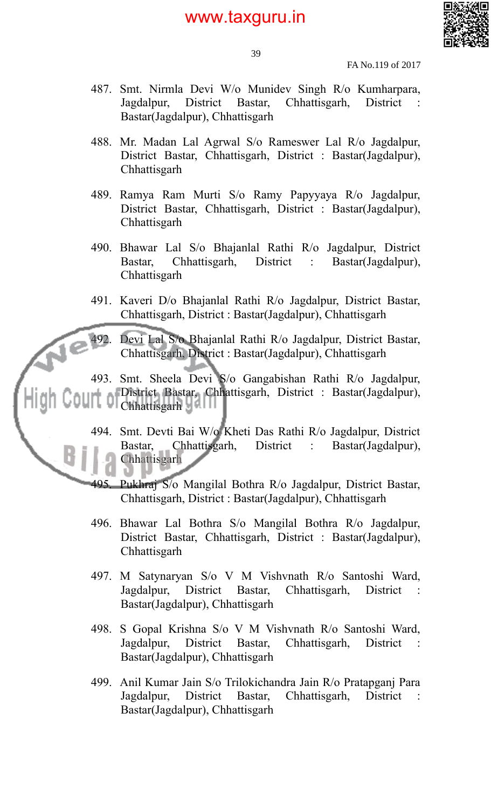

FA No.119 of 2017

- 487. Smt. Nirmla Devi W/o Munidev Singh R/o Kumharpara, Jagdalpur, District Bastar, Chhattisgarh, District : Bastar(Jagdalpur), Chhattisgarh
- 488. Mr. Madan Lal Agrwal S/o Rameswer Lal R/o Jagdalpur, District Bastar, Chhattisgarh, District : Bastar(Jagdalpur), **Chhattisgarh**
- 489. Ramya Ram Murti S/o Ramy Papyyaya R/o Jagdalpur, District Bastar, Chhattisgarh, District : Bastar(Jagdalpur), Chhattisgarh
- 490. Bhawar Lal S/o Bhajanlal Rathi R/o Jagdalpur, District Bastar, Chhattisgarh, District : Bastar(Jagdalpur), **Chhattisgarh**
- 491. Kaveri D/o Bhajanlal Rathi R/o Jagdalpur, District Bastar, Chhattisgarh, District : Bastar(Jagdalpur), Chhattisgarh

492. Devi Lal S/o Bhajanlal Rathi R/o Jagdalpur, District Bastar, Chhattisgarh, District : Bastar(Jagdalpur), Chhattisgarh

493. Smt. Sheela Devi S/o Gangabishan Rathi R/o Jagdalpur, District Bastar, Chhattisgarh, District : Bastar(Jagdalpur), Chhattisgarh

- 494. Smt. Devti Bai W/o Kheti Das Rathi R/o Jagdalpur, District Bastar, Chhattisgarh, District : Bastar(Jagdalpur), **Chhattisgarh**
- 495. Pukhraj S/o Mangilal Bothra R/o Jagdalpur, District Bastar, Chhattisgarh, District : Bastar(Jagdalpur), Chhattisgarh
- 496. Bhawar Lal Bothra S/o Mangilal Bothra R/o Jagdalpur, District Bastar, Chhattisgarh, District : Bastar(Jagdalpur), **Chhattisgarh**
- 497. M Satynaryan S/o V M Vishvnath R/o Santoshi Ward, Jagdalpur, District Bastar, Chhattisgarh, District Bastar(Jagdalpur), Chhattisgarh
- 498. S Gopal Krishna S/o V M Vishvnath R/o Santoshi Ward, Jagdalpur, District Bastar, Chhattisgarh, District : Bastar(Jagdalpur), Chhattisgarh
- 499. Anil Kumar Jain S/o Trilokichandra Jain R/o Pratapganj Para Jagdalpur, District Bastar, Chhattisgarh, District : Bastar(Jagdalpur), Chhattisgarh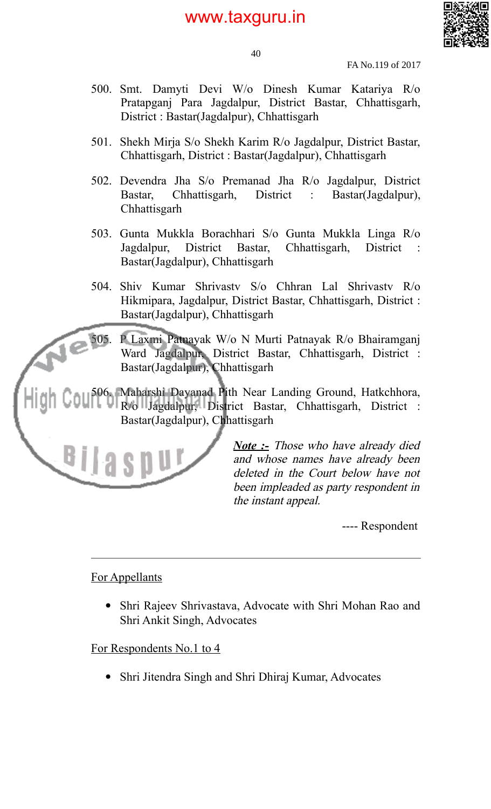

40

FA No.119 of 2017

- 500. Smt. Damyti Devi W/o Dinesh Kumar Katariya R/o Pratapganj Para Jagdalpur, District Bastar, Chhattisgarh, District : Bastar(Jagdalpur), Chhattisgarh
- 501. Shekh Mirja S/o Shekh Karim R/o Jagdalpur, District Bastar, Chhattisgarh, District : Bastar(Jagdalpur), Chhattisgarh
- 502. Devendra Jha S/o Premanad Jha R/o Jagdalpur, District Bastar, Chhattisgarh, District : Bastar(Jagdalpur), **Chhattisgarh**
- 503. Gunta Mukkla Borachhari S/o Gunta Mukkla Linga R/o Jagdalpur, District Bastar, Chhattisgarh, District : Bastar(Jagdalpur), Chhattisgarh
- 504. Shiv Kumar Shrivastv S/o Chhran Lal Shrivastv R/o Hikmipara, Jagdalpur, District Bastar, Chhattisgarh, District : Bastar(Jagdalpur), Chhattisgarh

505. P Laxmi Patnayak W/o N Murti Patnayak R/o Bhairamganj Ward Jagdalpur, District Bastar, Chhattisgarh, District : Bastar(Jagdalpur), Chhattisgarh

506. Maharshi Dayanad Pith Near Landing Ground, Hatkchhora, R/o Jagdalpur, District Bastar, Chhattisgarh, District : Bastar(Jagdalpur), Chhattisgarh



*Note :-* Those who have already died and whose names have already been deleted in the Court below have not been impleaded as party respondent in the instant appeal.

---- Respondent

### For Appellants

 Shri Rajeev Shrivastava, Advocate with Shri Mohan Rao and Shri Ankit Singh, Advocates

### For Respondents No.1 to 4

• Shri Jitendra Singh and Shri Dhiraj Kumar, Advocates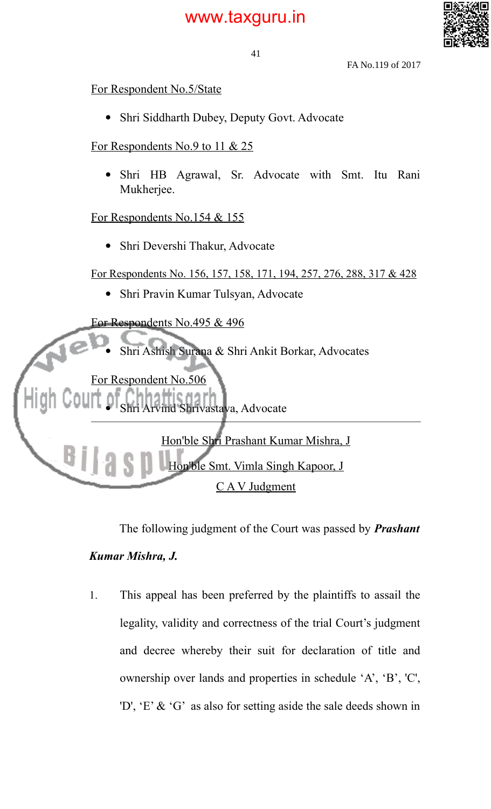

41

FA No.119 of 2017

For Respondent No.5/State

• Shri Siddharth Dubey, Deputy Govt. Advocate

For Respondents No.9 to 11 & 25

 Shri HB Agrawal, Sr. Advocate with Smt. Itu Rani Mukherjee.

For Respondents No.154 & 155

Shri Devershi Thakur, Advocate

For Respondents No. 156, 157, 158, 171, 194, 257, 276, 288, 317 & 428

Shri Pravin Kumar Tulsyan, Advocate



The following judgment of the Court was passed by *Prashant Kumar Mishra, J.*

1. This appeal has been preferred by the plaintiffs to assail the legality, validity and correctness of the trial Court's judgment and decree whereby their suit for declaration of title and ownership over lands and properties in schedule 'A', 'B', 'C', 'D', 'E' & 'G' as also for setting aside the sale deeds shown in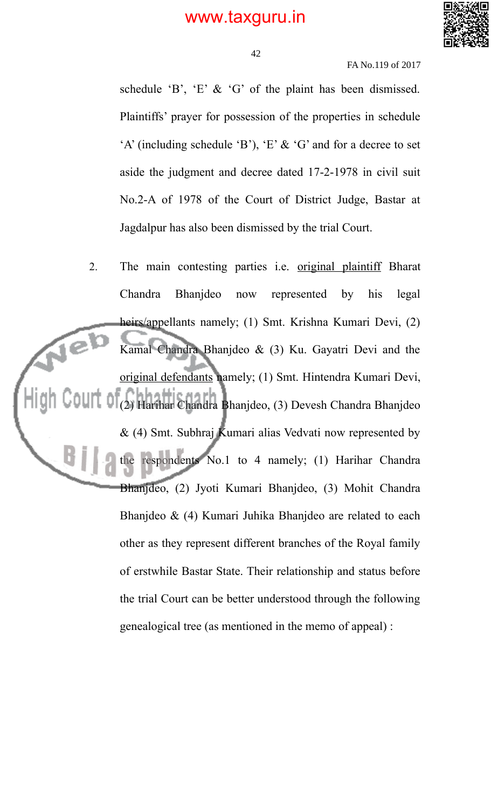

42

FA No.119 of 2017

schedule 'B', 'E'  $\&$  'G' of the plaint has been dismissed. Plaintiffs' prayer for possession of the properties in schedule  $A'$  (including schedule 'B'), 'E' & 'G' and for a decree to set aside the judgment and decree dated 17-2-1978 in civil suit No.2-A of 1978 of the Court of District Judge, Bastar at Jagdalpur has also been dismissed by the trial Court.

2. The main contesting parties i.e. original plaintiff Bharat Chandra Bhanjdeo now represented by his legal heirs/appellants namely; (1) Smt. Krishna Kumari Devi, (2) 1e Kamal Chandra Bhanjdeo & (3) Ku. Gayatri Devi and the original defendants namely; (1) Smt. Hintendra Kumari Devi, (2) Harihar Chandra Bhanjdeo, (3) Devesh Chandra Bhanjdeo & (4) Smt. Subhraj Kumari alias Vedvati now represented by the respondents No.1 to 4 namely; (1) Harihar Chandra Bhanjdeo, (2) Jyoti Kumari Bhanjdeo, (3) Mohit Chandra Bhanjdeo & (4) Kumari Juhika Bhanjdeo are related to each other as they represent different branches of the Royal family of erstwhile Bastar State. Their relationship and status before the trial Court can be better understood through the following genealogical tree (as mentioned in the memo of appeal) :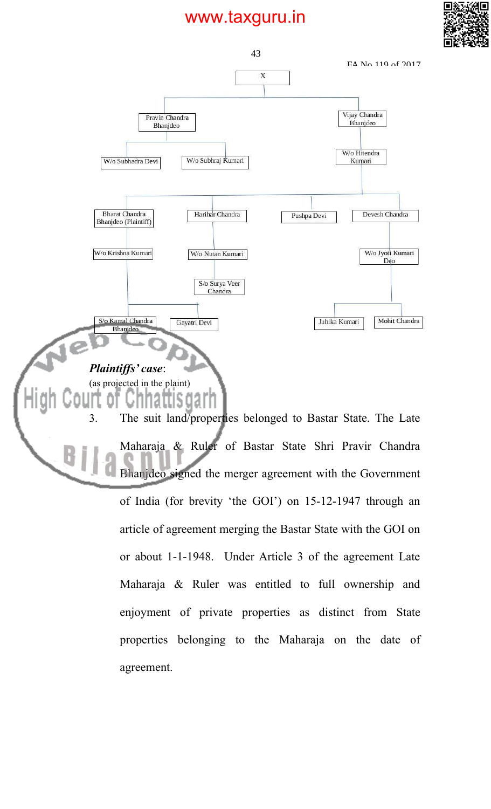



article of agreement merging the Bastar State with the GOI on or about 1-1-1948. Under Article 3 of the agreement Late Maharaja & Ruler was entitled to full ownership and enjoyment of private properties as distinct from State properties belonging to the Maharaja on the date of agreement.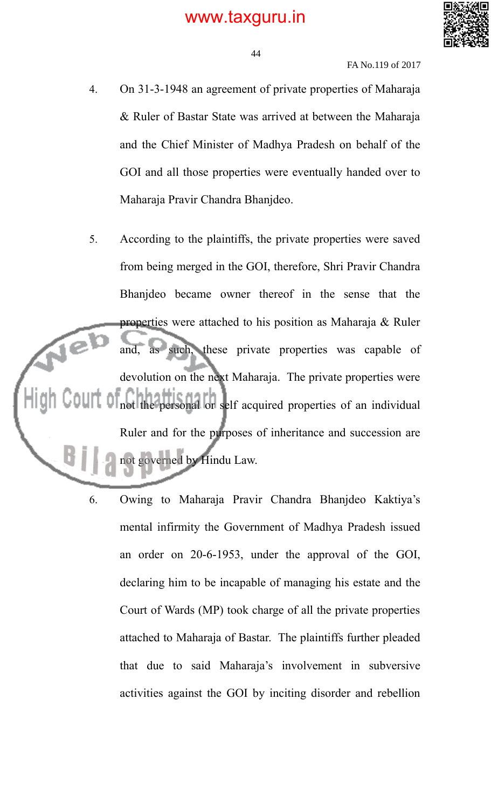

#### FA No.119 of 2017

- 4. On 31-3-1948 an agreement of private properties of Maharaja & Ruler of Bastar State was arrived at between the Maharaja and the Chief Minister of Madhya Pradesh on behalf of the GOI and all those properties were eventually handed over to Maharaja Pravir Chandra Bhanjdeo.
- 5. According to the plaintiffs, the private properties were saved from being merged in the GOI, therefore, Shri Pravir Chandra Bhanjdeo became owner thereof in the sense that the properties were attached to his position as Maharaja & Ruler Je and, as such, these private properties was capable of devolution on the next Maharaja. The private properties were not the personal or self acquired properties of an individual Ruler and for the purposes of inheritance and succession are not governed by Hindu Law.
	- 6. Owing to Maharaja Pravir Chandra Bhanjdeo Kaktiya's mental infirmity the Government of Madhya Pradesh issued an order on 20-6-1953, under the approval of the GOI, declaring him to be incapable of managing his estate and the Court of Wards (MP) took charge of all the private properties attached to Maharaja of Bastar. The plaintiffs further pleaded that due to said Maharaja's involvement in subversive activities against the GOI by inciting disorder and rebellion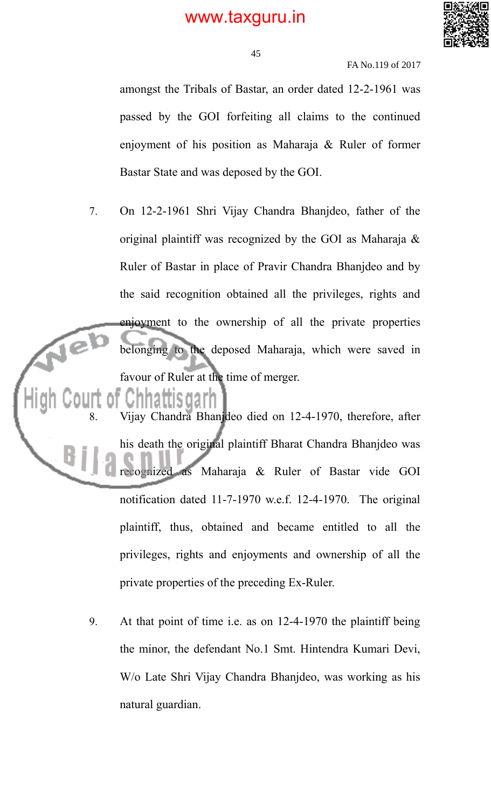

FA No.119 of 2017

amongst the Tribals of Bastar, an order dated 12-2-1961 was passed by the GOI forfeiting all claims to the continued enjoyment of his position as Maharaja & Ruler of former Bastar State and was deposed by the GOI.

7. On 12-2-1961 Shri Vijay Chandra Bhanjdeo, father of the original plaintiff was recognized by the GOI as Maharaja & Ruler of Bastar in place of Pravir Chandra Bhanjdeo and by the said recognition obtained all the privileges, rights and enjoyment to the ownership of all the private properties belonging to the deposed Maharaja, which were saved in favour of Ruler at the time of merger.

8. Vijay Chandra Bhanjdeo died on 12-4-1970, therefore, after his death the original plaintiff Bharat Chandra Bhanjdeo was recognized as Maharaja & Ruler of Bastar vide GOI notification dated 11-7-1970 w.e.f. 12-4-1970. The original plaintiff, thus, obtained and became entitled to all the privileges, rights and enjoyments and ownership of all the private properties of the preceding Ex-Ruler.

9. At that point of time i.e. as on 12-4-1970 the plaintiff being the minor, the defendant No.1 Smt. Hintendra Kumari Devi, W/o Late Shri Vijay Chandra Bhanjdeo, was working as his natural guardian.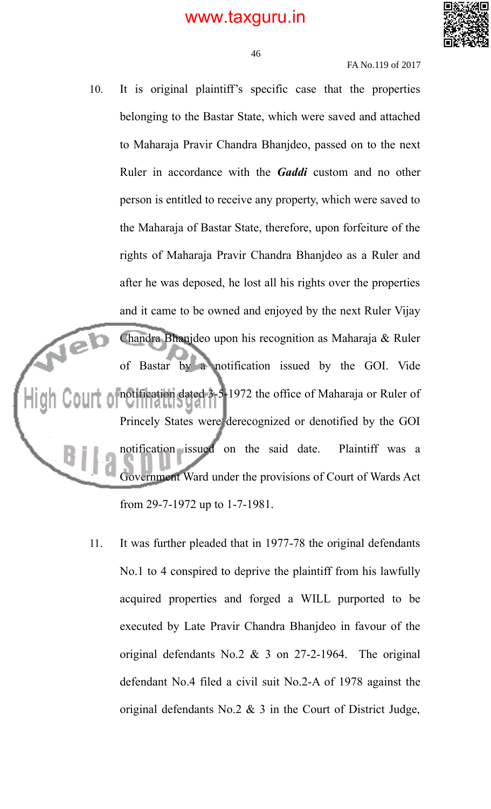

FA No.119 of 2017

- 10. It is original plaintiff's specific case that the properties belonging to the Bastar State, which were saved and attached to Maharaja Pravir Chandra Bhanjdeo, passed on to the next Ruler in accordance with the *Gaddi* custom and no other person is entitled to receive any property, which were saved to the Maharaja of Bastar State, therefore, upon forfeiture of the rights of Maharaja Pravir Chandra Bhanjdeo as a Ruler and after he was deposed, he lost all his rights over the properties and it came to be owned and enjoyed by the next Ruler Vijay Chandra Bhanjdeo upon his recognition as Maharaja & Ruler rel) of Bastar by a notification issued by the GOI. Vide notification dated 3-5-1972 the office of Maharaja or Ruler of Princely States were derecognized or denotified by the GOI notification issued on the said date. Plaintiff was a Government Ward under the provisions of Court of Wards Act from 29-7-1972 up to 1-7-1981.
	- 11. It was further pleaded that in 1977-78 the original defendants No.1 to 4 conspired to deprive the plaintiff from his lawfully acquired properties and forged a WILL purported to be executed by Late Pravir Chandra Bhanjdeo in favour of the original defendants No.2 & 3 on 27-2-1964. The original defendant No.4 filed a civil suit No.2-A of 1978 against the original defendants No.2 & 3 in the Court of District Judge,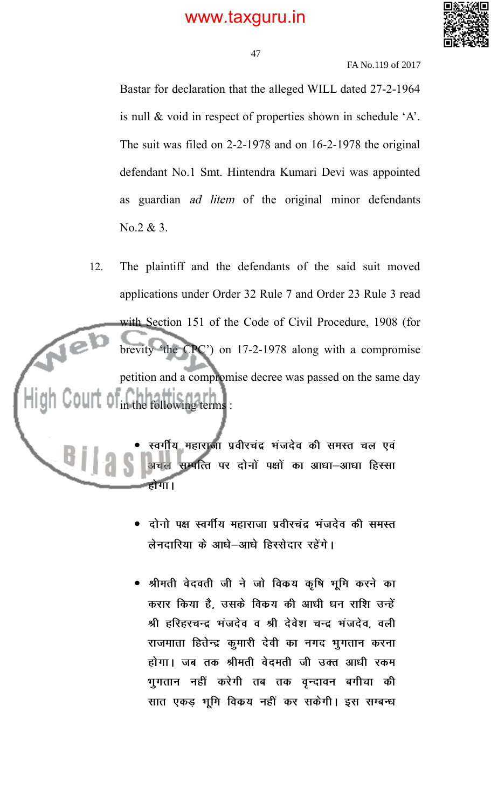

47

FA No.119 of 2017

Bastar for declaration that the alleged WILL dated 27-2-1964 is null & void in respect of properties shown in schedule 'A'. The suit was filed on 2-2-1978 and on 16-2-1978 the original defendant No.1 Smt. Hintendra Kumari Devi was appointed as guardian ad litem of the original minor defendants No.2 & 3.

12. The plaintiff and the defendants of the said suit moved applications under Order 32 Rule 7 and Order 23 Rule 3 read with Section 151 of the Code of Civil Procedure, 1908 (for Nel brevity 'the CPC') on 17-2-1978 along with a compromise petition and a compromise decree was passed on the same day in the following terms :

स्वर्गीय महाराजा प्रवीरचंद्र भंजदेव की समस्त चल एवं सम्पत्ति पर दोनों पक्षों का आधा—आधा हिस्सा होगा।

- दोनो पक्ष स्वर्गीय महाराजा प्रवीरचंद्र भंजदेव की समस्त लेनदारिया के आधे-आधे हिस्सेदार रहेंगे।
- श्रीमती वेदवती जी ने जो विकय कृषि भूमि करने का करार किया है, उसके विकय की आधी धन राशि उन्हें श्री हरिहरचन्द्र भंजदेव व श्री देवेश चन्द्र भंजदेव, वली राजमाता हितेन्द्र कुमारी देवी का नगद भूगतान करना होगा। जब तक श्रीमती वेदमती जी उक्त आधी रकम भुगतान नहीं करेगी तब तक वृन्दावन बगीचा की सात एकड़ भूमि विकय नहीं कर सकेगी। इस सम्बन्ध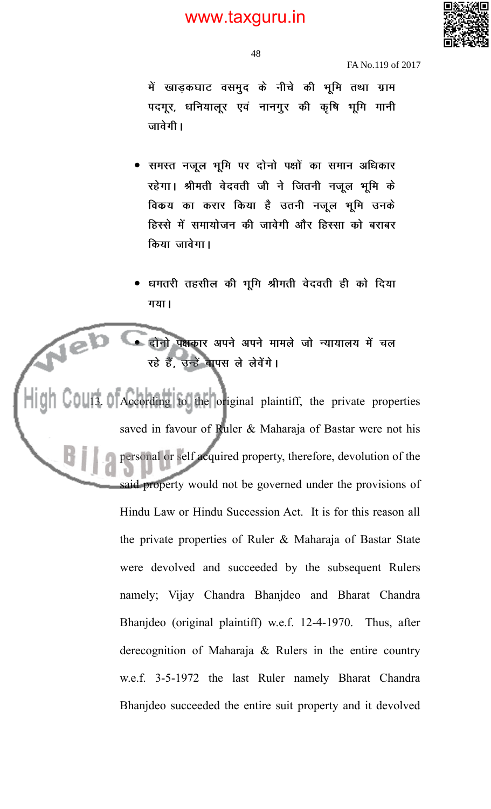

FA No.119 of 2017

में खाड़कघाट वसमुद के नीचे की भूमि तथा ग्राम पदमूर, धनियालूर एवं नानगुर की कृषि भूमि मानी जावेगी।

- समस्त नजूल भूमि पर दोनो पक्षों का समान अधिकार रहेगा। श्रीमती वेदवती जी ने जितनी नजूल भूमि के विकय का करार किया है उतनी नजूल भूमि उनके हिस्से में समायोजन की जावेगी और हिस्सा को बराबर किया जावेगा।
- धमतरी तहसील की भूमि श्रीमती वेदवती ही को दिया गया।

दोनो पक्षकार अपने अपने मामले जो न्यायालय में चल रहे हैं, उन्हें वापस ले लेवेंगे।

Neb

**13. According to the original plaintiff, the private properties** saved in favour of Ruler & Maharaja of Bastar were not his personal or self acquired property, therefore, devolution of the said property would not be governed under the provisions of Hindu Law or Hindu Succession Act. It is for this reason all the private properties of Ruler & Maharaja of Bastar State were devolved and succeeded by the subsequent Rulers namely; Vijay Chandra Bhanjdeo and Bharat Chandra Bhanjdeo (original plaintiff) w.e.f. 12-4-1970. Thus, after derecognition of Maharaja & Rulers in the entire country w.e.f. 3-5-1972 the last Ruler namely Bharat Chandra Bhanjdeo succeeded the entire suit property and it devolved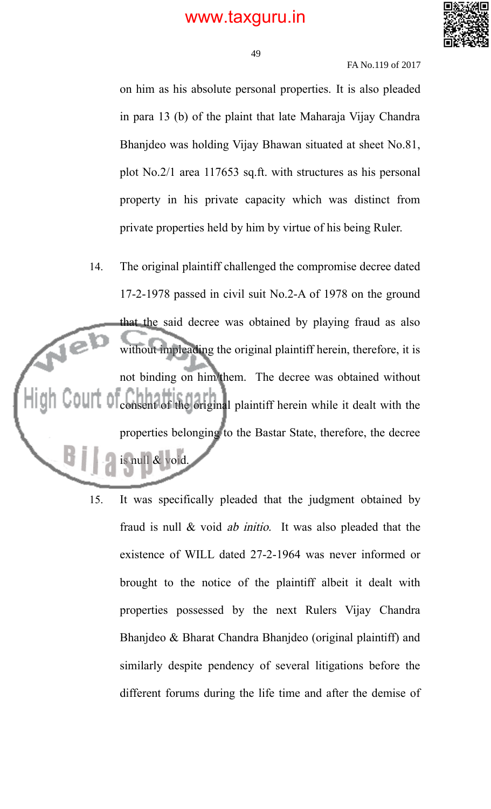

49

FA No.119 of 2017

on him as his absolute personal properties. It is also pleaded in para 13 (b) of the plaint that late Maharaja Vijay Chandra Bhanjdeo was holding Vijay Bhawan situated at sheet No.81, plot No.2/1 area 117653 sq.ft. with structures as his personal property in his private capacity which was distinct from private properties held by him by virtue of his being Ruler.

- 14. The original plaintiff challenged the compromise decree dated 17-2-1978 passed in civil suit No.2-A of 1978 on the ground that the said decree was obtained by playing fraud as also without impleading the original plaintiff herein, therefore, it is not binding on him/them. The decree was obtained without consent of the original plaintiff herein while it dealt with the properties belonging to the Bastar State, therefore, the decree is null & void.
	- 15. It was specifically pleaded that the judgment obtained by fraud is null & void ab initio. It was also pleaded that the existence of WILL dated 27-2-1964 was never informed or brought to the notice of the plaintiff albeit it dealt with properties possessed by the next Rulers Vijay Chandra Bhanjdeo & Bharat Chandra Bhanjdeo (original plaintiff) and similarly despite pendency of several litigations before the different forums during the life time and after the demise of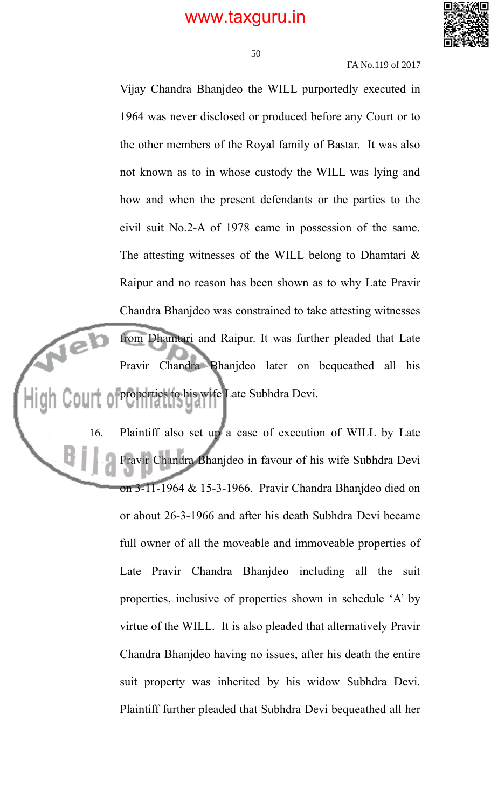

50

FA No.119 of 2017

Vijay Chandra Bhanjdeo the WILL purportedly executed in 1964 was never disclosed or produced before any Court or to the other members of the Royal family of Bastar. It was also not known as to in whose custody the WILL was lying and how and when the present defendants or the parties to the civil suit No.2-A of 1978 came in possession of the same. The attesting witnesses of the WILL belong to Dhamtari  $\&$ Raipur and no reason has been shown as to why Late Pravir Chandra Bhanjdeo was constrained to take attesting witnesses Jeb from Dhamtari and Raipur. It was further pleaded that Late Pravir Chandra Bhanjdeo later on bequeathed all his properties to his wife Late Subhdra Devi.

16. Plaintiff also set up a case of execution of WILL by Late Pravir Chandra Bhanjdeo in favour of his wife Subhdra Devi on 3-11-1964 & 15-3-1966. Pravir Chandra Bhanjdeo died on or about 26-3-1966 and after his death Subhdra Devi became full owner of all the moveable and immoveable properties of Late Pravir Chandra Bhanjdeo including all the suit properties, inclusive of properties shown in schedule 'A' by virtue of the WILL. It is also pleaded that alternatively Pravir Chandra Bhanjdeo having no issues, after his death the entire suit property was inherited by his widow Subhdra Devi. Plaintiff further pleaded that Subhdra Devi bequeathed all her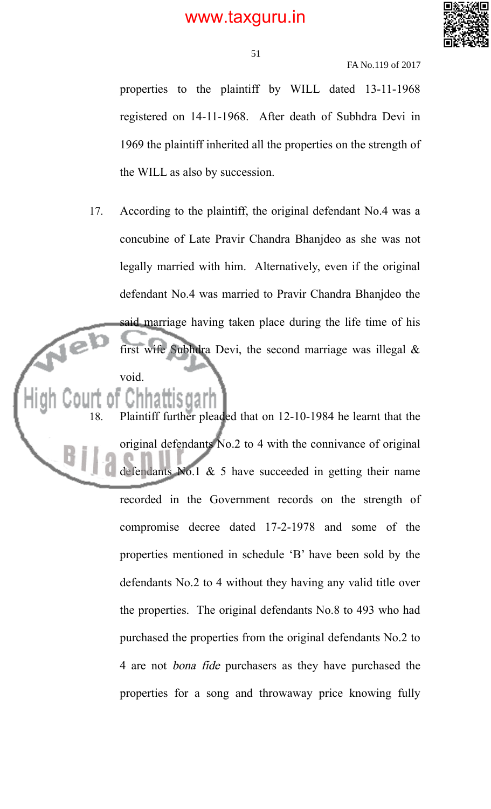

51

FA No.119 of 2017

properties to the plaintiff by WILL dated 13-11-1968 registered on 14-11-1968. After death of Subhdra Devi in 1969 the plaintiff inherited all the properties on the strength of the WILL as also by succession.

17. According to the plaintiff, the original defendant No.4 was a concubine of Late Pravir Chandra Bhanjdeo as she was not legally married with him. Alternatively, even if the original defendant No.4 was married to Pravir Chandra Bhanjdeo the said marriage having taken place during the life time of his first wife Subhdra Devi, the second marriage was illegal  $\&$ void.

18. Plaintiff further pleaded that on 12-10-1984 he learnt that the original defendants No.2 to 4 with the connivance of original defendants No.1  $\&$  5 have succeeded in getting their name recorded in the Government records on the strength of compromise decree dated 17-2-1978 and some of the properties mentioned in schedule 'B' have been sold by the defendants No.2 to 4 without they having any valid title over the properties. The original defendants No.8 to 493 who had purchased the properties from the original defendants No.2 to 4 are not bona fide purchasers as they have purchased the properties for a song and throwaway price knowing fully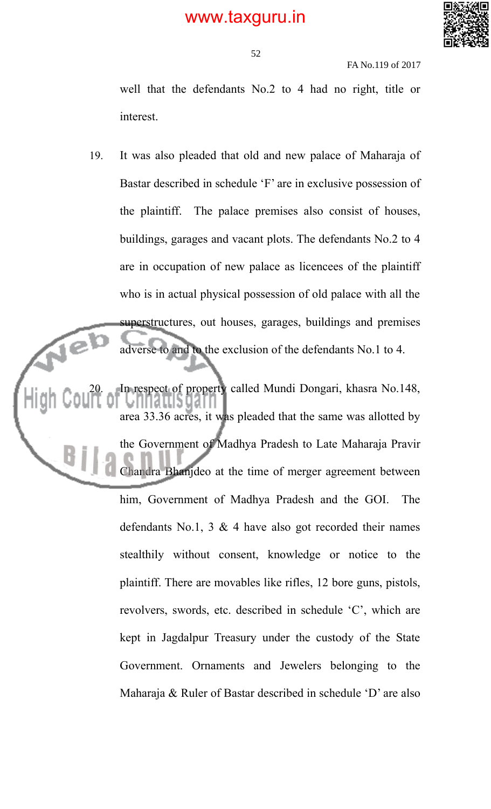

FA No.119 of 2017

well that the defendants No.2 to 4 had no right, title or interest.

19. It was also pleaded that old and new palace of Maharaja of Bastar described in schedule 'F' are in exclusive possession of the plaintiff. The palace premises also consist of houses, buildings, garages and vacant plots. The defendants No.2 to 4 are in occupation of new palace as licencees of the plaintiff who is in actual physical possession of old palace with all the superstructures, out houses, garages, buildings and premises adverse to and to the exclusion of the defendants No.1 to 4.

20. In respect of property called Mundi Dongari, khasra No.148, area 33.36 acres, it was pleaded that the same was allotted by the Government of Madhya Pradesh to Late Maharaja Pravir Chandra Bhanjdeo at the time of merger agreement between him, Government of Madhya Pradesh and the GOI. The defendants No.1, 3  $\&$  4 have also got recorded their names stealthily without consent, knowledge or notice to the plaintiff. There are movables like rifles, 12 bore guns, pistols, revolvers, swords, etc. described in schedule 'C', which are kept in Jagdalpur Treasury under the custody of the State Government. Ornaments and Jewelers belonging to the Maharaja & Ruler of Bastar described in schedule 'D' are also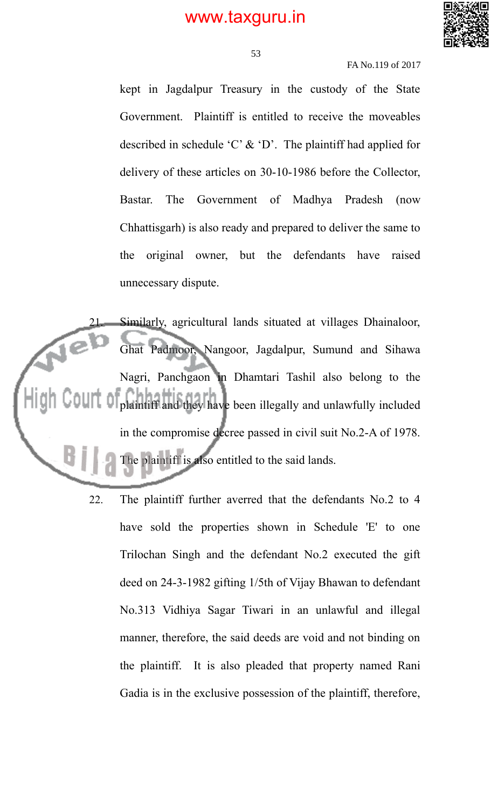

53

FA No.119 of 2017

kept in Jagdalpur Treasury in the custody of the State Government. Plaintiff is entitled to receive the moveables described in schedule 'C'  $\&$  'D'. The plaintiff had applied for delivery of these articles on 30-10-1986 before the Collector, Bastar. The Government of Madhya Pradesh (now Chhattisgarh) is also ready and prepared to deliver the same to the original owner, but the defendants have raised unnecessary dispute.

Similarly, agricultural lands situated at villages Dhainaloor, Ghat Padmoor, Nangoor, Jagdalpur, Sumund and Sihawa Nagri, Panchgaon in Dhamtari Tashil also belong to the plaintiff and they have been illegally and unlawfully included in the compromise decree passed in civil suit No.2-A of 1978. The plaintiff is also entitled to the said lands.

> 22. The plaintiff further averred that the defendants No.2 to 4 have sold the properties shown in Schedule 'E' to one Trilochan Singh and the defendant No.2 executed the gift deed on 24-3-1982 gifting 1/5th of Vijay Bhawan to defendant No.313 Vidhiya Sagar Tiwari in an unlawful and illegal manner, therefore, the said deeds are void and not binding on the plaintiff. It is also pleaded that property named Rani Gadia is in the exclusive possession of the plaintiff, therefore,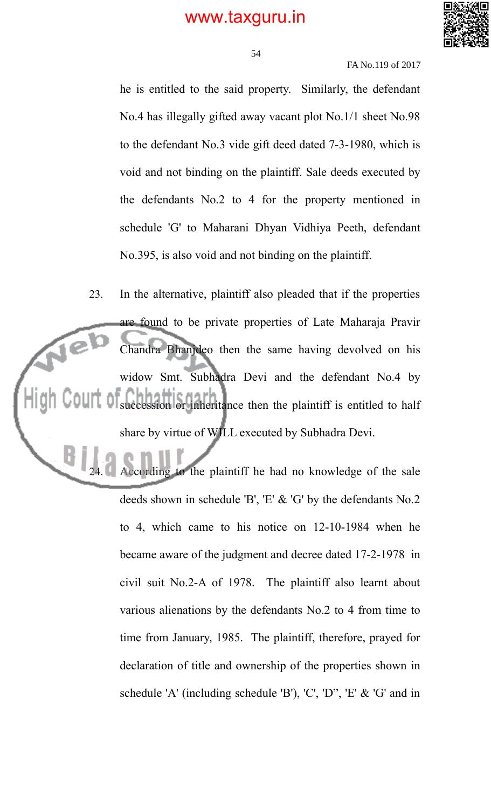

54

FA No.119 of 2017

he is entitled to the said property. Similarly, the defendant No.4 has illegally gifted away vacant plot No.1/1 sheet No.98 to the defendant No.3 vide gift deed dated 7-3-1980, which is void and not binding on the plaintiff. Sale deeds executed by the defendants No.2 to 4 for the property mentioned in schedule 'G' to Maharani Dhyan Vidhiya Peeth, defendant No.395, is also void and not binding on the plaintiff.

23. In the alternative, plaintiff also pleaded that if the properties are found to be private properties of Late Maharaja Pravir Jel Chandra Bhanjdeo then the same having devolved on his widow Smt. Subhadra Devi and the defendant No.4 by succession or inheritance then the plaintiff is entitled to half share by virtue of WILL executed by Subhadra Devi.

> cording to the plaintiff he had no knowledge of the sale deeds shown in schedule 'B', 'E' & 'G' by the defendants No.2 to 4, which came to his notice on 12-10-1984 when he became aware of the judgment and decree dated 17-2-1978 in civil suit No.2-A of 1978. The plaintiff also learnt about various alienations by the defendants No.2 to 4 from time to time from January, 1985. The plaintiff, therefore, prayed for declaration of title and ownership of the properties shown in schedule 'A' (including schedule 'B'), 'C', 'D", 'E' & 'G' and in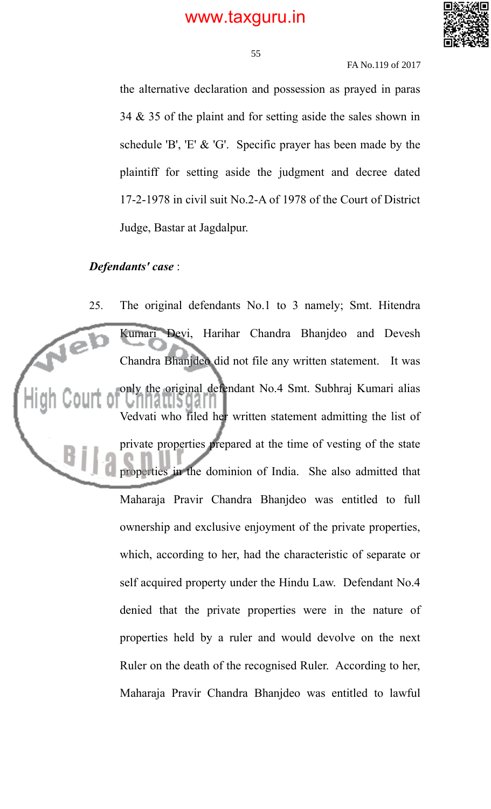

55

FA No.119 of 2017

the alternative declaration and possession as prayed in paras 34 & 35 of the plaint and for setting aside the sales shown in schedule 'B', 'E' & 'G'. Specific prayer has been made by the plaintiff for setting aside the judgment and decree dated 17-2-1978 in civil suit No.2-A of 1978 of the Court of District Judge, Bastar at Jagdalpur.

### *Defendants' case* :

25. The original defendants No.1 to 3 namely; Smt. Hitendra Kumari Devi, Harihar Chandra Bhanjdeo and Devesh Chandra Bhanjdeo did not file any written statement. It was only the original defendant No.4 Smt. Subhraj Kumari alias Vedvati who filed her written statement admitting the list of private properties prepared at the time of vesting of the state properties in the dominion of India. She also admitted that Maharaja Pravir Chandra Bhanjdeo was entitled to full ownership and exclusive enjoyment of the private properties, which, according to her, had the characteristic of separate or self acquired property under the Hindu Law. Defendant No.4 denied that the private properties were in the nature of properties held by a ruler and would devolve on the next Ruler on the death of the recognised Ruler. According to her, Maharaja Pravir Chandra Bhanjdeo was entitled to lawful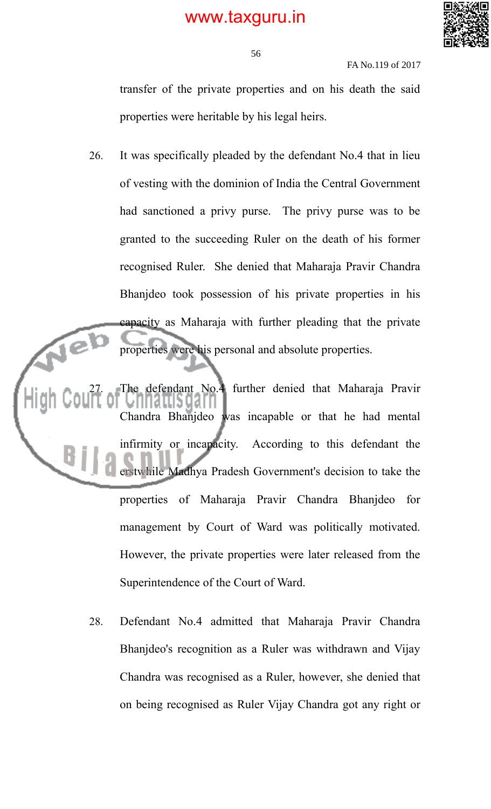

FA No.119 of 2017

transfer of the private properties and on his death the said properties were heritable by his legal heirs.

26. It was specifically pleaded by the defendant No.4 that in lieu of vesting with the dominion of India the Central Government had sanctioned a privy purse. The privy purse was to be granted to the succeeding Ruler on the death of his former recognised Ruler. She denied that Maharaja Pravir Chandra Bhanjdeo took possession of his private properties in his capacity as Maharaja with further pleading that the private properties were his personal and absolute properties.

defendant No.4 further denied that Maharaja Pravir Chandra Bhanjdeo was incapable or that he had mental infirmity or incapacity. According to this defendant the erstwhile Madhya Pradesh Government's decision to take the properties of Maharaja Pravir Chandra Bhanjdeo for management by Court of Ward was politically motivated. However, the private properties were later released from the Superintendence of the Court of Ward.

> 28. Defendant No.4 admitted that Maharaja Pravir Chandra Bhanjdeo's recognition as a Ruler was withdrawn and Vijay Chandra was recognised as a Ruler, however, she denied that on being recognised as Ruler Vijay Chandra got any right or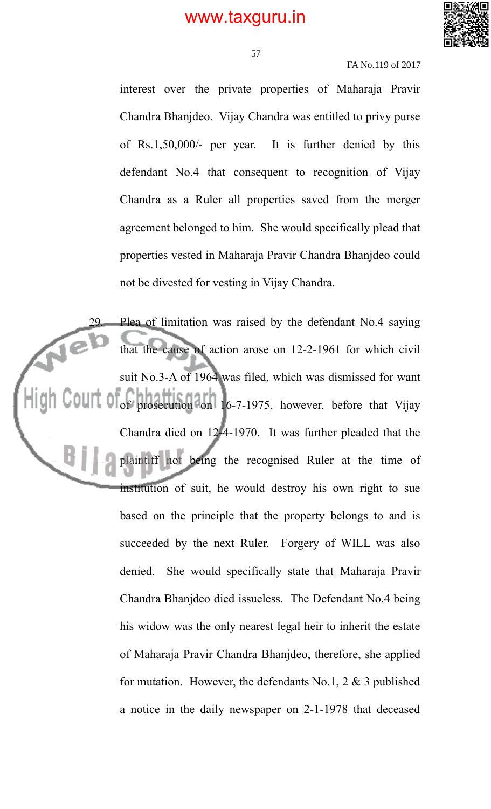

57

#### FA No.119 of 2017

interest over the private properties of Maharaja Pravir Chandra Bhanjdeo. Vijay Chandra was entitled to privy purse of Rs.1,50,000/- per year. It is further denied by this defendant No.4 that consequent to recognition of Vijay Chandra as a Ruler all properties saved from the merger agreement belonged to him. She would specifically plead that properties vested in Maharaja Pravir Chandra Bhanjdeo could not be divested for vesting in Vijay Chandra.

29. Plea of limitation was raised by the defendant No.4 saying that the cause of action arose on 12-2-1961 for which civil suit No.3-A of 1964 was filed, which was dismissed for want of prosecution on 16-7-1975, however, before that Vijay Chandra died on 12-4-1970. It was further pleaded that the plaintiff not being the recognised Ruler at the time of institution of suit, he would destroy his own right to sue based on the principle that the property belongs to and is succeeded by the next Ruler. Forgery of WILL was also denied. She would specifically state that Maharaja Pravir Chandra Bhanjdeo died issueless. The Defendant No.4 being his widow was the only nearest legal heir to inherit the estate of Maharaja Pravir Chandra Bhanjdeo, therefore, she applied for mutation. However, the defendants No.1,  $2 \& 3$  published a notice in the daily newspaper on 2-1-1978 that deceased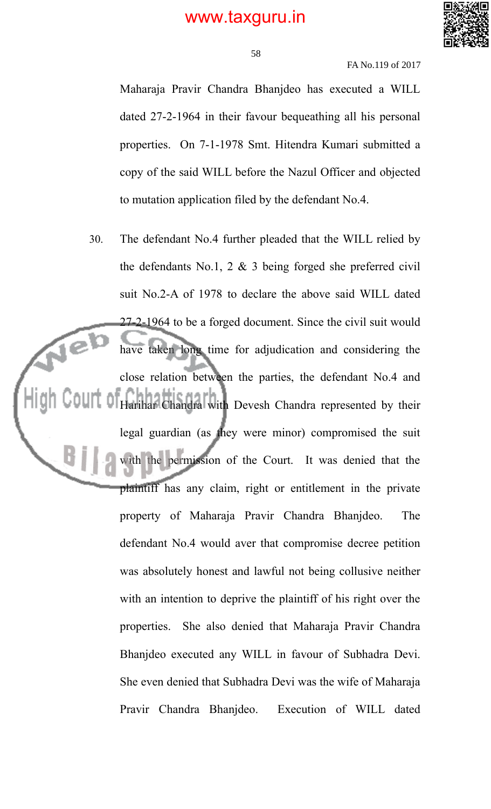

58

FA No.119 of 2017

Maharaja Pravir Chandra Bhanjdeo has executed a WILL dated 27-2-1964 in their favour bequeathing all his personal properties. On 7-1-1978 Smt. Hitendra Kumari submitted a copy of the said WILL before the Nazul Officer and objected to mutation application filed by the defendant No.4.

30. The defendant No.4 further pleaded that the WILL relied by the defendants No.1, 2 & 3 being forged she preferred civil suit No.2-A of 1978 to declare the above said WILL dated 27-2-1964 to be a forged document. Since the civil suit would  $\sqrt{e}$ have taken long time for adjudication and considering the close relation between the parties, the defendant No.4 and Harihar Chandra with Devesh Chandra represented by their legal guardian (as they were minor) compromised the suit with the permission of the Court. It was denied that the plaintiff has any claim, right or entitlement in the private property of Maharaja Pravir Chandra Bhanjdeo. The defendant No.4 would aver that compromise decree petition was absolutely honest and lawful not being collusive neither with an intention to deprive the plaintiff of his right over the properties. She also denied that Maharaja Pravir Chandra Bhanjdeo executed any WILL in favour of Subhadra Devi. She even denied that Subhadra Devi was the wife of Maharaja Pravir Chandra Bhanjdeo. Execution of WILL dated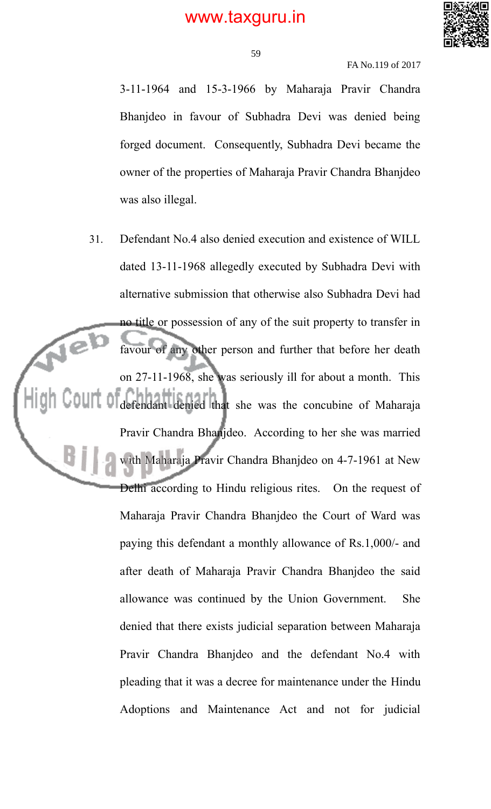

### FA No.119 of 2017

3-11-1964 and 15-3-1966 by Maharaja Pravir Chandra Bhanjdeo in favour of Subhadra Devi was denied being forged document. Consequently, Subhadra Devi became the owner of the properties of Maharaja Pravir Chandra Bhanjdeo was also illegal.

31. Defendant No.4 also denied execution and existence of WILL dated 13-11-1968 allegedly executed by Subhadra Devi with alternative submission that otherwise also Subhadra Devi had no title or possession of any of the suit property to transfer in  $\sqrt{e}$ favour of any other person and further that before her death on 27-11-1968, she was seriously ill for about a month. This defendant denied that she was the concubine of Maharaja Pravir Chandra Bhanjdeo. According to her she was married with Maharaja Pravir Chandra Bhanjdeo on 4-7-1961 at New Delhi according to Hindu religious rites. On the request of Maharaja Pravir Chandra Bhanjdeo the Court of Ward was paying this defendant a monthly allowance of Rs.1,000/- and after death of Maharaja Pravir Chandra Bhanjdeo the said allowance was continued by the Union Government. She denied that there exists judicial separation between Maharaja Pravir Chandra Bhanjdeo and the defendant No.4 with pleading that it was a decree for maintenance under the Hindu Adoptions and Maintenance Act and not for judicial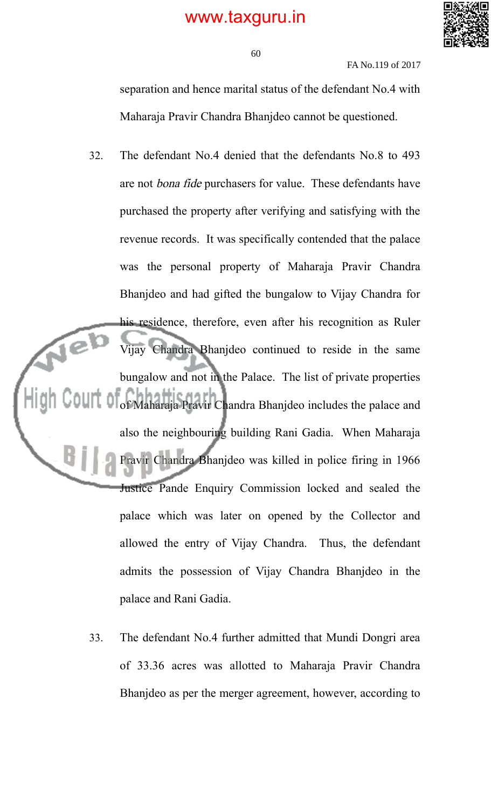

60

FA No.119 of 2017

separation and hence marital status of the defendant No.4 with Maharaja Pravir Chandra Bhanjdeo cannot be questioned.

- 32. The defendant No.4 denied that the defendants No.8 to 493 are not bona fide purchasers for value. These defendants have purchased the property after verifying and satisfying with the revenue records. It was specifically contended that the palace was the personal property of Maharaja Pravir Chandra Bhanjdeo and had gifted the bungalow to Vijay Chandra for his residence, therefore, even after his recognition as Ruler Vijay Chandra Bhanjdeo continued to reside in the same bungalow and not in the Palace. The list of private properties of Maharaja Pravir Chandra Bhanjdeo includes the palace and also the neighbouring building Rani Gadia. When Maharaja Pravir Chandra Bhanjdeo was killed in police firing in 1966 Justice Pande Enquiry Commission locked and sealed the palace which was later on opened by the Collector and allowed the entry of Vijay Chandra. Thus, the defendant admits the possession of Vijay Chandra Bhanjdeo in the palace and Rani Gadia.
	- 33. The defendant No.4 further admitted that Mundi Dongri area of 33.36 acres was allotted to Maharaja Pravir Chandra Bhanjdeo as per the merger agreement, however, according to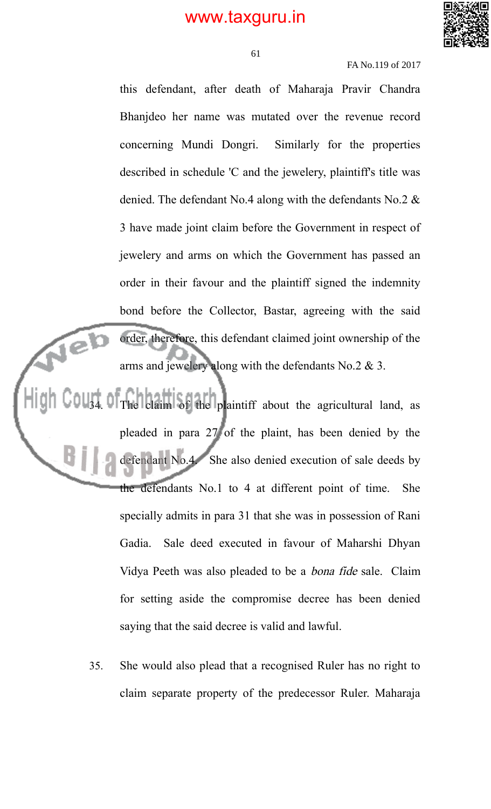

61

#### FA No.119 of 2017

this defendant, after death of Maharaja Pravir Chandra Bhanjdeo her name was mutated over the revenue record concerning Mundi Dongri. Similarly for the properties described in schedule 'C and the jewelery, plaintiff's title was denied. The defendant No.4 along with the defendants No.2 & 3 have made joint claim before the Government in respect of jewelery and arms on which the Government has passed an order in their favour and the plaintiff signed the indemnity bond before the Collector, Bastar, agreeing with the said order, therefore, this defendant claimed joint ownership of the arms and jewelery along with the defendants No.2 & 3.

34. The claim of the plaintiff about the agricultural land, as pleaded in para 27 of the plaint, has been denied by the defendant No.4. She also denied execution of sale deeds by the defendants No.1 to 4 at different point of time. She specially admits in para 31 that she was in possession of Rani Gadia. Sale deed executed in favour of Maharshi Dhyan Vidya Peeth was also pleaded to be a bona fide sale. Claim for setting aside the compromise decree has been denied saying that the said decree is valid and lawful.

Jeb

35. She would also plead that a recognised Ruler has no right to claim separate property of the predecessor Ruler. Maharaja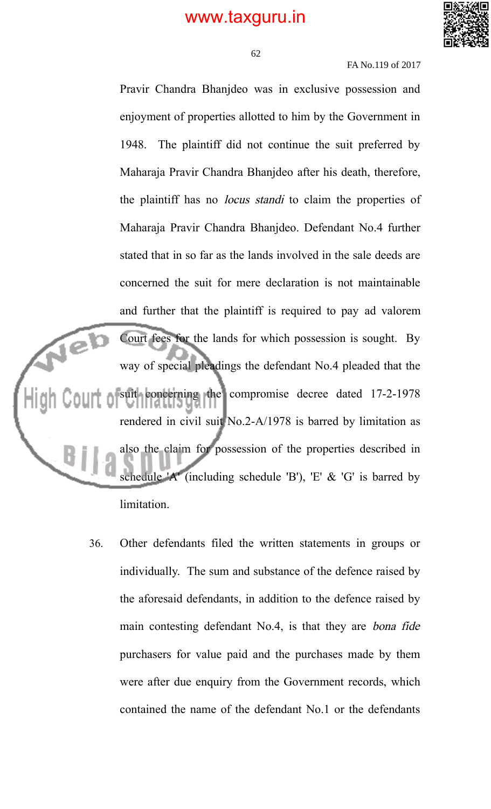

62

FA No.119 of 2017

Pravir Chandra Bhanjdeo was in exclusive possession and enjoyment of properties allotted to him by the Government in 1948. The plaintiff did not continue the suit preferred by Maharaja Pravir Chandra Bhanjdeo after his death, therefore, the plaintiff has no locus standi to claim the properties of Maharaja Pravir Chandra Bhanjdeo. Defendant No.4 further stated that in so far as the lands involved in the sale deeds are concerned the suit for mere declaration is not maintainable and further that the plaintiff is required to pay ad valorem Jeb Court fees for the lands for which possession is sought. By way of special pleadings the defendant No.4 pleaded that the suit concerning the compromise decree dated 17-2-1978 rendered in civil suit No.2-A/1978 is barred by limitation as also the claim for possession of the properties described in schedule 'A' (including schedule 'B'), 'E'  $&$  'G' is barred by limitation.

36. Other defendants filed the written statements in groups or individually. The sum and substance of the defence raised by the aforesaid defendants, in addition to the defence raised by main contesting defendant No.4, is that they are bona fide purchasers for value paid and the purchases made by them were after due enquiry from the Government records, which contained the name of the defendant No.1 or the defendants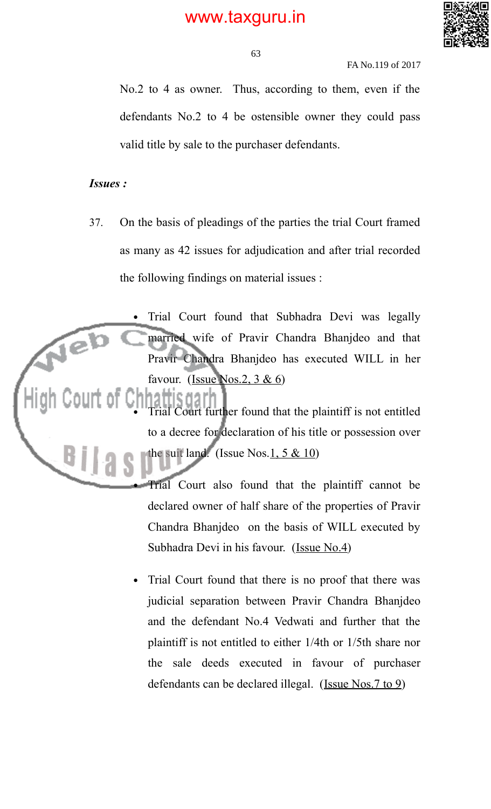

FA No.119 of 2017

No.2 to 4 as owner. Thus, according to them, even if the defendants No.2 to 4 be ostensible owner they could pass valid title by sale to the purchaser defendants.

### *Issues :*

- 37. On the basis of pleadings of the parties the trial Court framed as many as 42 issues for adjudication and after trial recorded the following findings on material issues :
- Trial Court found that Subhadra Devi was legally Neb married wife of Pravir Chandra Bhanjdeo and that Pravir Chandra Bhanjdeo has executed WILL in her favour. (Issue Nos.2,  $3 & 6$ )
	- Yourt further found that the plaintiff is not entitled to a decree for declaration of his title or possession over the suit land. (Issue Nos.  $1, 5 \& 10$ )

 Trial Court also found that the plaintiff cannot be declared owner of half share of the properties of Pravir Chandra Bhanjdeo on the basis of WILL executed by Subhadra Devi in his favour. (Issue No.4)

 Trial Court found that there is no proof that there was judicial separation between Pravir Chandra Bhanjdeo and the defendant No.4 Vedwati and further that the plaintiff is not entitled to either 1/4th or 1/5th share nor the sale deeds executed in favour of purchaser defendants can be declared illegal. (Issue Nos.7 to 9)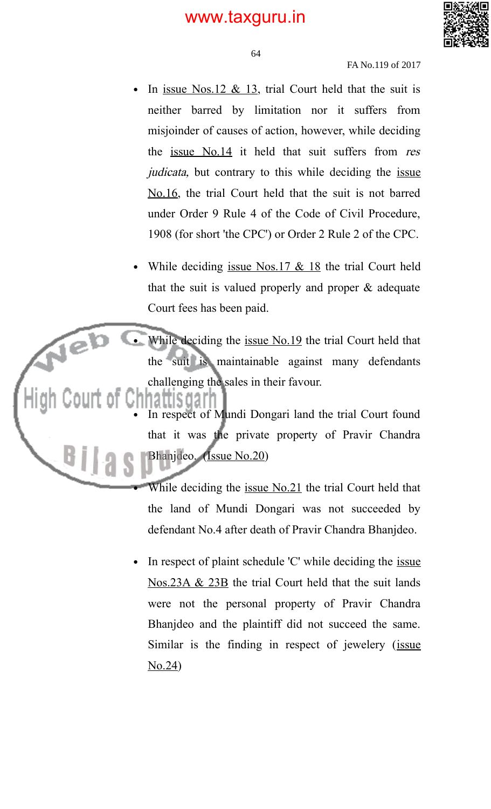

FA No.119 of 2017

- In issue Nos.12  $& 13$ , trial Court held that the suit is neither barred by limitation nor it suffers from misjoinder of causes of action, however, while deciding the issue No.14 it held that suit suffers from res judicata, but contrary to this while deciding the issue No.16, the trial Court held that the suit is not barred under Order 9 Rule 4 of the Code of Civil Procedure, 1908 (for short 'the CPC') or Order 2 Rule 2 of the CPC.
- While deciding issue Nos.17 & 18 the trial Court held that the suit is valued properly and proper & adequate Court fees has been paid.
- While deciding the <u>issue No.19</u> the trial Court held that the suit is maintainable against many defendants challenging the sales in their favour.

Jeb

ΒĮ

- In respect of Mundi Dongari land the trial Court found that it was the private property of Pravir Chandra Bhanjdeo. (Issue No.20)
	- While deciding the issue No.21 the trial Court held that the land of Mundi Dongari was not succeeded by defendant No.4 after death of Pravir Chandra Bhanjdeo.
- In respect of plaint schedule 'C' while deciding the <u>issue</u> Nos.23A & 23B the trial Court held that the suit lands were not the personal property of Pravir Chandra Bhanjdeo and the plaintiff did not succeed the same. Similar is the finding in respect of jewelery (issue No.24)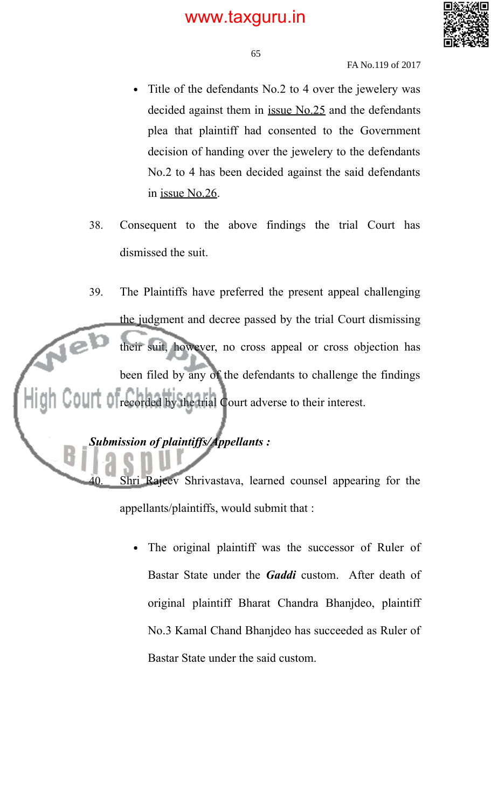

FA No.119 of 2017

- Title of the defendants No.2 to 4 over the jewelery was decided against them in issue No.25 and the defendants plea that plaintiff had consented to the Government decision of handing over the jewelery to the defendants No.2 to 4 has been decided against the said defendants in issue No.26.
- 38. Consequent to the above findings the trial Court has dismissed the suit.

39. The Plaintiffs have preferred the present appeal challenging the judgment and decree passed by the trial Court dismissing  $\sqrt{e}$ their suit, however, no cross appeal or cross objection has been filed by any of the defendants to challenge the findings recorded by the trial Court adverse to their interest.

*Submission of plaintiffs/Appellants :*

Shri Rajeev Shrivastava, learned counsel appearing for the appellants/plaintiffs, would submit that :

 The original plaintiff was the successor of Ruler of Bastar State under the *Gaddi* custom. After death of original plaintiff Bharat Chandra Bhanjdeo, plaintiff No.3 Kamal Chand Bhanjdeo has succeeded as Ruler of Bastar State under the said custom.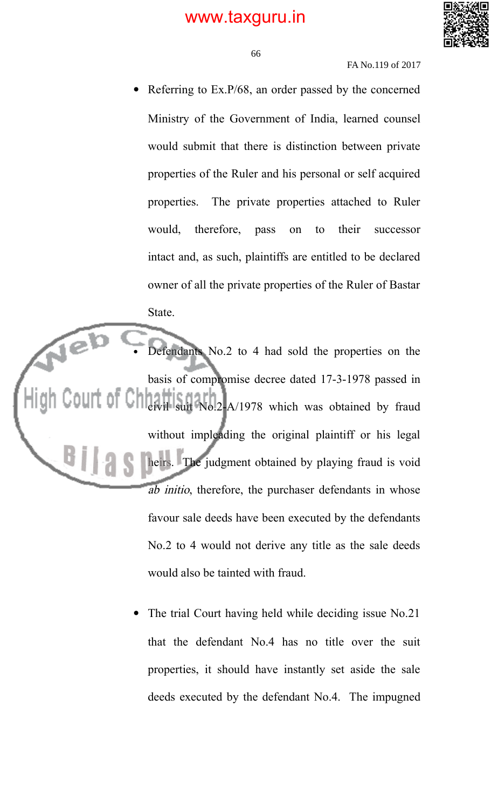

FA No.119 of 2017

 Referring to Ex.P/68, an order passed by the concerned Ministry of the Government of India, learned counsel would submit that there is distinction between private properties of the Ruler and his personal or self acquired properties. The private properties attached to Ruler would, therefore, pass on to their successor intact and, as such, plaintiffs are entitled to be declared owner of all the private properties of the Ruler of Bastar State.

 Defendants No.2 to 4 had sold the properties on the basis of compromise decree dated 17-3-1978 passed in civil suit No.2-A/1978 which was obtained by fraud without impleading the original plaintiff or his legal heirs. The judgment obtained by playing fraud is void ab initio, therefore, the purchaser defendants in whose favour sale deeds have been executed by the defendants No.2 to 4 would not derive any title as the sale deeds would also be tainted with fraud.

> The trial Court having held while deciding issue No.21 that the defendant No.4 has no title over the suit properties, it should have instantly set aside the sale deeds executed by the defendant No.4. The impugned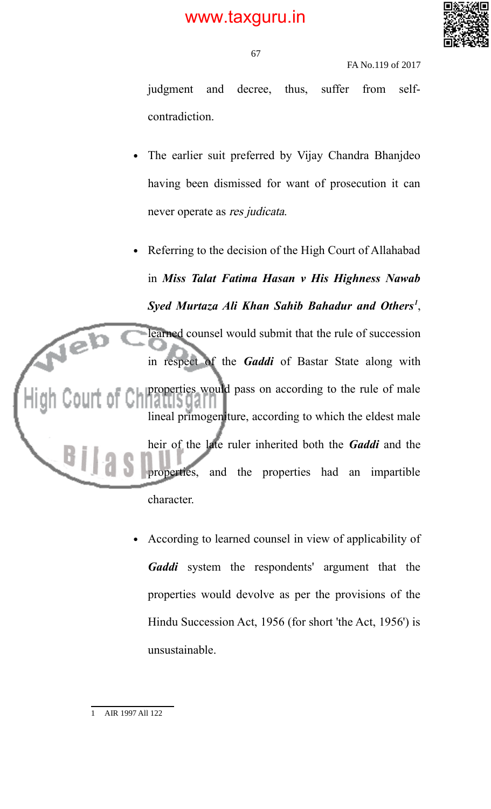

FA No.119 of 2017

judgment and decree, thus, suffer from selfcontradiction.

 The earlier suit preferred by Vijay Chandra Bhanjdeo having been dismissed for want of prosecution it can never operate as res judicata.

 Referring to the decision of the High Court of Allahabad in *Miss Talat Fatima Hasan v His Highness Nawab Syed Murtaza Ali Khan Sahib Bahadur and Others<sup>1</sup>* , Jeb learned counsel would submit that the rule of succession in respect of the *Gaddi* of Bastar State along with properties would pass on according to the rule of male lineal primogeniture, according to which the eldest male heir of the late ruler inherited both the *Gaddi* and the properties, and the properties had an impartible character.

> According to learned counsel in view of applicability of Gaddi system the respondents' argument that the properties would devolve as per the provisions of the Hindu Succession Act, 1956 (for short 'the Act, 1956') is unsustainable.

<sup>1</sup> AIR 1997 All 122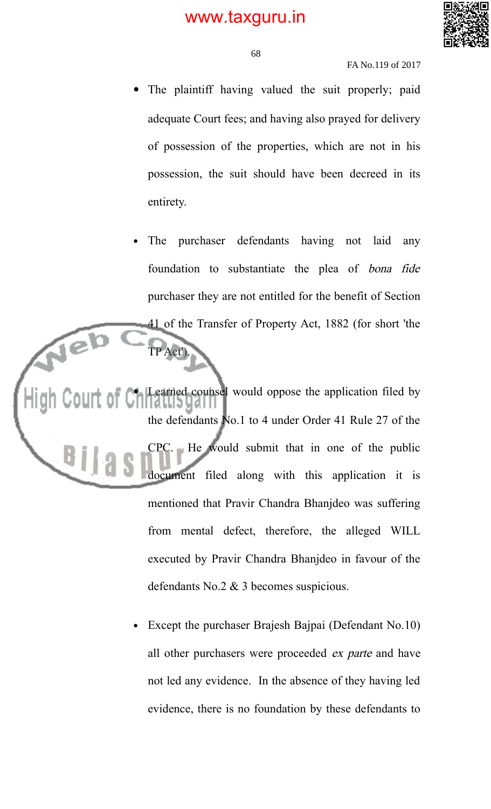

#### FA No.119 of 2017

- The plaintiff having valued the suit properly; paid adequate Court fees; and having also prayed for delivery of possession of the properties, which are not in his possession, the suit should have been decreed in its entirety.
- The purchaser defendants having not laid any foundation to substantiate the plea of bona fide purchaser they are not entitled for the benefit of Section 41 of the Transfer of Property Act, 1882 (for short 'the

 Learned counsel would oppose the application filed by the defendants No.1 to 4 under Order 41 Rule 27 of the CPC. He would submit that in one of the public document filed along with this application it is mentioned that Pravir Chandra Bhanjdeo was suffering from mental defect, therefore, the alleged WILL executed by Pravir Chandra Bhanjdeo in favour of the defendants No.2 & 3 becomes suspicious.

TP Act').

Jeb

 Except the purchaser Brajesh Bajpai (Defendant No.10) all other purchasers were proceeded ex parte and have not led any evidence. In the absence of they having led evidence, there is no foundation by these defendants to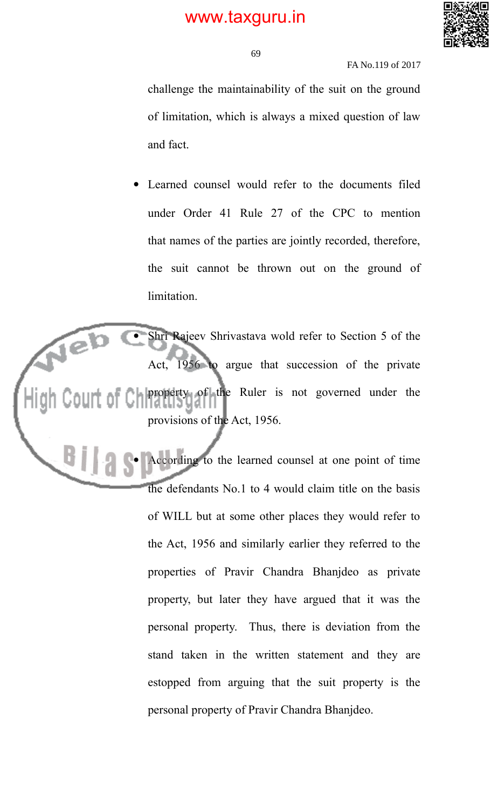

FA No.119 of 2017

challenge the maintainability of the suit on the ground of limitation, which is always a mixed question of law and fact.

 Learned counsel would refer to the documents filed under Order 41 Rule 27 of the CPC to mention that names of the parties are jointly recorded, therefore, the suit cannot be thrown out on the ground of limitation.

Jeb Shri Rajeev Shrivastava wold refer to Section 5 of the 1956 to argue that succession of the private property of the Ruler is not governed under the Court of Ch provisions of the Act, 1956.

> According to the learned counsel at one point of time the defendants No.1 to 4 would claim title on the basis of WILL but at some other places they would refer to the Act, 1956 and similarly earlier they referred to the properties of Pravir Chandra Bhanjdeo as private property, but later they have argued that it was the personal property. Thus, there is deviation from the stand taken in the written statement and they are estopped from arguing that the suit property is the personal property of Pravir Chandra Bhanjdeo.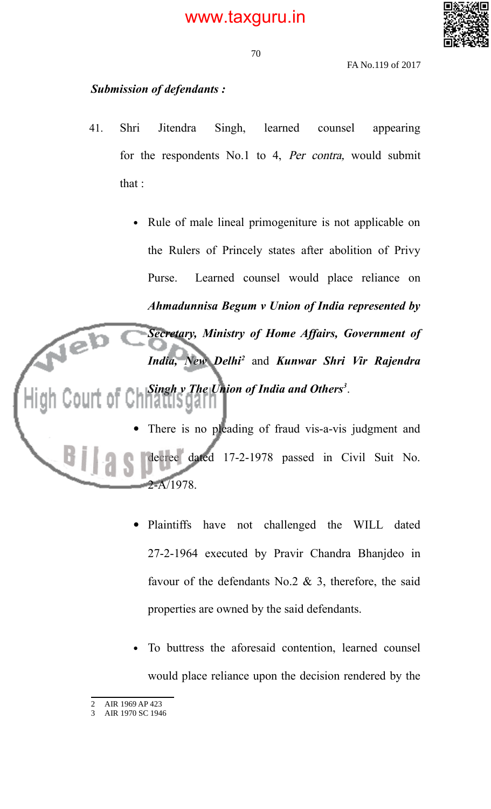

70

FA No.119 of 2017

### *Submission of defendants :*

- 41. Shri Jitendra Singh, learned counsel appearing for the respondents No.1 to 4, Per contra, would submit that :
- Rule of male lineal primogeniture is not applicable on the Rulers of Princely states after abolition of Privy Purse. Learned counsel would place reliance on *Ahmadunnisa Begum v Union of India represented by Secretary, Ministry of Home Affairs, Government of*  $\widehat{e^{\mathbf{b}}}$ *India, New Delhi<sup>2</sup>* and *Kunwar Shri Vir Rajendra Singh v The Union of India and Others<sup>3</sup>* .

 There is no pleading of fraud vis-a-vis judgment and decree dated 17-2-1978 passed in Civil Suit No.  $2 - A/1978$ 

- Plaintiffs have not challenged the WILL dated 27-2-1964 executed by Pravir Chandra Bhanjdeo in favour of the defendants No.2  $\&$  3, therefore, the said properties are owned by the said defendants.
- To buttress the aforesaid contention, learned counsel would place reliance upon the decision rendered by the

<sup>2</sup> AIR 1969 AP 423

<sup>3</sup> AIR 1970 SC 1946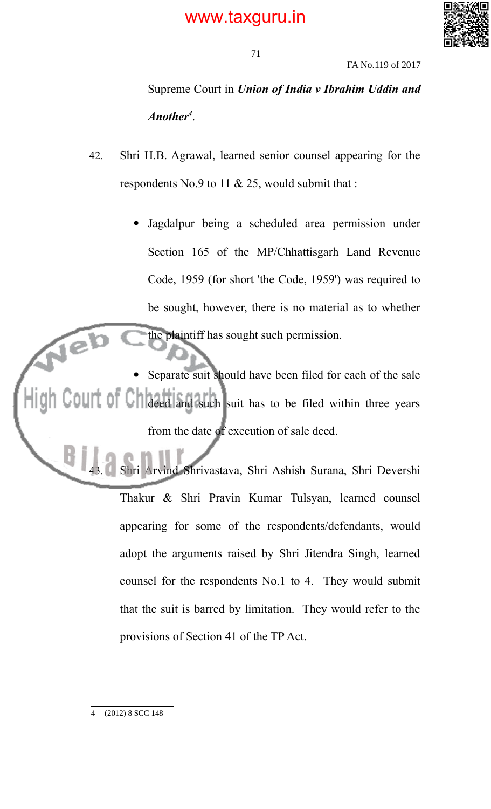

FA No.119 of 2017

Supreme Court in *Union of India v Ibrahim Uddin and Another<sup>4</sup>* .

- 42. Shri H.B. Agrawal, learned senior counsel appearing for the respondents No.9 to 11 & 25, would submit that :
	- Jagdalpur being a scheduled area permission under Section 165 of the MP/Chhattisgarh Land Revenue Code, 1959 (for short 'the Code, 1959') was required to be sought, however, there is no material as to whether the plaintiff has sought such permission.

 Separate suit should have been filed for each of the sale OUIT OF GH deed and such suit has to be filed within three years from the date of execution of sale deed.

> 43. Shri Arvind Shrivastava, Shri Ashish Surana, Shri Devershi Thakur & Shri Pravin Kumar Tulsyan, learned counsel appearing for some of the respondents/defendants, would adopt the arguments raised by Shri Jitendra Singh, learned counsel for the respondents No.1 to 4. They would submit that the suit is barred by limitation. They would refer to the provisions of Section 41 of the TP Act.

4 (2012) 8 SCC 148

Jeb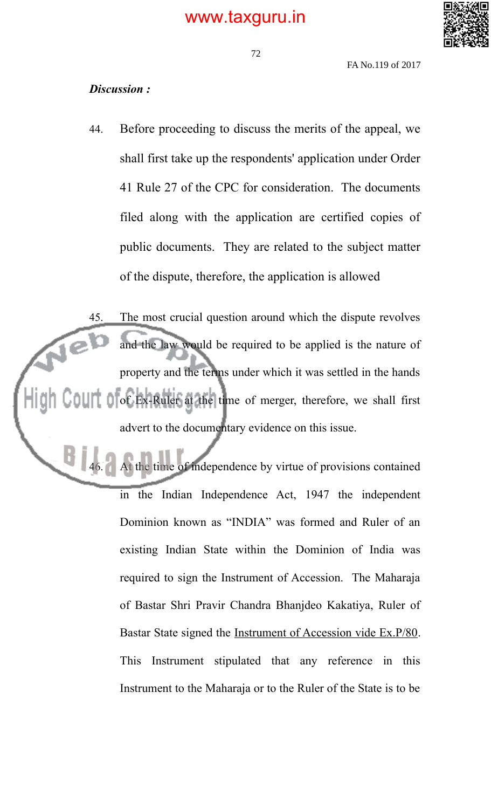

#### 72

FA No.119 of 2017

### *Discussion :*

44. Before proceeding to discuss the merits of the appeal, we shall first take up the respondents' application under Order 41 Rule 27 of the CPC for consideration. The documents filed along with the application are certified copies of public documents. They are related to the subject matter of the dispute, therefore, the application is allowed

45. The most crucial question around which the dispute revolves Neb and the law would be required to be applied is the nature of property and the terms under which it was settled in the hands of Ex-Ruler at the time of merger, therefore, we shall first advert to the documentary evidence on this issue.

> At the time of independence by virtue of provisions contained in the Indian Independence Act, 1947 the independent Dominion known as "INDIA" was formed and Ruler of an existing Indian State within the Dominion of India was required to sign the Instrument of Accession. The Maharaja of Bastar Shri Pravir Chandra Bhanjdeo Kakatiya, Ruler of Bastar State signed the Instrument of Accession vide Ex.P/80. This Instrument stipulated that any reference in this Instrument to the Maharaja or to the Ruler of the State is to be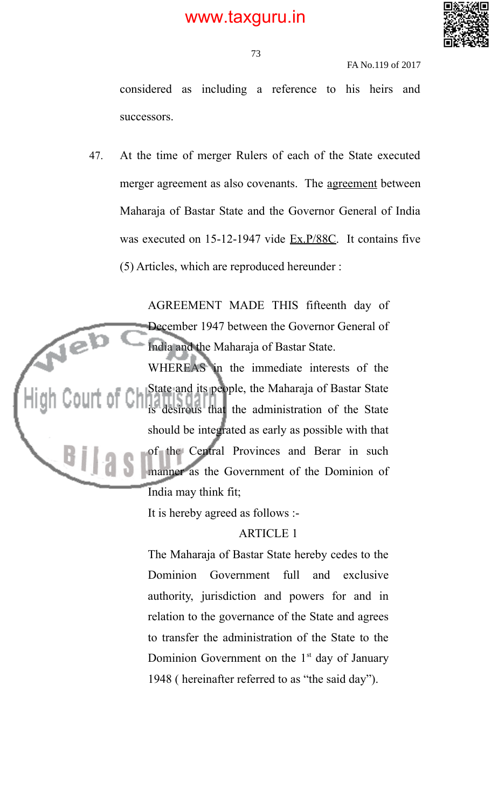

FA No.119 of 2017

considered as including a reference to his heirs and successors.

47. At the time of merger Rulers of each of the State executed merger agreement as also covenants. The <u>agreement</u> between Maharaja of Bastar State and the Governor General of India was executed on 15-12-1947 vide Ex.P/88C. It contains five (5) Articles, which are reproduced hereunder :

AGREEMENT MADE THIS fifteenth day of December 1947 between the Governor General of Neb India and the Maharaja of Bastar State. WHEREAS in the immediate interests of the State and its people, the Maharaja of Bastar State Court of Ch is desirous that the administration of the State should be integrated as early as possible with that of the Central Provinces and Berar in such  $B11a$ manner as the Government of the Dominion of India may think fit;

It is hereby agreed as follows :-

ARTICLE 1

The Maharaja of Bastar State hereby cedes to the Dominion Government full and exclusive authority, jurisdiction and powers for and in relation to the governance of the State and agrees to transfer the administration of the State to the Dominion Government on the  $1<sup>st</sup>$  day of January 1948 ( hereinafter referred to as "the said day").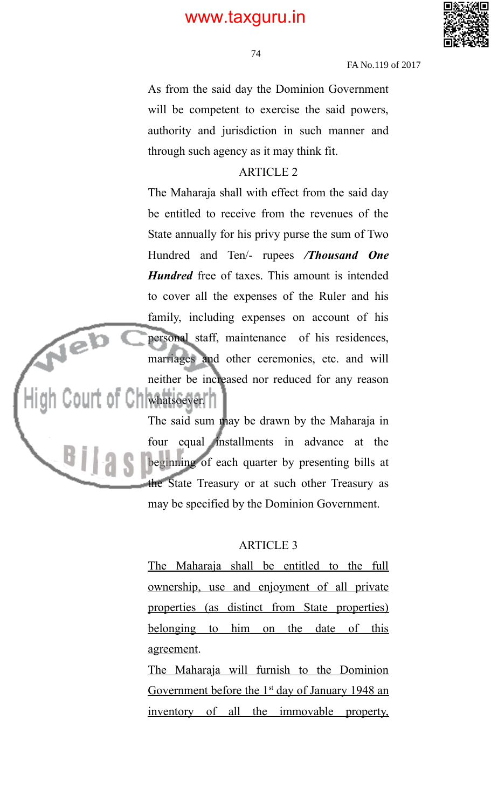

74

FA No.119 of 2017

As from the said day the Dominion Government will be competent to exercise the said powers, authority and jurisdiction in such manner and through such agency as it may think fit.

#### ARTICLE 2

The Maharaja shall with effect from the said day be entitled to receive from the revenues of the State annually for his privy purse the sum of Two Hundred and Ten/- rupees */Thousand One Hundred* free of taxes. This amount is intended to cover all the expenses of the Ruler and his family, including expenses on account of his personal staff, maintenance of his residences, marriages and other ceremonies, etc. and will neither be increased nor reduced for any reason Court of Chiwhatsoever.

Neb

Bį.

The said sum may be drawn by the Maharaja in four equal installments in advance at the beginning of each quarter by presenting bills at the State Treasury or at such other Treasury as may be specified by the Dominion Government.

#### ARTICLE 3

The Maharaja shall be entitled to the full ownership, use and enjoyment of all private properties (as distinct from State properties) belonging to him on the date of this agreement.

The Maharaja will furnish to the Dominion Government before the 1<sup>st</sup> day of January 1948 an inventory of all the immovable property,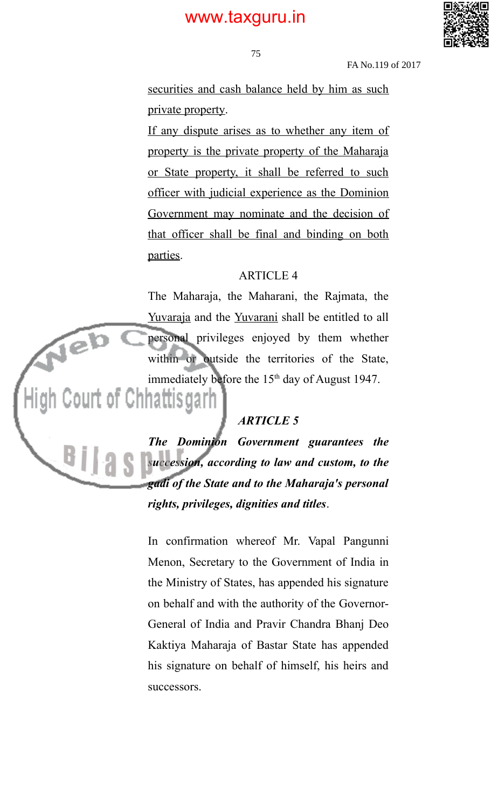

FA No.119 of 2017

securities and cash balance held by him as such private property.

If any dispute arises as to whether any item of property is the private property of the Maharaja or State property, it shall be referred to such officer with judicial experience as the Dominion Government may nominate and the decision of that officer shall be final and binding on both parties.

#### ARTICLE 4

The Maharaja, the Maharani, the Rajmata, the Yuvaraja and the Yuvarani shall be entitled to all personal privileges enjoyed by them whether within or outside the territories of the State, immediately before the 15<sup>th</sup> day of August 1947.

Neb

BŢ

#### *ARTICLE 5*

*The Dominion Government guarantees the succession, according to law and custom, to the gadi of the State and to the Maharaja's personal rights, privileges, dignities and titles*.

In confirmation whereof Mr. Vapal Pangunni Menon, Secretary to the Government of India in the Ministry of States, has appended his signature on behalf and with the authority of the Governor-General of India and Pravir Chandra Bhanj Deo Kaktiya Maharaja of Bastar State has appended his signature on behalf of himself, his heirs and successors.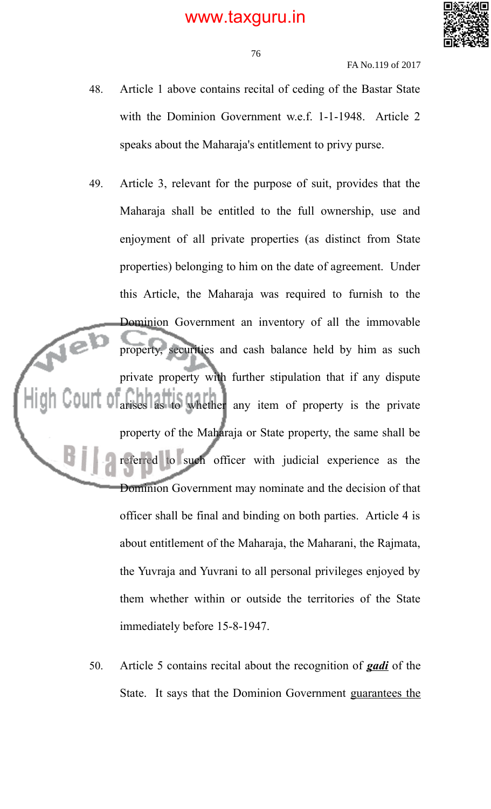

FA No.119 of 2017

- 48. Article 1 above contains recital of ceding of the Bastar State with the Dominion Government w.e.f. 1-1-1948. Article 2 speaks about the Maharaja's entitlement to privy purse.
- 49. Article 3, relevant for the purpose of suit, provides that the Maharaja shall be entitled to the full ownership, use and enjoyment of all private properties (as distinct from State properties) belonging to him on the date of agreement. Under this Article, the Maharaja was required to furnish to the Dominion Government an inventory of all the immovable property, securities and cash balance held by him as such private property with further stipulation that if any dispute to whether any item of property is the private property of the Maharaja or State property, the same shall be referred to such officer with judicial experience as the Dominion Government may nominate and the decision of that officer shall be final and binding on both parties. Article 4 is about entitlement of the Maharaja, the Maharani, the Rajmata, the Yuvraja and Yuvrani to all personal privileges enjoyed by them whether within or outside the territories of the State immediately before 15-8-1947.
	- 50. Article 5 contains recital about the recognition of *gadi* of the State. It says that the Dominion Government guarantees the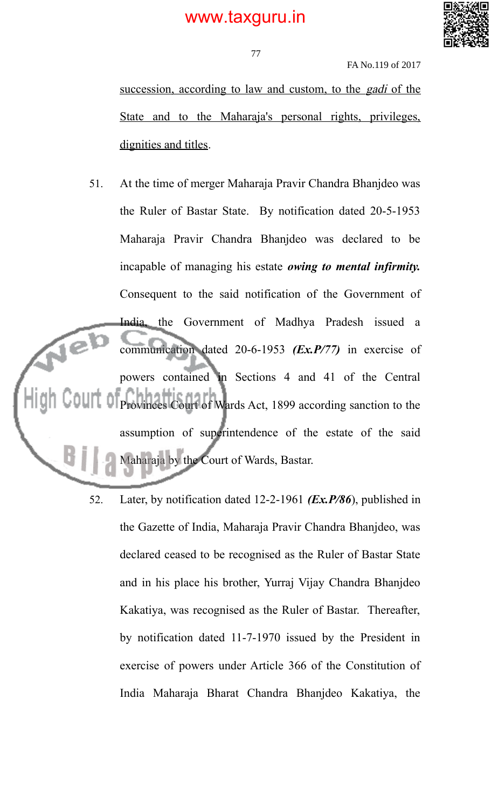

FA No.119 of 2017

succession, according to law and custom, to the *gadi* of the State and to the Maharaja's personal rights, privileges, dignities and titles.

- 51. At the time of merger Maharaja Pravir Chandra Bhanjdeo was the Ruler of Bastar State. By notification dated 20-5-1953 Maharaja Pravir Chandra Bhanjdeo was declared to be incapable of managing his estate *owing to mental infirmity.* Consequent to the said notification of the Government of India, the Government of Madhya Pradesh issued a  $\sqrt{e}$ communication dated 20-6-1953 *(Ex.P/77)* in exercise of powers contained in Sections 4 and 41 of the Central Provinces Court of Wards Act, 1899 according sanction to the assumption of superintendence of the estate of the said Maharaja by the Court of Wards, Bastar.
	- 52. Later, by notification dated 12-2-1961 *(Ex.P/86*), published in the Gazette of India, Maharaja Pravir Chandra Bhanjdeo, was declared ceased to be recognised as the Ruler of Bastar State and in his place his brother, Yurraj Vijay Chandra Bhanjdeo Kakatiya, was recognised as the Ruler of Bastar. Thereafter, by notification dated 11-7-1970 issued by the President in exercise of powers under Article 366 of the Constitution of India Maharaja Bharat Chandra Bhanjdeo Kakatiya, the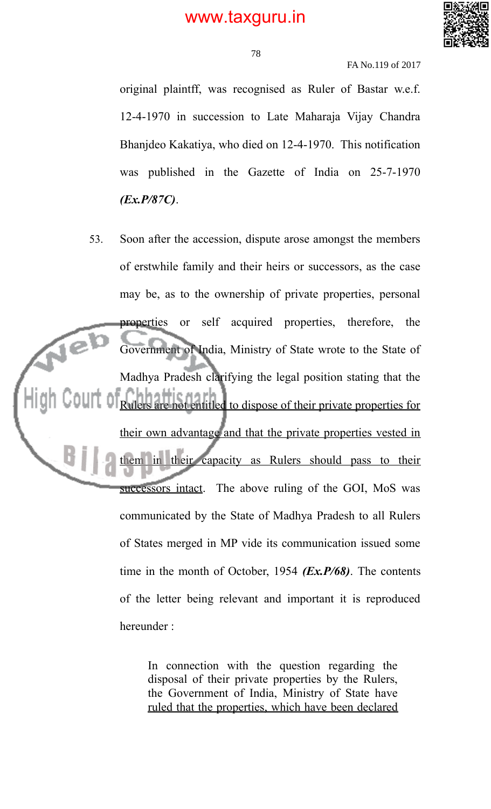

78

FA No.119 of 2017

original plaintff, was recognised as Ruler of Bastar w.e.f. 12-4-1970 in succession to Late Maharaja Vijay Chandra Bhanjdeo Kakatiya, who died on 12-4-1970. This notification was published in the Gazette of India on 25-7-1970 *(Ex.P/87C)*.

53. Soon after the accession, dispute arose amongst the members of erstwhile family and their heirs or successors, as the case may be, as to the ownership of private properties, personal properties or self acquired properties, therefore, the Neb Government of India, Ministry of State wrote to the State of Madhya Pradesh clarifying the legal position stating that the not entitled to dispose of their private properties for their own advantage and that the private properties vested in them in their capacity as Rulers should pass to their successors intact. The above ruling of the GOI, MoS was communicated by the State of Madhya Pradesh to all Rulers of States merged in MP vide its communication issued some time in the month of October, 1954 *(Ex.P/68)*. The contents of the letter being relevant and important it is reproduced hereunder :

> In connection with the question regarding the disposal of their private properties by the Rulers, the Government of India, Ministry of State have ruled that the properties, which have been declared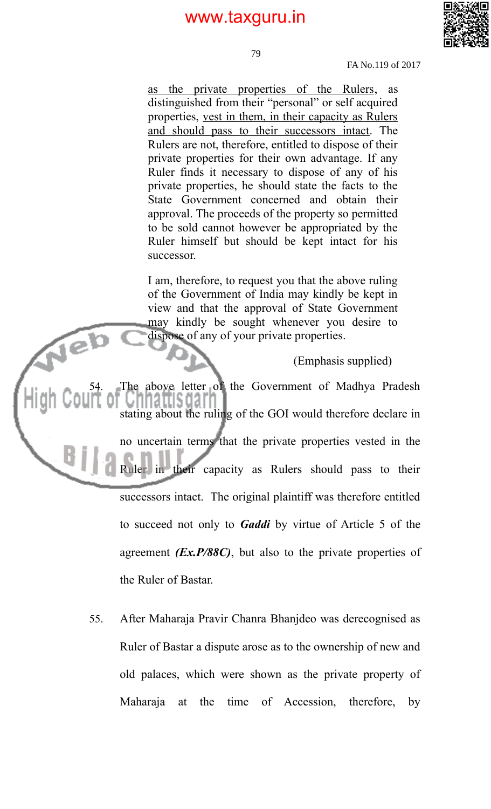

79

FA No.119 of 2017

as the private properties of the Rulers, as distinguished from their "personal" or self acquired properties, vest in them, in their capacity as Rulers and should pass to their successors intact. The Rulers are not, therefore, entitled to dispose of their private properties for their own advantage. If any Ruler finds it necessary to dispose of any of his private properties, he should state the facts to the State Government concerned and obtain their approval. The proceeds of the property so permitted to be sold cannot however be appropriated by the Ruler himself but should be kept intact for his successor.

I am, therefore, to request you that the above ruling of the Government of India may kindly be kept in view and that the approval of State Government may kindly be sought whenever you desire to dispose of any of your private properties.

(Emphasis supplied)

The above letter of the Government of Madhya Pradesh atus darn stating about the ruling of the GOI would therefore declare in no uncertain terms that the private properties vested in the Ruler in their capacity as Rulers should pass to their successors intact. The original plaintiff was therefore entitled to succeed not only to *Gaddi* by virtue of Article 5 of the agreement *(Ex.P/88C)*, but also to the private properties of the Ruler of Bastar.

Neb

55. After Maharaja Pravir Chanra Bhanjdeo was derecognised as Ruler of Bastar a dispute arose as to the ownership of new and old palaces, which were shown as the private property of Maharaja at the time of Accession, therefore, by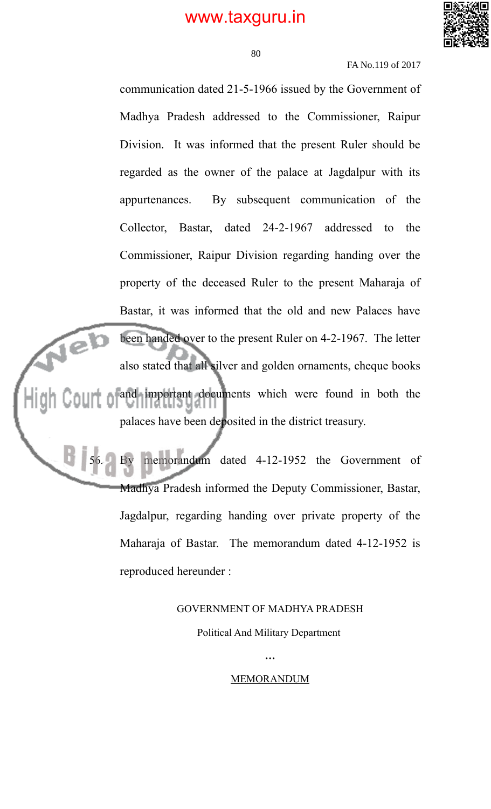

80

FA No.119 of 2017

communication dated 21-5-1966 issued by the Government of Madhya Pradesh addressed to the Commissioner, Raipur Division. It was informed that the present Ruler should be regarded as the owner of the palace at Jagdalpur with its appurtenances. By subsequent communication of the Collector, Bastar, dated 24-2-1967 addressed to the Commissioner, Raipur Division regarding handing over the property of the deceased Ruler to the present Maharaja of Bastar, it was informed that the old and new Palaces have been handed over to the present Ruler on 4-2-1967. The letter rel) also stated that all silver and golden ornaments, cheque books and important documents which were found in both the palaces have been deposited in the district treasury.

> memorandum dated 4-12-1952 the Government of Madhya Pradesh informed the Deputy Commissioner, Bastar, Jagdalpur, regarding handing over private property of the Maharaja of Bastar. The memorandum dated 4-12-1952 is reproduced hereunder :

#### GOVERNMENT OF MADHYA PRADESH

Political And Military Department

MEMORANDUM

*…*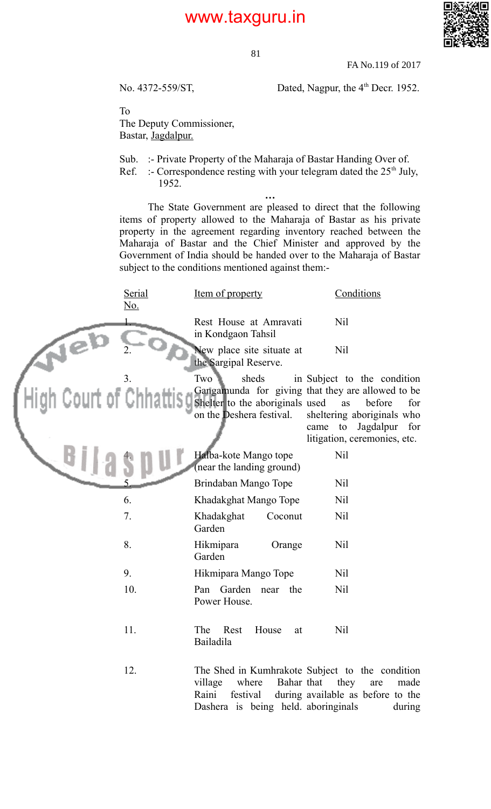81



FA No.119 of 2017

No. 4372-559/ST, Dated, Nagpur, the 4<sup>th</sup> Decr. 1952.

To

The Deputy Commissioner, Bastar, Jagdalpur.

Sub. :- Private Property of the Maharaja of Bastar Handing Over of.

Ref. :- Correspondence resting with your telegram dated the  $25<sup>th</sup>$  July, 1952.

*…* The State Government are pleased to direct that the following items of property allowed to the Maharaja of Bastar as his private property in the agreement regarding inventory reached between the Maharaja of Bastar and the Chief Minister and approved by the Government of India should be handed over to the Maharaja of Bastar subject to the conditions mentioned against them:-

|                         | Serial<br><u>No.</u> | Item of property                                                            | Conditions                                                                                                                                                                                           |
|-------------------------|----------------------|-----------------------------------------------------------------------------|------------------------------------------------------------------------------------------------------------------------------------------------------------------------------------------------------|
|                         |                      | Rest House at Amravati<br>in Kondgaon Tahsil                                | Nil                                                                                                                                                                                                  |
|                         |                      | New place site situate at<br>the Sargipal Reserve.                          | Nil                                                                                                                                                                                                  |
| High Court of Chhattisg | 3.                   | Two<br>sheds<br>Shelter to the aboriginals used<br>on the Deshera festival. | in Subject to the condition<br>Gangamunda for giving that they are allowed to be<br>before<br>as<br>for<br>sheltering aboriginals who<br>came to<br>Jagdalpur<br>for<br>litigation, ceremonies, etc. |
|                         |                      | Halba-kote Mango tope<br>(near the landing ground)                          | Nil                                                                                                                                                                                                  |
|                         |                      | Brindaban Mango Tope                                                        | Nil                                                                                                                                                                                                  |
|                         | 6.                   | Khadakghat Mango Tope                                                       | Nil                                                                                                                                                                                                  |
|                         | 7.                   | Khadakghat<br>Coconut<br>Garden                                             | Nil                                                                                                                                                                                                  |
|                         | 8.                   | Hikmipara<br>Orange<br>Garden                                               | Nil                                                                                                                                                                                                  |
|                         | 9.                   | Hikmipara Mango Tope                                                        | Nil                                                                                                                                                                                                  |
|                         | 10.                  | Pan Garden near the<br>Power House.                                         | Nil                                                                                                                                                                                                  |
|                         | 11.                  | Rest<br>House<br>The<br>at<br><b>Bailadila</b>                              | Nil                                                                                                                                                                                                  |
|                         | 12.                  | where<br>village<br>Raini<br>festival<br>Dashera is being held aboringinals | The Shed in Kumhrakote Subject to the condition<br>Bahar that they<br>made<br>are<br>during available as before to the<br>during                                                                     |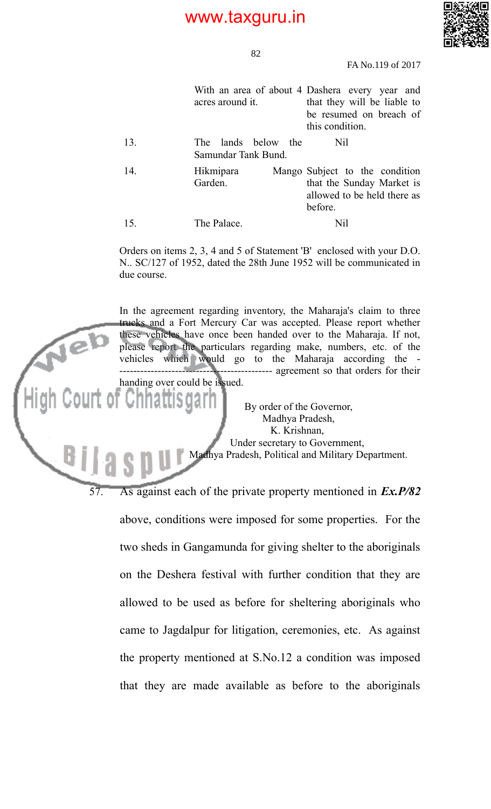

82

FA No.119 of 2017

|     | acres around it.                              | With an area of about 4 Dashera every year and<br>that they will be liable to<br>be resumed on breach of<br>this condition. |
|-----|-----------------------------------------------|-----------------------------------------------------------------------------------------------------------------------------|
| 13. | lands below the<br>The<br>Samundar Tank Bund. | Nil                                                                                                                         |
| 14. | Hikmipara<br>Garden.                          | Mango Subject to the condition<br>that the Sunday Market is<br>allowed to be held there as<br>before.                       |
| 15. | The Palace.                                   | Nil                                                                                                                         |

Orders on items 2, 3, 4 and 5 of Statement 'B' enclosed with your D.O. N.. SC/127 of 1952, dated the 28th June 1952 will be communicated in due course.

In the agreement regarding inventory, the Maharaja's claim to three trucks and a Fort Mercury Car was accepted. Please report whether these vehicles have once been handed over to the Maharaja. If not, please report the particulars regarding make, numbers, etc. of the vehicles which would go to the Maharaja according the - -------------------------------------------- agreement so that orders for their handing over could be issued. By order of the Governor, Madhya Pradesh, K. Krishnan, Under secretary to Government, Madhya Pradesh, Political and Military Department. 57. As against each of the private property mentioned in *Ex.P/82*

above, conditions were imposed for some properties. For the two sheds in Gangamunda for giving shelter to the aboriginals on the Deshera festival with further condition that they are allowed to be used as before for sheltering aboriginals who came to Jagdalpur for litigation, ceremonies, etc. As against the property mentioned at S.No.12 a condition was imposed that they are made available as before to the aboriginals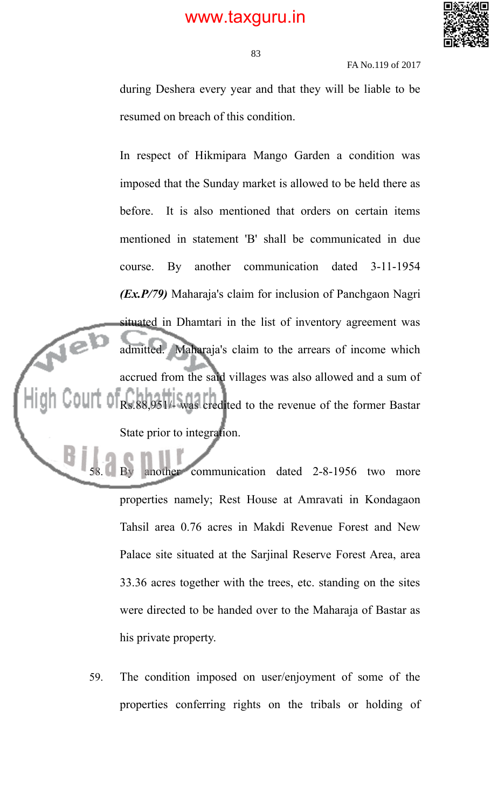

FA No.119 of 2017

during Deshera every year and that they will be liable to be resumed on breach of this condition.

In respect of Hikmipara Mango Garden a condition was imposed that the Sunday market is allowed to be held there as before. It is also mentioned that orders on certain items mentioned in statement 'B' shall be communicated in due course. By another communication dated 3-11-1954 *(Ex.P/79)* Maharaja's claim for inclusion of Panchgaon Nagri situated in Dhamtari in the list of inventory agreement was  $\sqrt{e}$ admitted. Maharaja's claim to the arrears of income which accrued from the said villages was also allowed and a sum of Rs.88,951/- was credited to the revenue of the former Bastar State prior to integration.

> another communication dated 2-8-1956 two more properties namely; Rest House at Amravati in Kondagaon Tahsil area 0.76 acres in Makdi Revenue Forest and New Palace site situated at the Sarjinal Reserve Forest Area, area 33.36 acres together with the trees, etc. standing on the sites were directed to be handed over to the Maharaja of Bastar as his private property.

59. The condition imposed on user/enjoyment of some of the properties conferring rights on the tribals or holding of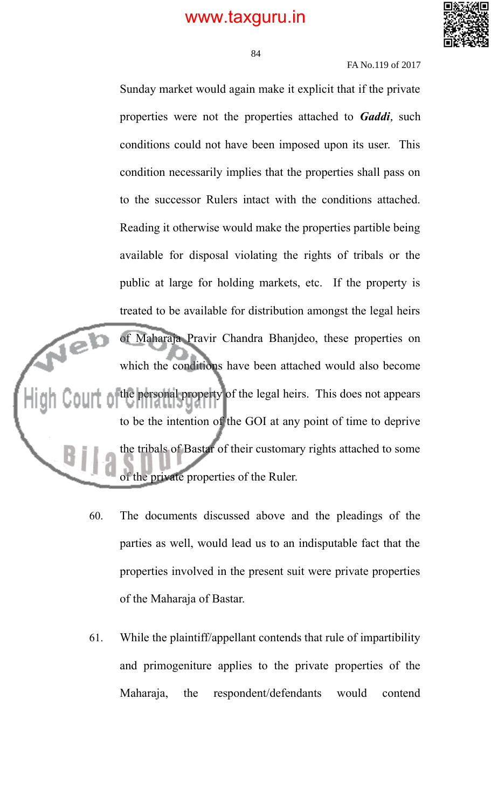

84

#### FA No.119 of 2017

Sunday market would again make it explicit that if the private properties were not the properties attached to *Gaddi*, such conditions could not have been imposed upon its user. This condition necessarily implies that the properties shall pass on to the successor Rulers intact with the conditions attached. Reading it otherwise would make the properties partible being available for disposal violating the rights of tribals or the public at large for holding markets, etc. If the property is treated to be available for distribution amongst the legal heirs  $\mathbf{P}$ of Maharaja Pravir Chandra Bhanjdeo, these properties on which the conditions have been attached would also become the personal property of the legal heirs. This does not appears to be the intention of the GOI at any point of time to deprive the tribals of Bastar of their customary rights attached to some of the private properties of the Ruler.

- 60. The documents discussed above and the pleadings of the parties as well, would lead us to an indisputable fact that the properties involved in the present suit were private properties of the Maharaja of Bastar.
- 61. While the plaintiff/appellant contends that rule of impartibility and primogeniture applies to the private properties of the Maharaja, the respondent/defendants would contend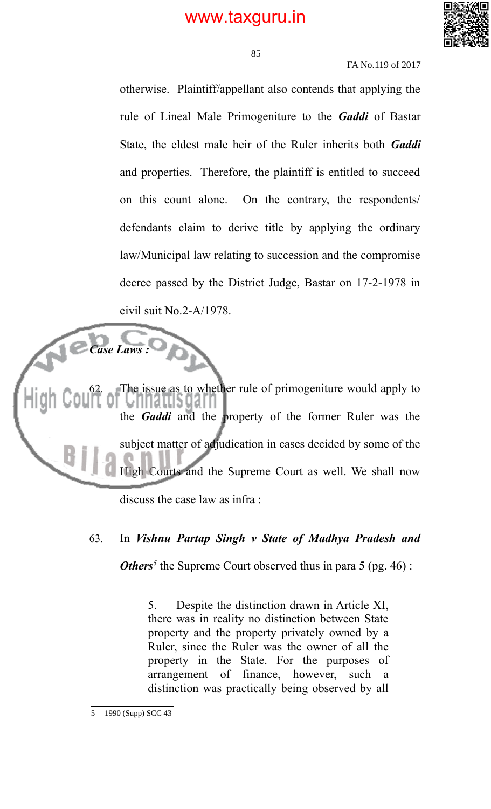

85

#### FA No.119 of 2017

otherwise. Plaintiff/appellant also contends that applying the rule of Lineal Male Primogeniture to the *Gaddi* of Bastar State, the eldest male heir of the Ruler inherits both *Gaddi* and properties. Therefore, the plaintiff is entitled to succeed on this count alone. On the contrary, the respondents/ defendants claim to derive title by applying the ordinary law/Municipal law relating to succession and the compromise decree passed by the District Judge, Bastar on 17-2-1978 in civil suit No.2-A/1978.

*Case Laws :* The issue as to whether rule of primogeniture would apply to usuan the *Gaddi* and the property of the former Ruler was the subject matter of adjudication in cases decided by some of the High Courts and the Supreme Court as well. We shall now discuss the case law as infra :

#### 63. In *Vishnu Partap Singh v State of Madhya Pradesh and*

*Others<sup>5</sup>* the Supreme Court observed thus in para 5 (pg. 46):

5. Despite the distinction drawn in Article XI, there was in reality no distinction between State property and the property privately owned by a Ruler, since the Ruler was the owner of all the property in the State. For the purposes of arrangement of finance, however, such a distinction was practically being observed by all

<sup>5</sup> 1990 (Supp) SCC 43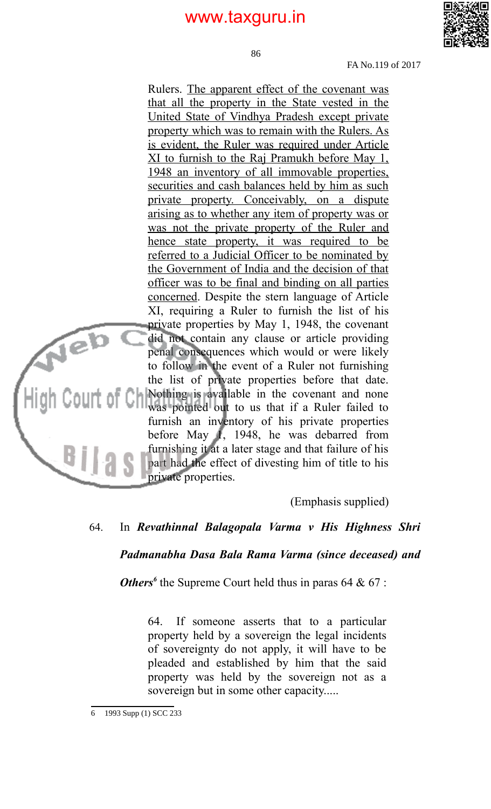86



FA No.119 of 2017

Rulers. The apparent effect of the covenant was that all the property in the State vested in the United State of Vindhya Pradesh except private property which was to remain with the Rulers. As is evident, the Ruler was required under Article XI to furnish to the Raj Pramukh before May 1, 1948 an inventory of all immovable properties, securities and cash balances held by him as such private property. Conceivably, on a dispute arising as to whether any item of property was or was not the private property of the Ruler and hence state property, it was required to be referred to a Judicial Officer to be nominated by the Government of India and the decision of that officer was to be final and binding on all parties concerned. Despite the stern language of Article XI, requiring a Ruler to furnish the list of his private properties by May 1, 1948, the covenant Neb did not contain any clause or article providing penal consequences which would or were likely to follow in the event of a Ruler not furnishing the list of private properties before that date. Nothing is available in the covenant and none was pointed out to us that if a Ruler failed to furnish an inventory of his private properties before May 1, 1948, he was debarred from furnishing it at a later stage and that failure of his  $B11a$ part had the effect of divesting him of title to his private properties.

(Emphasis supplied)

#### 64. In *Revathinnal Balagopala Varma v His Highness Shri*

#### *Padmanabha Dasa Bala Rama Varma (since deceased) and*

**Others<sup>6</sup>** the Supreme Court held thus in paras 64 & 67 :

64. If someone asserts that to a particular property held by a sovereign the legal incidents of sovereignty do not apply, it will have to be pleaded and established by him that the said property was held by the sovereign not as a sovereign but in some other capacity.....

<sup>6</sup> 1993 Supp (1) SCC 233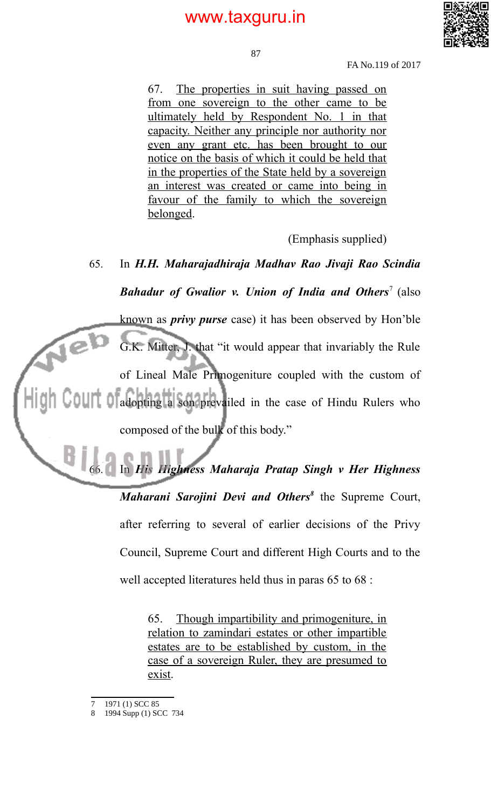

87

FA No.119 of 2017

67. The properties in suit having passed on from one sovereign to the other came to be ultimately held by Respondent No. 1 in that capacity. Neither any principle nor authority nor even any grant etc. has been brought to our notice on the basis of which it could be held that in the properties of the State held by a sovereign an interest was created or came into being in favour of the family to which the sovereign belonged.

(Emphasis supplied)

# 65. In *H.H. Maharajadhiraja Madhav Rao Jivaji Rao Scindia* **Bahadur of Gwalior v. Union of India and Others<sup>7</sup> (also** known as *privy purse* case) it has been observed by Hon'ble  $\sqrt{e}$ G.K. Mitter, J. that "it would appear that invariably the Rule of Lineal Male Primogeniture coupled with the custom of adopting a son prevailed in the case of Hindu Rulers who composed of the bulk of this body."

66. In *His Highness Maharaja Pratap Singh v Her Highness Maharani Sarojini Devi and Others<sup>8</sup>* the Supreme Court, after referring to several of earlier decisions of the Privy Council, Supreme Court and different High Courts and to the well accepted literatures held thus in paras 65 to 68 :

> 65. Though impartibility and primogeniture, in relation to zamindari estates or other impartible estates are to be established by custom, in the case of a sovereign Ruler, they are presumed to exist.

B

<sup>1971 (1)</sup> SCC 85

<sup>8</sup> 1994 Supp (1) SCC 734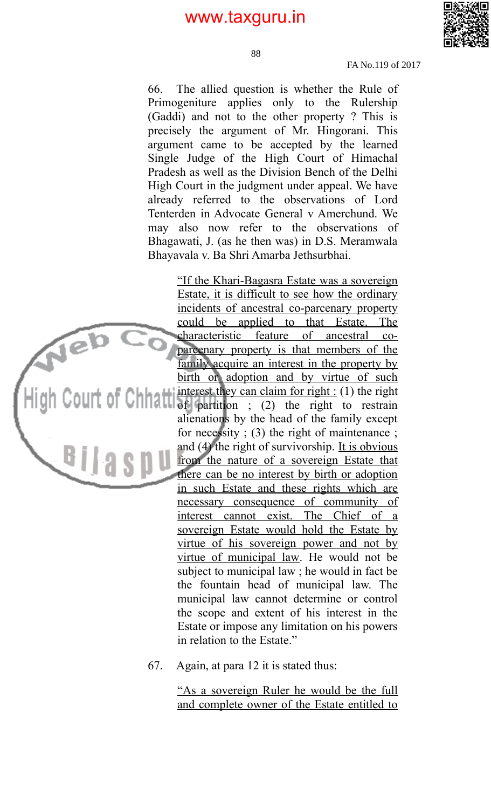

88

FA No.119 of 2017

66. The allied question is whether the Rule of Primogeniture applies only to the Rulership (Gaddi) and not to the other property ? This is precisely the argument of Mr. Hingorani. This argument came to be accepted by the learned Single Judge of the High Court of Himachal Pradesh as well as the Division Bench of the Delhi High Court in the judgment under appeal. We have already referred to the observations of Lord Tenterden in Advocate General v Amerchund. We may also now refer to the observations of Bhagawati, J. (as he then was) in D.S. Meramwala Bhayavala v. Ba Shri Amarba Jethsurbhai.

> "If the Khari-Bagasra Estate was a sovereign Estate, it is difficult to see how the ordinary incidents of ancestral co-parcenary property could be applied to that Estate. The characteristic feature of ancestral coparcenary property is that members of the family acquire an interest in the property by birth or adoption and by virtue of such interest they can claim for right  $: (1)$  the right of partition ; (2) the right to restrain alienations by the head of the family except for necessity ; (3) the right of maintenance ; and (4) the right of survivorship. It is obvious from the nature of a sovereign Estate that there can be no interest by birth or adoption in such Estate and these rights which are necessary consequence of community of interest cannot exist. The Chief of a sovereign Estate would hold the Estate by virtue of his sovereign power and not by virtue of municipal law. He would not be subject to municipal law ; he would in fact be the fountain head of municipal law. The municipal law cannot determine or control the scope and extent of his interest in the Estate or impose any limitation on his powers in relation to the Estate."

67. Again, at para 12 it is stated thus:

 $Ae^{b}$ 

**Ellaspu** 

 "As a sovereign Ruler he would be the full and complete owner of the Estate entitled to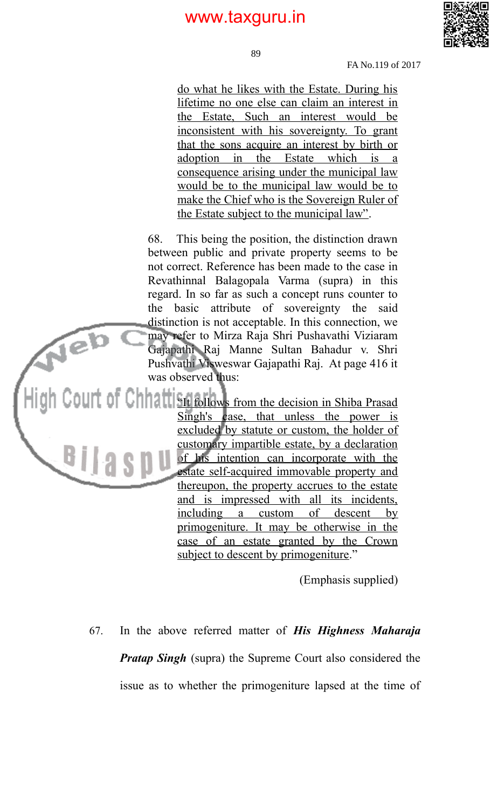

89

FA No.119 of 2017

do what he likes with the Estate. During his lifetime no one else can claim an interest in the Estate, Such an interest would be inconsistent with his sovereignty. To grant that the sons acquire an interest by birth or adoption in the Estate which is a consequence arising under the municipal law would be to the municipal law would be to make the Chief who is the Sovereign Ruler of the Estate subject to the municipal law".

68. This being the position, the distinction drawn between public and private property seems to be not correct. Reference has been made to the case in Revathinnal Balagopala Varma (supra) in this regard. In so far as such a concept runs counter to the basic attribute of sovereignty the said distinction is not acceptable. In this connection, we may refer to Mirza Raja Shri Pushavathi Viziaram Gajapathi Raj Manne Sultan Bahadur v. Shri Pushvathi Visweswar Gajapathi Raj. At page 416 it was observed thus:

Neb

 $B||3$ 

COUIT OF CHHATT SIt follows from the decision in Shiba Prasad Singh's case, that unless the power is excluded by statute or custom, the holder of customary impartible estate, by a declaration of his intention can incorporate with the estate self-acquired immovable property and thereupon, the property accrues to the estate and is impressed with all its incidents, including a custom of descent by primogeniture. It may be otherwise in the case of an estate granted by the Crown subject to descent by primogeniture."

(Emphasis supplied)

67. In the above referred matter of *His Highness Maharaja Pratap Singh* (supra) the Supreme Court also considered the issue as to whether the primogeniture lapsed at the time of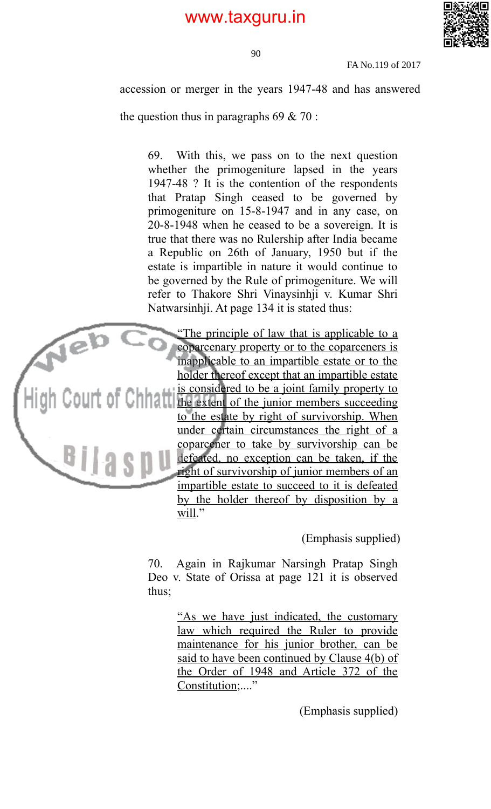

90

FA No.119 of 2017

accession or merger in the years 1947-48 and has answered

the question thus in paragraphs  $69 \& 70$ :

69. With this, we pass on to the next question whether the primogeniture lapsed in the years 1947-48 ? It is the contention of the respondents that Pratap Singh ceased to be governed by primogeniture on 15-8-1947 and in any case, on 20-8-1948 when he ceased to be a sovereign. It is true that there was no Rulership after India became a Republic on 26th of January, 1950 but if the estate is impartible in nature it would continue to be governed by the Rule of primogeniture. We will refer to Thakore Shri Vinaysinhji v. Kumar Shri Natwarsinhji. At page 134 it is stated thus:



 "The principle of law that is applicable to a coparcenary property or to the coparceners is inapplicable to an impartible estate or to the holder thereof except that an impartible estate is considered to be a joint family property to  $\text{Coul}$  the extent of the junior members succeeding to the estate by right of survivorship. When under certain circumstances the right of a coparcener to take by survivorship can be defeated, no exception can be taken, if the right of survivorship of junior members of an impartible estate to succeed to it is defeated by the holder thereof by disposition by a will."

(Emphasis supplied)

70. Again in Rajkumar Narsingh Pratap Singh Deo v. State of Orissa at page 121 it is observed thus;

> "As we have just indicated, the customary law which required the Ruler to provide maintenance for his junior brother, can be said to have been continued by Clause 4(b) of the Order of 1948 and Article 372 of the Constitution;...."

> > (Emphasis supplied)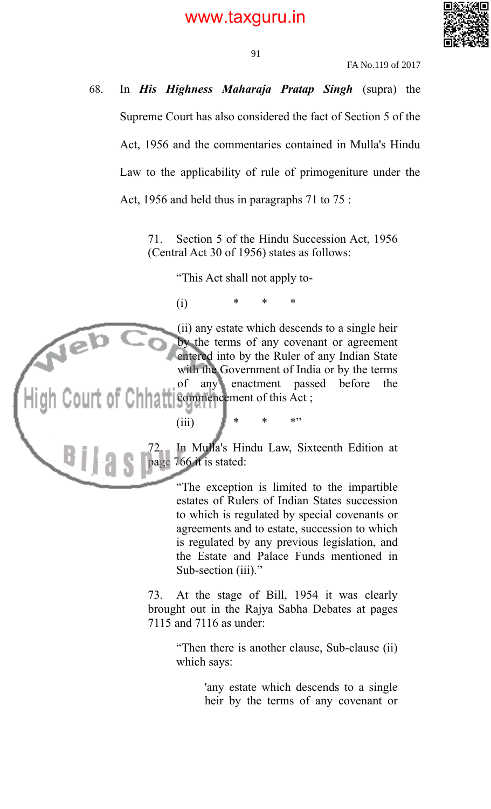

FA No.119 of 2017

68. In *His Highness Maharaja Pratap Singh* (supra) the Supreme Court has also considered the fact of Section 5 of the Act, 1956 and the commentaries contained in Mulla's Hindu Law to the applicability of rule of primogeniture under the Act, 1956 and held thus in paragraphs 71 to 75 :

> 71. Section 5 of the Hindu Succession Act, 1956 (Central Act 30 of 1956) states as follows:

> > "This Act shall not apply to-

(i) \* \* \*

Neb

(ii) any estate which descends to a single heir by the terms of any covenant or agreement entered into by the Ruler of any Indian State with the Government of India or by the terms of any enactment passed before the commencement of this Act; ourt of Chh

(iii)  $* * * * "$ 

In Mulla's Hindu Law, Sixteenth Edition at page 766 it is stated:

> "The exception is limited to the impartible estates of Rulers of Indian States succession to which is regulated by special covenants or agreements and to estate, succession to which is regulated by any previous legislation, and the Estate and Palace Funds mentioned in Sub-section (iii)."

73. At the stage of Bill, 1954 it was clearly brought out in the Rajya Sabha Debates at pages 7115 and 7116 as under:

> "Then there is another clause, Sub-clause (ii) which says:

> > 'any estate which descends to a single heir by the terms of any covenant or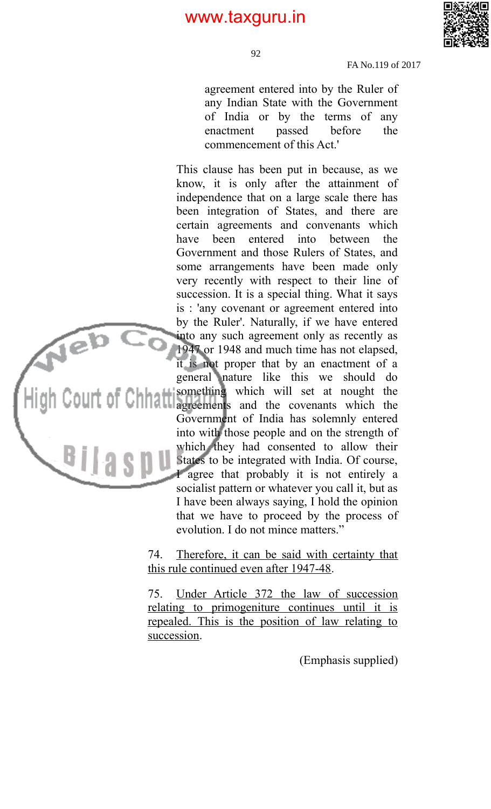

FA No.119 of 2017

agreement entered into by the Ruler of any Indian State with the Government of India or by the terms of any enactment passed before the commencement of this Act.'

This clause has been put in because, as we know, it is only after the attainment of independence that on a large scale there has been integration of States, and there are certain agreements and convenants which have been entered into between the Government and those Rulers of States, and some arrangements have been made only very recently with respect to their line of succession. It is a special thing. What it says is : 'any covenant or agreement entered into by the Ruler'. Naturally, if we have entered into any such agreement only as recently as 1947 or 1948 and much time has not elapsed, it is not proper that by an enactment of a general nature like this we should do something which will set at nought the agreements and the covenants which the Government of India has solemnly entered into with those people and on the strength of which they had consented to allow their States to be integrated with India. Of course, I agree that probably it is not entirely a socialist pattern or whatever you call it, but as I have been always saying, I hold the opinion that we have to proceed by the process of evolution. I do not mince matters."

Web

74. Therefore, it can be said with certainty that this rule continued even after 1947-48.

75. Under Article 372 the law of succession relating to primogeniture continues until it is repealed. This is the position of law relating to succession.

(Emphasis supplied)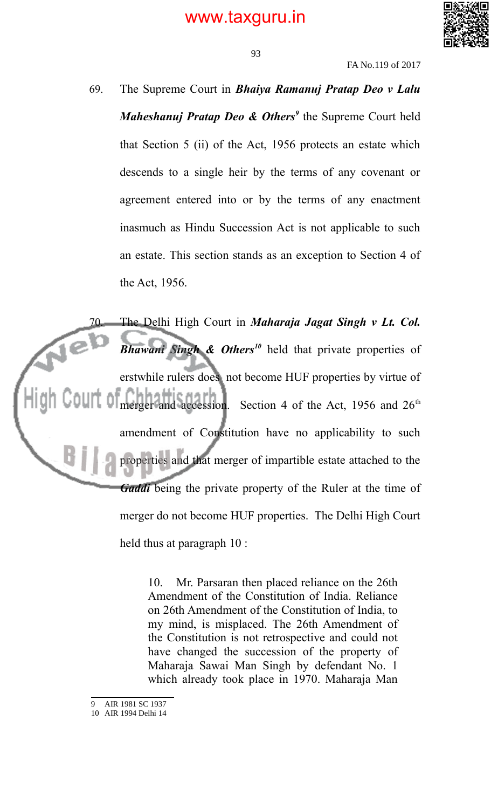

FA No.119 of 2017

69. The Supreme Court in *Bhaiya Ramanuj Pratap Deo v Lalu Maheshanuj Pratap Deo & Others<sup>9</sup>* the Supreme Court held that Section 5 (ii) of the Act, 1956 protects an estate which descends to a single heir by the terms of any covenant or agreement entered into or by the terms of any enactment inasmuch as Hindu Succession Act is not applicable to such an estate. This section stands as an exception to Section 4 of the Act, 1956.

The Delhi High Court in *Maharaja Jagat Singh v Lt. Col. Bhawani Singh & Others<sup>10</sup>* held that private properties of erstwhile rulers does not become HUF properties by virtue of merger and accession. Section 4 of the Act, 1956 and 26<sup>th</sup> amendment of Constitution have no applicability to such properties and that merger of impartible estate attached to the *Gaddi* being the private property of the Ruler at the time of merger do not become HUF properties. The Delhi High Court held thus at paragraph 10 :

> 10. Mr. Parsaran then placed reliance on the 26th Amendment of the Constitution of India. Reliance on 26th Amendment of the Constitution of India, to my mind, is misplaced. The 26th Amendment of the Constitution is not retrospective and could not have changed the succession of the property of Maharaja Sawai Man Singh by defendant No. 1 which already took place in 1970. Maharaja Man

<sup>9</sup> AIR 1981 SC 1937

<sup>10</sup> AIR 1994 Delhi 14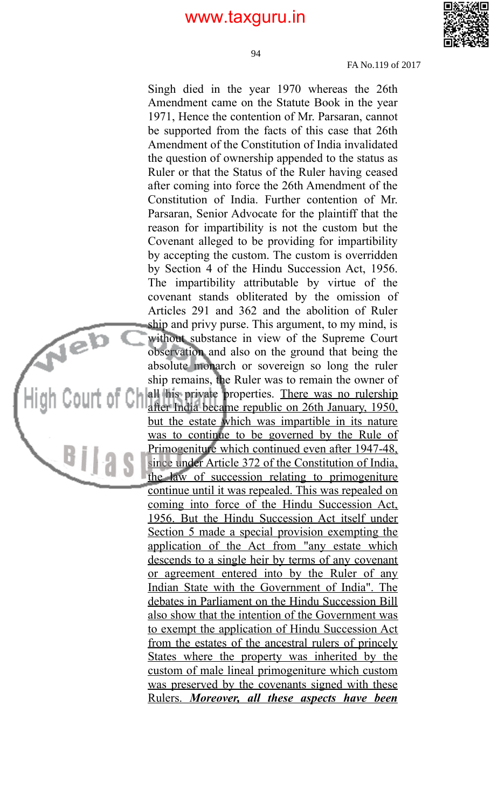94



FA No.119 of 2017

Singh died in the year 1970 whereas the 26th Amendment came on the Statute Book in the year 1971, Hence the contention of Mr. Parsaran, cannot be supported from the facts of this case that 26th Amendment of the Constitution of India invalidated the question of ownership appended to the status as Ruler or that the Status of the Ruler having ceased after coming into force the 26th Amendment of the Constitution of India. Further contention of Mr. Parsaran, Senior Advocate for the plaintiff that the reason for impartibility is not the custom but the Covenant alleged to be providing for impartibility by accepting the custom. The custom is overridden by Section 4 of the Hindu Succession Act, 1956. The impartibility attributable by virtue of the covenant stands obliterated by the omission of Articles 291 and 362 and the abolition of Ruler ship and privy purse. This argument, to my mind, is without substance in view of the Supreme Court observation and also on the ground that being the absolute monarch or sovereign so long the ruler ship remains, the Ruler was to remain the owner of  $\begin{bmatrix} 1 & 0 \\ 0 & 1 \end{bmatrix}$  all his private properties. There was no rulership after India became republic on 26th January, 1950, but the estate which was impartible in its nature was to continue to be governed by the Rule of Primogeniture which continued even after 1947-48, since under Article 372 of the Constitution of India, the law of succession relating to primogeniture continue until it was repealed. This was repealed on coming into force of the Hindu Succession Act, 1956. But the Hindu Succession Act itself under Section 5 made a special provision exempting the application of the Act from "any estate which descends to a single heir by terms of any covenant or agreement entered into by the Ruler of any Indian State with the Government of India". The debates in Parliament on the Hindu Succession Bill also show that the intention of the Government was to exempt the application of Hindu Succession Act from the estates of the ancestral rulers of princely States where the property was inherited by the custom of male lineal primogeniture which custom was preserved by the covenants signed with these Rulers. *Moreover, all these aspects have been*

 $\sqrt{e^{b}}$ 

 $Big<sub>1</sub>$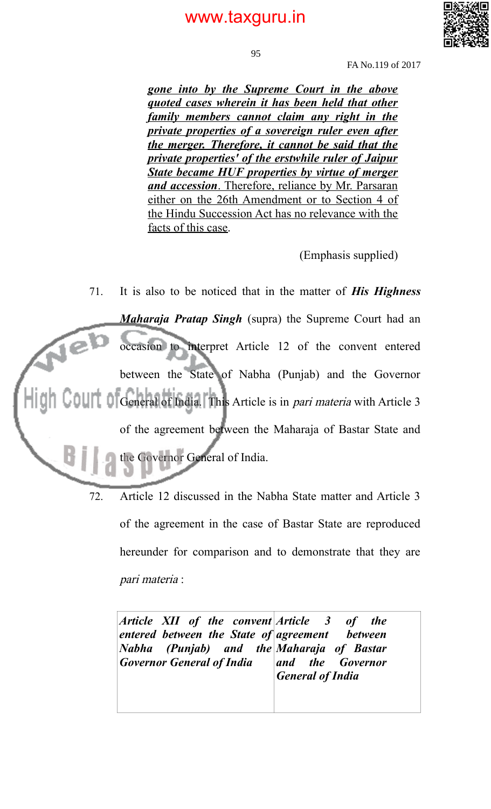

95

FA No.119 of 2017

*gone into by the Supreme Court in the above quoted cases wherein it has been held that other family members cannot claim any right in the private properties of a sovereign ruler even after the merger. Therefore, it cannot be said that the private properties' of the erstwhile ruler of Jaipur State became HUF properties by virtue of merger and accession*. Therefore, reliance by Mr. Parsaran either on the 26th Amendment or to Section 4 of the Hindu Succession Act has no relevance with the facts of this case.

(Emphasis supplied)

71. It is also to be noticed that in the matter of *His Highness Maharaja Pratap Singh* (supra) the Supreme Court had an  $\sqrt{e}$ occasion to interpret Article 12 of the convent entered between the State of Nabha (Punjab) and the Governor General of India. This Article is in *pari materia* with Article 3 of the agreement between the Maharaja of Bastar State and the Governor General of India.

> 72. Article 12 discussed in the Nabha State matter and Article 3 of the agreement in the case of Bastar State are reproduced hereunder for comparison and to demonstrate that they are pari materia :

*Article XII of the convent Article 3 of the entered between the State of agreement between Nabha (Punjab) and Governor General of India Maharaja of Bastar and the Governor General of India*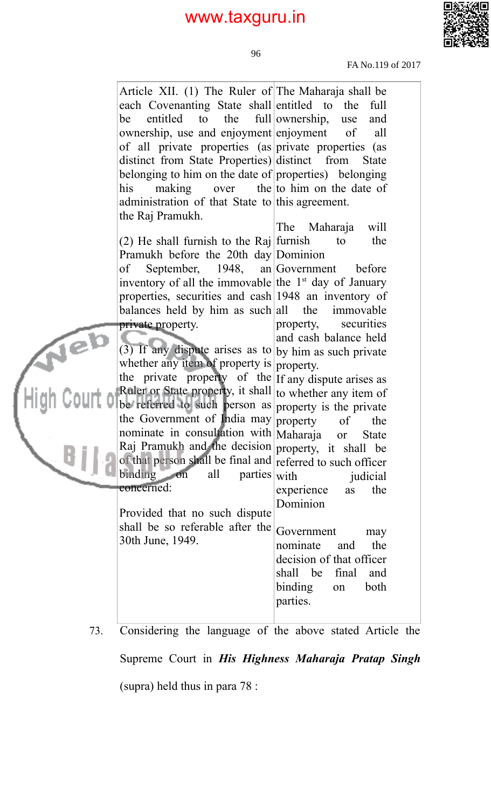

FA No.119 of 2017

| Article XII. (1) The Ruler of The Maharaja shall be        |                               |
|------------------------------------------------------------|-------------------------------|
| each Covenanting State shall entitled to the               | full                          |
| entitled to the<br>be                                      | full ownership,<br>use<br>and |
| ownership, use and enjoyment enjoyment                     | of<br>all                     |
| of all private properties (as private properties (as       |                               |
| distinct from State Properties) distinct from              | <b>State</b>                  |
| belonging to him on the date of properties) belonging      |                               |
| making over the to him on the date of<br>his               |                               |
| administration of that State to this agreement.            |                               |
| the Raj Pramukh.                                           |                               |
|                                                            | The<br>Maharaja<br>will       |
| $(2)$ He shall furnish to the Raj furnish                  | the<br>to                     |
| Pramukh before the 20th day Dominion                       |                               |
| September, 1948, an Government before<br>of                |                               |
| inventory of all the immovable the $1st$ day of January    |                               |
| properties, securities and cash 1948 an inventory of       |                               |
| balances held by him as such all                           | the immovable                 |
| private property.                                          | securities<br>property,       |
|                                                            | and cash balance held         |
| (3) If any dispute arises as to by him as such private     |                               |
| whether any item of property is property.                  |                               |
| the private property of the $ $ If any dispute arises as   |                               |
| Ruler or State property, it shall to whether any item of   |                               |
| be referred to such person as property is the private      |                               |
| the Government of India may property                       | of<br>the                     |
| nominate in consultation with Maharaja                     | <b>State</b><br><b>or</b>     |
| Raj Pramukh and the decision property, it shall be         |                               |
| of that person shall be final and referred to such officer |                               |
| binding on<br>all<br>$parties$ with                        | judicial                      |
| concerned:                                                 | the<br>experience<br>as       |
|                                                            | Dominion                      |
| Provided that no such dispute                              |                               |
| shall be so referable after the                            | Government<br>may             |
| 30th June, 1949.                                           | the<br>nominate<br>and        |
|                                                            | decision of that officer      |
|                                                            | shall be<br>final<br>and      |
|                                                            | binding<br>both<br>on         |
|                                                            | parties.                      |
|                                                            |                               |
|                                                            |                               |

73. Considering the language of the above stated Article the Supreme Court in *His Highness Maharaja Pratap Singh* (supra) held thus in para 78 :

96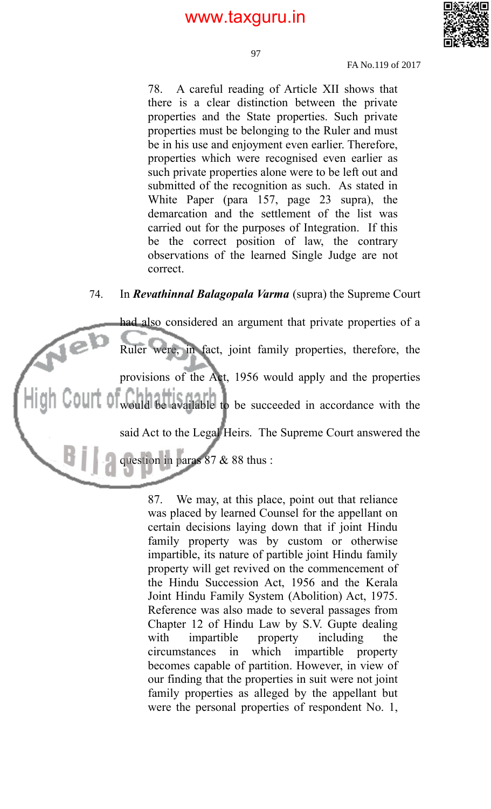

97

FA No.119 of 2017

78. A careful reading of Article XII shows that there is a clear distinction between the private properties and the State properties. Such private properties must be belonging to the Ruler and must be in his use and enjoyment even earlier. Therefore, properties which were recognised even earlier as such private properties alone were to be left out and submitted of the recognition as such. As stated in White Paper (para 157, page 23 supra), the demarcation and the settlement of the list was carried out for the purposes of Integration. If this be the correct position of law, the contrary observations of the learned Single Judge are not correct.

#### 74. In *Revathinnal Balagopala Varma* (supra) the Supreme Court

had also considered an argument that private properties of a  $\sqrt{e}$ Ruler were, in fact, joint family properties, therefore, the provisions of the Act, 1956 would apply and the properties would be available to be succeeded in accordance with the said Act to the Legal Heirs. The Supreme Court answered the question in paras 87 & 88 thus :

> 87. We may, at this place, point out that reliance was placed by learned Counsel for the appellant on certain decisions laying down that if joint Hindu family property was by custom or otherwise impartible, its nature of partible joint Hindu family property will get revived on the commencement of the Hindu Succession Act, 1956 and the Kerala Joint Hindu Family System (Abolition) Act, 1975. Reference was also made to several passages from Chapter 12 of Hindu Law by S.V. Gupte dealing with impartible property including the circumstances in which impartible property becomes capable of partition. However, in view of our finding that the properties in suit were not joint family properties as alleged by the appellant but were the personal properties of respondent No. 1,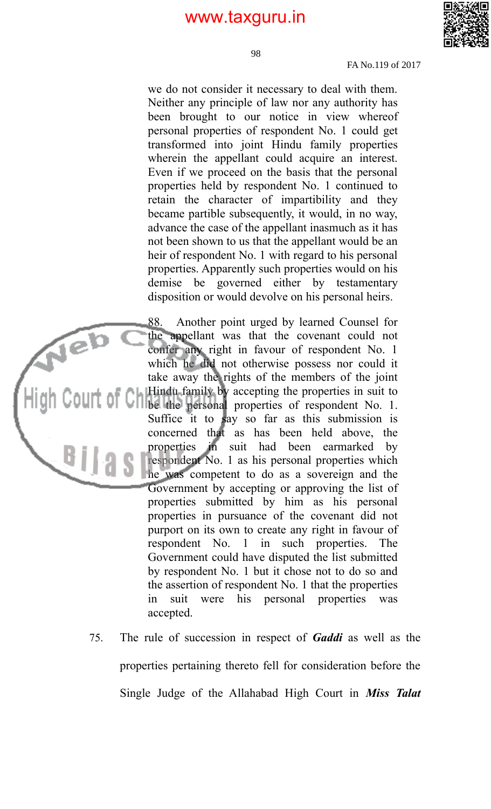

98

FA No.119 of 2017

we do not consider it necessary to deal with them. Neither any principle of law nor any authority has been brought to our notice in view whereof personal properties of respondent No. 1 could get transformed into joint Hindu family properties wherein the appellant could acquire an interest. Even if we proceed on the basis that the personal properties held by respondent No. 1 continued to retain the character of impartibility and they became partible subsequently, it would, in no way, advance the case of the appellant inasmuch as it has not been shown to us that the appellant would be an heir of respondent No. 1 with regard to his personal properties. Apparently such properties would on his demise be governed either by testamentary disposition or would devolve on his personal heirs.

88. Another point urged by learned Counsel for the appellant was that the covenant could not confer any right in favour of respondent No. 1 which he did not otherwise possess nor could it take away the rights of the members of the joint Hindu family by accepting the properties in suit to Be the personal properties of respondent No. 1. Suffice it to say so far as this submission is concerned that as has been held above, the properties in suit had been earmarked by respondent No. 1 as his personal properties which he was competent to do as a sovereign and the Government by accepting or approving the list of properties submitted by him as his personal properties in pursuance of the covenant did not purport on its own to create any right in favour of respondent No. 1 in such properties. The Government could have disputed the list submitted by respondent No. 1 but it chose not to do so and the assertion of respondent No. 1 that the properties in suit were his personal properties was accepted.

Neb

75. The rule of succession in respect of *Gaddi* as well as the properties pertaining thereto fell for consideration before the Single Judge of the Allahabad High Court in *Miss Talat*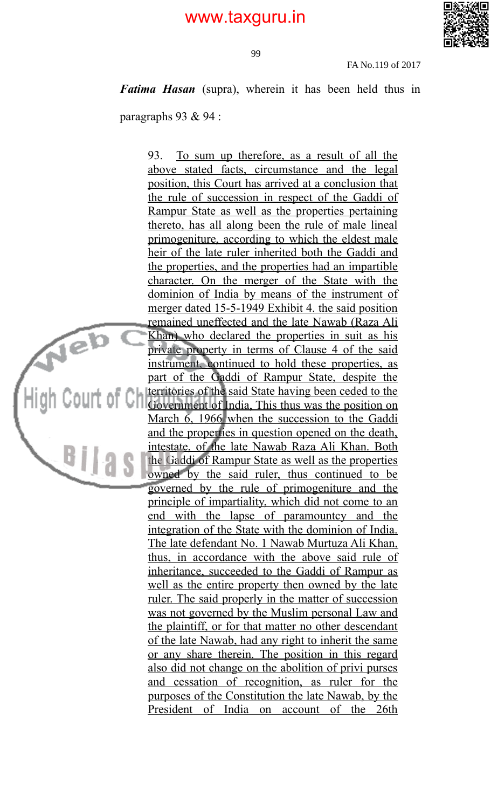

99

FA No.119 of 2017

*Fatima Hasan* (supra), wherein it has been held thus in

paragraphs 93 & 94 :

Neb

**Bilas** 

93. To sum up therefore, as a result of all the above stated facts, circumstance and the legal position, this Court has arrived at a conclusion that the rule of succession in respect of the Gaddi of Rampur State as well as the properties pertaining thereto, has all along been the rule of male lineal primogeniture, according to which the eldest male heir of the late ruler inherited both the Gaddi and the properties, and the properties had an impartible character. On the merger of the State with the dominion of India by means of the instrument of merger dated 15-5-1949 Exhibit 4. the said position remained uneffected and the late Nawab (Raza Ali Khan) who declared the properties in suit as his private property in terms of Clause 4 of the said instrument, continued to hold these properties, as part of the Gaddi of Rampur State, despite the territories of the said State having been ceded to the Government of India, This thus was the position on March 6, 1966 when the succession to the Gaddi and the properties in question opened on the death, intestate, of the late Nawab Raza Ali Khan. Both the Gaddi of Rampur State as well as the properties owned by the said ruler, thus continued to be governed by the rule of primogeniture and the principle of impartiality, which did not come to an end with the lapse of paramountcy and the integration of the State with the dominion of India. The late defendant No. 1 Nawab Murtuza Ali Khan, thus, in accordance with the above said rule of inheritance, succeeded to the Gaddi of Rampur as well as the entire property then owned by the late ruler. The said properly in the matter of succession was not governed by the Muslim personal Law and the plaintiff, or for that matter no other descendant of the late Nawab, had any right to inherit the same or any share therein. The position in this regard also did not change on the abolition of privi purses and cessation of recognition, as ruler for the purposes of the Constitution the late Nawab, by the President of India on account of the 26th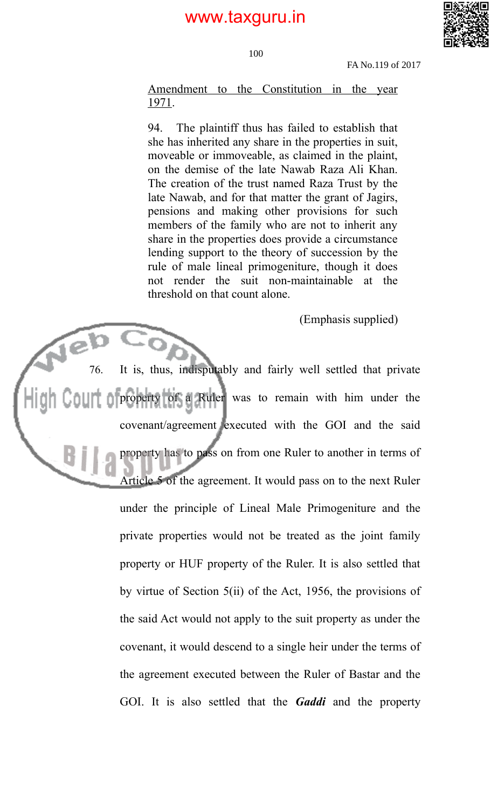

100

FA No.119 of 2017

Amendment to the Constitution in the year 1971.

94. The plaintiff thus has failed to establish that she has inherited any share in the properties in suit, moveable or immoveable, as claimed in the plaint, on the demise of the late Nawab Raza Ali Khan. The creation of the trust named Raza Trust by the late Nawab, and for that matter the grant of Jagirs, pensions and making other provisions for such members of the family who are not to inherit any share in the properties does provide a circumstance lending support to the theory of succession by the rule of male lineal primogeniture, though it does not render the suit non-maintainable at the threshold on that count alone.

(Emphasis supplied)

76. It is, thus, indisputably and fairly well settled that private property of a Ruler was to remain with him under the covenant/agreement executed with the GOI and the said property has to pass on from one Ruler to another in terms of Article 5 of the agreement. It would pass on to the next Ruler under the principle of Lineal Male Primogeniture and the private properties would not be treated as the joint family property or HUF property of the Ruler. It is also settled that by virtue of Section 5(ii) of the Act, 1956, the provisions of the said Act would not apply to the suit property as under the covenant, it would descend to a single heir under the terms of the agreement executed between the Ruler of Bastar and the GOI. It is also settled that the *Gaddi* and the property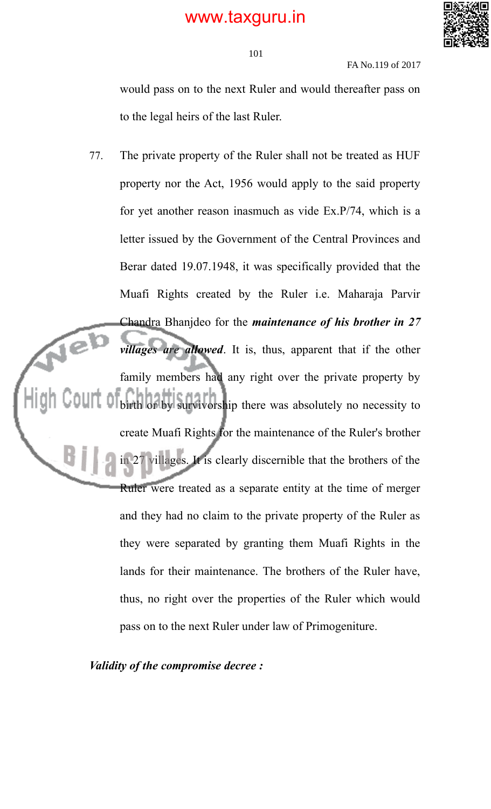

FA No.119 of 2017

would pass on to the next Ruler and would thereafter pass on to the legal heirs of the last Ruler.

77. The private property of the Ruler shall not be treated as HUF property nor the Act, 1956 would apply to the said property for yet another reason inasmuch as vide Ex.P/74, which is a letter issued by the Government of the Central Provinces and Berar dated 19.07.1948, it was specifically provided that the Muafi Rights created by the Ruler i.e. Maharaja Parvir Chandra Bhanjdeo for the *maintenance of his brother in 27* Te<sup>l</sup> *villages are allowed*. It is, thus, apparent that if the other family members had any right over the private property by birth or by survivorship there was absolutely no necessity to create Muafi Rights for the maintenance of the Ruler's brother in 27 villages. It is clearly discernible that the brothers of the Ruler were treated as a separate entity at the time of merger and they had no claim to the private property of the Ruler as they were separated by granting them Muafi Rights in the lands for their maintenance. The brothers of the Ruler have, thus, no right over the properties of the Ruler which would pass on to the next Ruler under law of Primogeniture.

*Validity of the compromise decree :*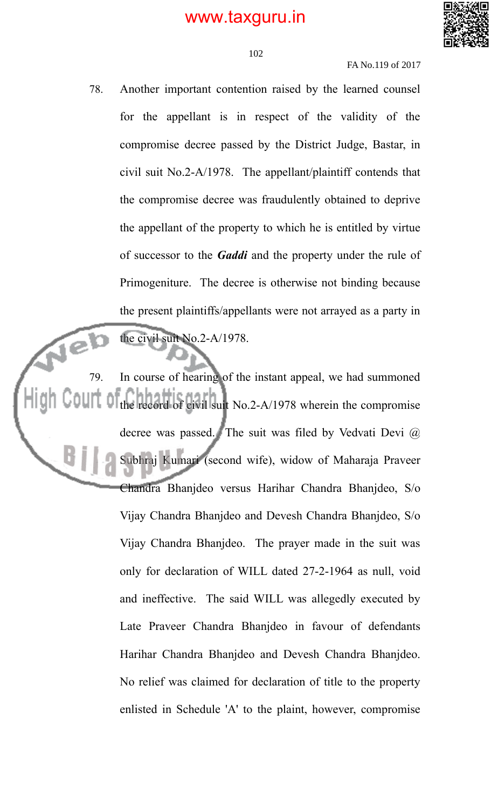

FA No.119 of 2017

78. Another important contention raised by the learned counsel for the appellant is in respect of the validity of the compromise decree passed by the District Judge, Bastar, in civil suit No.2-A/1978. The appellant/plaintiff contends that the compromise decree was fraudulently obtained to deprive the appellant of the property to which he is entitled by virtue of successor to the *Gaddi* and the property under the rule of Primogeniture. The decree is otherwise not binding because the present plaintiffs/appellants were not arrayed as a party in the civil suit No.2-A/1978.

79. In course of hearing of the instant appeal, we had summoned the record of civil suit No.2-A/1978 wherein the compromise decree was passed. The suit was filed by Vedvati Devi @ Subhraj Kumari (second wife), widow of Maharaja Praveer Chandra Bhanjdeo versus Harihar Chandra Bhanjdeo, S/o Vijay Chandra Bhanjdeo and Devesh Chandra Bhanjdeo, S/o Vijay Chandra Bhanjdeo. The prayer made in the suit was only for declaration of WILL dated 27-2-1964 as null, void and ineffective. The said WILL was allegedly executed by Late Praveer Chandra Bhanjdeo in favour of defendants Harihar Chandra Bhanjdeo and Devesh Chandra Bhanjdeo. No relief was claimed for declaration of title to the property enlisted in Schedule 'A' to the plaint, however, compromise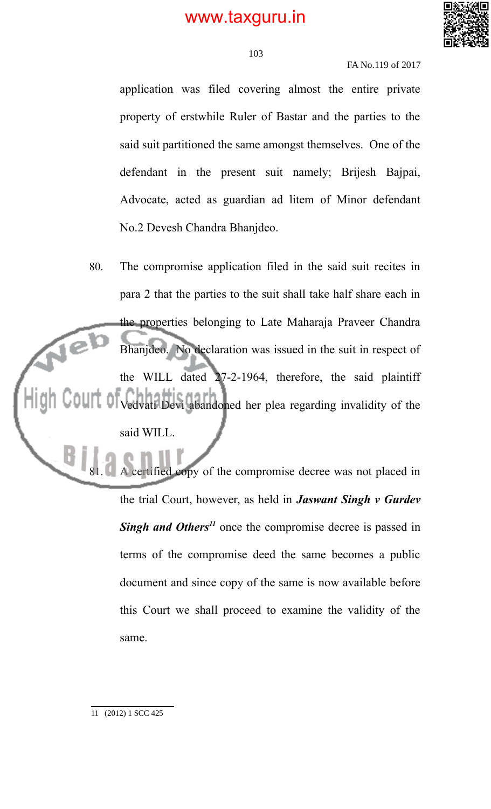

FA No.119 of 2017

application was filed covering almost the entire private property of erstwhile Ruler of Bastar and the parties to the said suit partitioned the same amongst themselves. One of the defendant in the present suit namely; Brijesh Bajpai, Advocate, acted as guardian ad litem of Minor defendant No.2 Devesh Chandra Bhanjdeo.

80. The compromise application filed in the said suit recites in para 2 that the parties to the suit shall take half share each in the properties belonging to Late Maharaja Praveer Chandra Bhanjdeo. No declaration was issued in the suit in respect of the WILL dated 27-2-1964, therefore, the said plaintiff Vedvati Devi abandoned her plea regarding invalidity of the said WILL.

> ertified copy of the compromise decree was not placed in the trial Court, however, as held in *Jaswant Singh v Gurdev Singh and Others<sup>11</sup>* once the compromise decree is passed in terms of the compromise deed the same becomes a public document and since copy of the same is now available before this Court we shall proceed to examine the validity of the same.

11 (2012) 1 SCC 425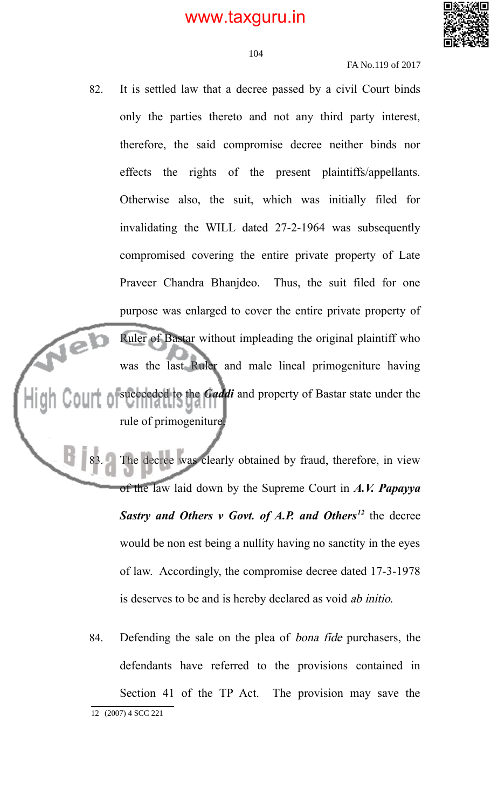

FA No.119 of 2017

82. It is settled law that a decree passed by a civil Court binds only the parties thereto and not any third party interest, therefore, the said compromise decree neither binds nor effects the rights of the present plaintiffs/appellants. Otherwise also, the suit, which was initially filed for invalidating the WILL dated 27-2-1964 was subsequently compromised covering the entire private property of Late Praveer Chandra Bhanjdeo. Thus, the suit filed for one purpose was enlarged to cover the entire private property of Ruler of Bastar without impleading the original plaintiff who re) was the last Ruler and male lineal primogeniture having succeeded to the *Gaddi* and property of Bastar state under the rule of primogeniture.

> The decree was clearly obtained by fraud, therefore, in view of the law laid down by the Supreme Court in *A.V. Papayya Sastry and Others v Govt. of A.P. and Others<sup>12</sup>* the decree would be non est being a nullity having no sanctity in the eyes of law. Accordingly, the compromise decree dated 17-3-1978 is deserves to be and is hereby declared as void ab initio.

84. Defending the sale on the plea of bona fide purchasers, the defendants have referred to the provisions contained in Section 41 of the TP Act. The provision may save the 12 (2007) 4 SCC 221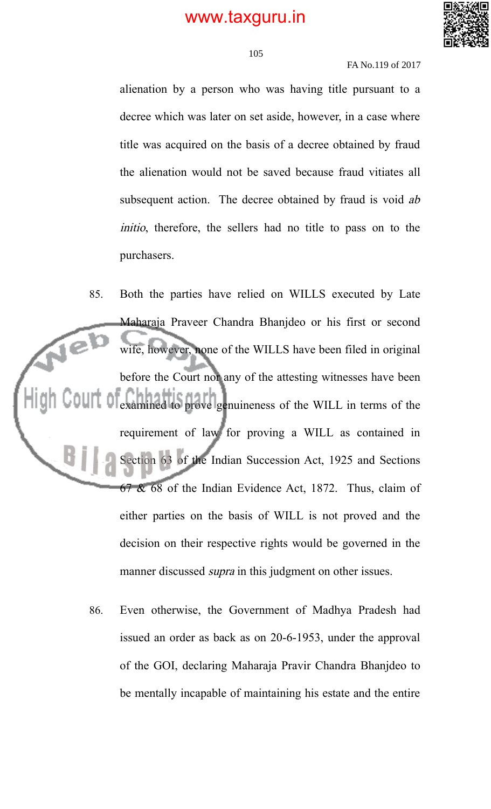

#### FA No.119 of 2017

alienation by a person who was having title pursuant to a decree which was later on set aside, however, in a case where title was acquired on the basis of a decree obtained by fraud the alienation would not be saved because fraud vitiates all subsequent action. The decree obtained by fraud is void ab initio, therefore, the sellers had no title to pass on to the purchasers.

85. Both the parties have relied on WILLS executed by Late Maharaja Praveer Chandra Bhanjdeo or his first or second Te<sup>l</sup> wife, however, none of the WILLS have been filed in original before the Court nor any of the attesting witnesses have been examined to prove genuineness of the WILL in terms of the requirement of law for proving a WILL as contained in Section 63 of the Indian Succession Act, 1925 and Sections 67 & 68 of the Indian Evidence Act, 1872. Thus, claim of either parties on the basis of WILL is not proved and the decision on their respective rights would be governed in the manner discussed *supra* in this judgment on other issues.

> 86. Even otherwise, the Government of Madhya Pradesh had issued an order as back as on 20-6-1953, under the approval of the GOI, declaring Maharaja Pravir Chandra Bhanjdeo to be mentally incapable of maintaining his estate and the entire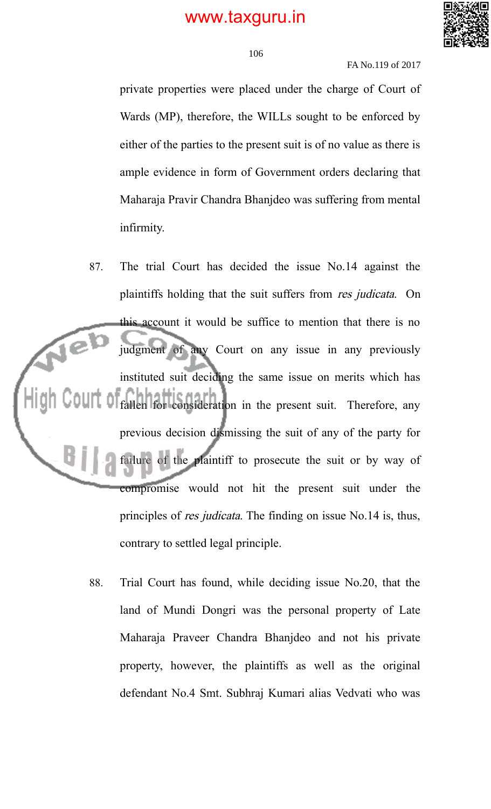

106

#### FA No.119 of 2017

private properties were placed under the charge of Court of Wards (MP), therefore, the WILLs sought to be enforced by either of the parties to the present suit is of no value as there is ample evidence in form of Government orders declaring that Maharaja Pravir Chandra Bhanjdeo was suffering from mental infirmity.

- 87. The trial Court has decided the issue No.14 against the plaintiffs holding that the suit suffers from res judicata. On this account it would be suffice to mention that there is no judgment of any Court on any issue in any previously instituted suit deciding the same issue on merits which has fallen for consideration in the present suit. Therefore, any previous decision dismissing the suit of any of the party for failure of the plaintiff to prosecute the suit or by way of compromise would not hit the present suit under the principles of res judicata. The finding on issue No.14 is, thus, contrary to settled legal principle.
	- 88. Trial Court has found, while deciding issue No.20, that the land of Mundi Dongri was the personal property of Late Maharaja Praveer Chandra Bhanjdeo and not his private property, however, the plaintiffs as well as the original defendant No.4 Smt. Subhraj Kumari alias Vedvati who was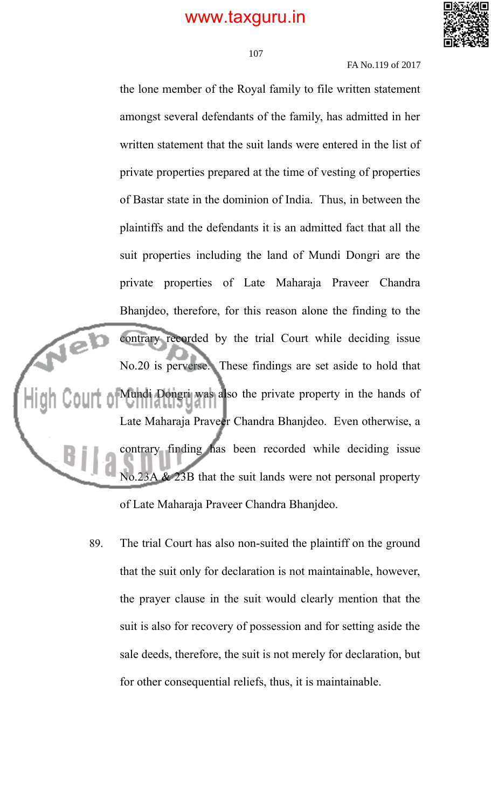

#### 107

FA No.119 of 2017

the lone member of the Royal family to file written statement amongst several defendants of the family, has admitted in her written statement that the suit lands were entered in the list of private properties prepared at the time of vesting of properties of Bastar state in the dominion of India. Thus, in between the plaintiffs and the defendants it is an admitted fact that all the suit properties including the land of Mundi Dongri are the private properties of Late Maharaja Praveer Chandra Bhanjdeo, therefore, for this reason alone the finding to the contrary recorded by the trial Court while deciding issue rel) No.20 is perverse. These findings are set aside to hold that Mundi Dongri was also the private property in the hands of Late Maharaja Praveer Chandra Bhanjdeo. Even otherwise, a contrary finding has been recorded while deciding issue  $& 23B$  that the suit lands were not personal property of Late Maharaja Praveer Chandra Bhanjdeo.

89. The trial Court has also non-suited the plaintiff on the ground that the suit only for declaration is not maintainable, however, the prayer clause in the suit would clearly mention that the suit is also for recovery of possession and for setting aside the sale deeds, therefore, the suit is not merely for declaration, but for other consequential reliefs, thus, it is maintainable.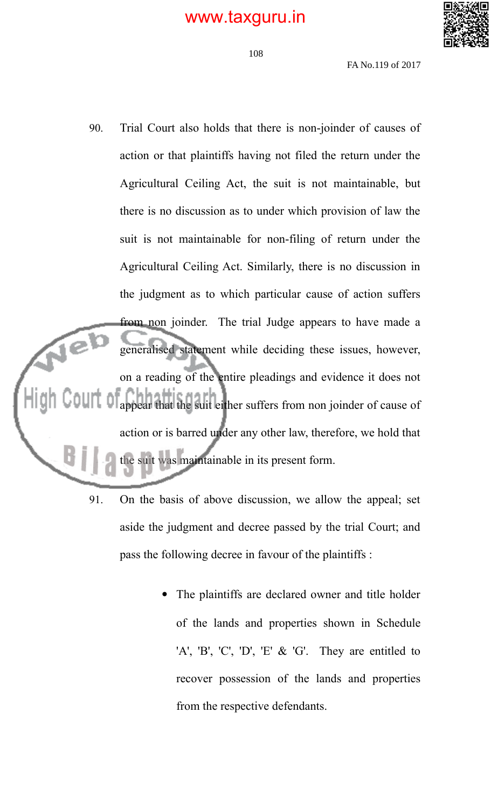

FA No.119 of 2017

- 90. Trial Court also holds that there is non-joinder of causes of action or that plaintiffs having not filed the return under the Agricultural Ceiling Act, the suit is not maintainable, but there is no discussion as to under which provision of law the suit is not maintainable for non-filing of return under the Agricultural Ceiling Act. Similarly, there is no discussion in the judgment as to which particular cause of action suffers from non joinder. The trial Judge appears to have made a Je<sup>1</sup> generalised statement while deciding these issues, however, on a reading of the entire pleadings and evidence it does not appear that the suit either suffers from non joinder of cause of action or is barred under any other law, therefore, we hold that the suit was maintainable in its present form.
	- 91. On the basis of above discussion, we allow the appeal; set aside the judgment and decree passed by the trial Court; and pass the following decree in favour of the plaintiffs :
		- The plaintiffs are declared owner and title holder of the lands and properties shown in Schedule 'A', 'B', 'C', 'D', 'E' & 'G'. They are entitled to recover possession of the lands and properties from the respective defendants.